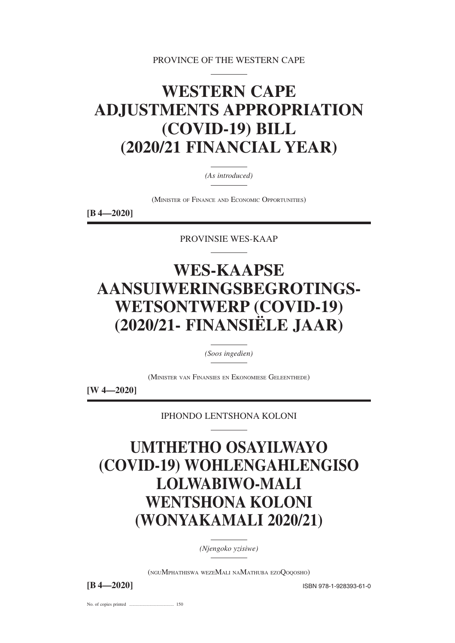PROVINCE OF THE WESTERN CAPE

# **WESTERN CAPE ADJUSTMENTS APPROPRIATION (COVID-19) BILL (2020/21 FINANCIAL YEAR)**

*(As introduced)*

(MINISTER OF FINANCE AND ECONOMIC OPPORTUNITIES)

**[B 4—2020]**

PROVINSIE WES-KAAP

# **WES-KAAPSE AANSUIWERINGSBEGROTINGS-WETSONTWERP (COVID-19) (2020/21- FINANSIËLE JAAR)**

*(Soos ingedien)*

(MINISTER VAN FINANSIES EN EKONOMIESE GELEENTHEDE)

**[W 4—2020]**

IPHONDO LENTSHONA KOLONI

# **UMTHETHO OSAYILWAYO (COVID-19) WOHLENGAHLENGISO LOLWABIWO-MALI WENTSHONA KOLONI (WONYAKAMALI 2020/21)**

*(Njengoko yzisiwe)*

(NGUMPHATHISWA WEZEMALI NAMATHUBA EZOQOQOSHO)

**[B 4—2020]** ISBN 978-1-928393-61-0

No. of copies printed ....................................... 150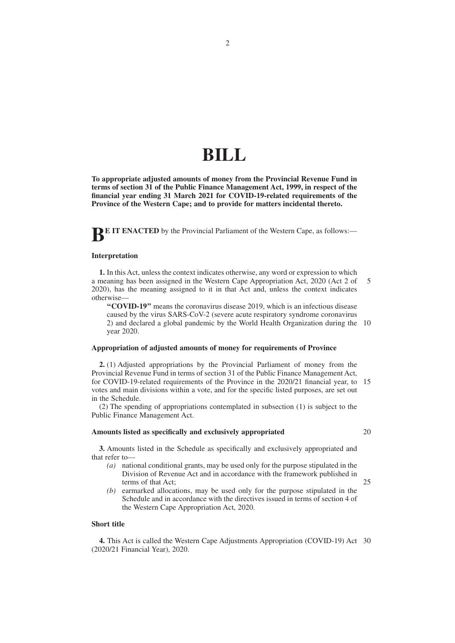# **BILL**

**To appropriate adjusted amounts of money from the Provincial Revenue Fund in terms of section 31 of the Public Finance Management Act, 1999, in respect of the financial year ending 31 March 2021 for COVID-19-related requirements of the Province of the Western Cape; and to provide for matters incidental thereto.**

**BE IT ENACTED** by the Provincial Parliament of the Western Cape, as follows:-

#### **Interpretation**

**1.** In this Act, unless the context indicates otherwise, any word or expression to which a meaning has been assigned in the Western Cape Appropriation Act, 2020 (Act 2 of 2020), has the meaning assigned to it in that Act and, unless the context indicates otherwise— 5

**''COVID-19''** means the coronavirus disease 2019, which is an infectious disease caused by the virus SARS-CoV-2 (severe acute respiratory syndrome coronavirus 2) and declared a global pandemic by the World Health Organization during the 10 year 2020.

#### **Appropriation of adjusted amounts of money for requirements of Province**

**2.** (1) Adjusted appropriations by the Provincial Parliament of money from the Provincial Revenue Fund in terms of section 31 of the Public Finance Management Act, for COVID-19-related requirements of the Province in the 2020/21 financial year, to 15 votes and main divisions within a vote, and for the specific listed purposes, are set out in the Schedule.

(2) The spending of appropriations contemplated in subsection (1) is subject to the Public Finance Management Act.

#### **Amounts listed as specifically and exclusively appropriated**

**3.** Amounts listed in the Schedule as specifically and exclusively appropriated and that refer to—

- *(a)* national conditional grants, may be used only for the purpose stipulated in the Division of Revenue Act and in accordance with the framework published in terms of that Act; 25
- *(b)* earmarked allocations, may be used only for the purpose stipulated in the Schedule and in accordance with the directives issued in terms of section 4 of the Western Cape Appropriation Act, 2020.

#### **Short title**

**4.** This Act is called the Western Cape Adjustments Appropriation (COVID-19) Act 30(2020/21 Financial Year), 2020.

20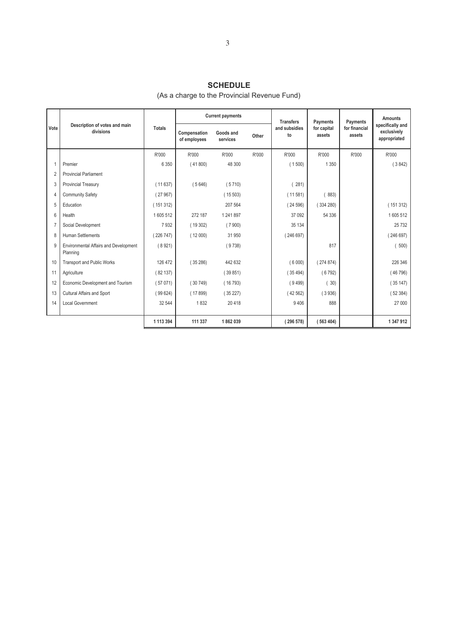## **SCHEDULE**

## (As a charge to the Provincial Revenue Fund)

|      |                                                   |               |                              | <b>Current payments</b> |       | <b>Transfers</b>    | Payments              | Payments                | Amounts                                         |
|------|---------------------------------------------------|---------------|------------------------------|-------------------------|-------|---------------------|-----------------------|-------------------------|-------------------------------------------------|
| Vote | Description of votes and main<br>divisions        | <b>Totals</b> | Compensation<br>of employees | Goods and<br>services   | Other | and subsidies<br>to | for capital<br>assets | for financial<br>assets | specifically and<br>exclusively<br>appropriated |
|      |                                                   | R'000         | R'000                        | R'000                   | R'000 | R'000               | R'000                 | R'000                   | R'000                                           |
|      | Premier                                           | 6 3 5 0       | (41800)                      | 48 300                  |       | (1500)              | 1 3 5 0               |                         | (3842)                                          |
|      | <b>Provincial Parliament</b>                      |               |                              |                         |       |                     |                       |                         |                                                 |
| 3    | Provincial Treasury                               | (11637)       | (5646)                       | (5710)                  |       | 281)                |                       |                         |                                                 |
| 4    | <b>Community Safety</b>                           | (27967)       |                              | (15503)                 |       | (11581)             | 883)                  |                         |                                                 |
| 5    | Education                                         | (151312)      |                              | 207 564                 |       | (24596)             | (334280)              |                         | (151312)                                        |
| 6    | Health                                            | 1605512       | 272 187                      | 1 241 897               |       | 37 092              | 54 336                |                         | 1605512                                         |
|      | Social Development                                | 7932          | (19302)                      | (7900)                  |       | 35 134              |                       |                         | 25 7 32                                         |
| 8    | Human Settlements                                 | (226747)      | (12000)                      | 31 950                  |       | (246697)            |                       |                         | (246697)                                        |
| 9    | Environmental Affairs and Development<br>Planning | (8921)        |                              | (9738)                  |       |                     | 817                   |                         | 500)                                            |
| 10   | <b>Transport and Public Works</b>                 | 126 472       | (35286)                      | 442 632                 |       | (6000)              | (274874)              |                         | 226 346                                         |
| 11   | Agriculture                                       | (82137)       |                              | (39851)                 |       | (35494)             | (6792)                |                         | (46796)                                         |
| 12   | Economic Development and Tourism                  | (57071)       | (30749)                      | (16793)                 |       | (9499)              | 30)                   |                         | (35147)                                         |
| 13   | Cultural Affairs and Sport                        | (99624)       | (17899)                      | (35227)                 |       | (42562)             | (3936)                |                         | (52384)                                         |
| 14   | <b>Local Government</b>                           | 32 544        | 1832                         | 20 418                  |       | 9 4 0 6             | 888                   |                         | 27 000                                          |
|      |                                                   |               |                              |                         |       |                     |                       |                         |                                                 |
|      |                                                   | 1 113 394     | 111 337                      | 1862039                 |       | (296578)            | (563404)              |                         | 1 347 912                                       |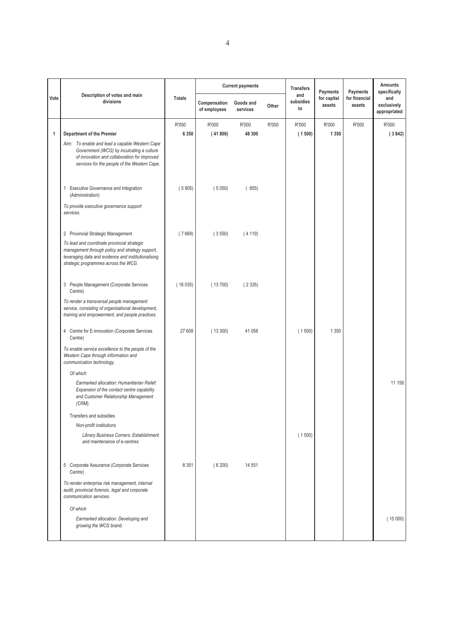|      |                                                                                                                                                                                               |               |                              | <b>Current payments</b> |       | <b>Transfers</b>       | Payments              | Payments                | <b>Amounts</b><br>specifically     |
|------|-----------------------------------------------------------------------------------------------------------------------------------------------------------------------------------------------|---------------|------------------------------|-------------------------|-------|------------------------|-----------------------|-------------------------|------------------------------------|
| Vote | Description of votes and main<br>divisions                                                                                                                                                    | <b>Totals</b> | Compensation<br>of employees | Goods and<br>services   | Other | and<br>subsidies<br>to | for capital<br>assets | for financial<br>assets | and<br>exclusively<br>appropriated |
|      |                                                                                                                                                                                               | R'000         | R'000                        | R'000                   | R'000 | R'000                  | R'000                 | R'000                   | R'000                              |
| 1    | <b>Department of the Premier</b>                                                                                                                                                              | 6 3 5 0       | (41800)                      | 48 300                  |       | (1500)                 | 1 3 5 0               |                         | (3842)                             |
|      | Aim: To enable and lead a capable Western Cape<br>Government (WCG) by inculcating a culture<br>of innovation and collaboration for improved<br>services for the people of the Western Cape.   |               |                              |                         |       |                        |                       |                         |                                    |
|      | 1 Executive Governance and Integration<br>(Administration)                                                                                                                                    | (5905)        | (5050)                       | (855)                   |       |                        |                       |                         |                                    |
|      | To provide executive governance support<br>services.                                                                                                                                          |               |                              |                         |       |                        |                       |                         |                                    |
|      | 2 Provincial Strategic Management                                                                                                                                                             | (7669)        | (3550)                       | (4119)                  |       |                        |                       |                         |                                    |
|      | To lead and coordinate provincial strategic<br>management through policy and strategy support,<br>leveraging data and evidence and institutionalising<br>strategic programmes across the WCG. |               |                              |                         |       |                        |                       |                         |                                    |
|      | 3 People Management (Corporate Services<br>Centre)                                                                                                                                            | (16035)       | (13700)                      | (2335)                  |       |                        |                       |                         |                                    |
|      | To render a transversal people management<br>service, consisting of organisational development,<br>training and empowerment, and people practices.                                            |               |                              |                         |       |                        |                       |                         |                                    |
|      | 4 Centre for E-innovation (Corporate Services<br>Centre)                                                                                                                                      | 27 608        | (13300)                      | 41 058                  |       | (1500)                 | 1 3 5 0               |                         |                                    |
|      | To enable service excellence to the people of the<br>Western Cape through information and<br>communication technology.                                                                        |               |                              |                         |       |                        |                       |                         |                                    |
|      | Of which                                                                                                                                                                                      |               |                              |                         |       |                        |                       |                         |                                    |
|      | Earmarked allocation: Humanitarian Relief:<br>Expansion of the contact centre capability<br>and Customer Relationship Management<br>$(CRM)$ .                                                 |               |                              |                         |       |                        |                       |                         | 11 158                             |
|      | Transfers and subsidies                                                                                                                                                                       |               |                              |                         |       |                        |                       |                         |                                    |
|      | Non-profit institutions                                                                                                                                                                       |               |                              |                         |       |                        |                       |                         |                                    |
|      | Library Business Corners: Establishment<br>and maintenance of e-centres                                                                                                                       |               |                              |                         |       | (1500)                 |                       |                         |                                    |
|      | 5 Corporate Assurance (Corporate Services<br>Centre)                                                                                                                                          | 8 3 5 1       | (6200)                       | 14 551                  |       |                        |                       |                         |                                    |
|      | To render enterprise risk management, internal<br>audit, provincial forensic, legal and corporate<br>communication services.                                                                  |               |                              |                         |       |                        |                       |                         |                                    |
|      | Of which                                                                                                                                                                                      |               |                              |                         |       |                        |                       |                         |                                    |
|      | Earmarked allocation: Developing and<br>growing the WCG brand.                                                                                                                                |               |                              |                         |       |                        |                       |                         | (15000)                            |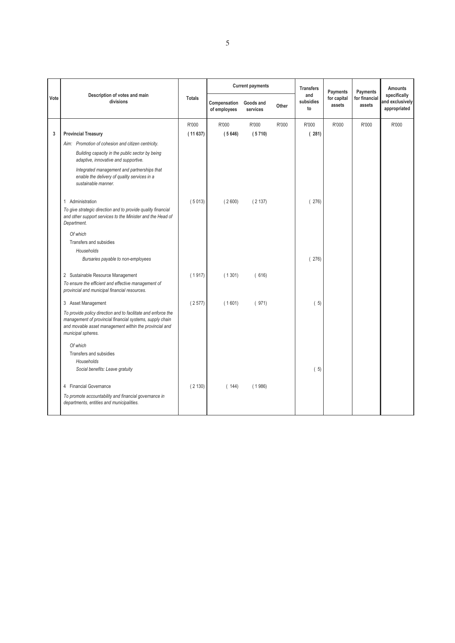|      |                                                                                                                                                                                                           |               |                              | <b>Current payments</b> |       | <b>Transfers</b><br>Payments<br>and |                       | Payments                | <b>Amounts</b>                                  |
|------|-----------------------------------------------------------------------------------------------------------------------------------------------------------------------------------------------------------|---------------|------------------------------|-------------------------|-------|-------------------------------------|-----------------------|-------------------------|-------------------------------------------------|
| Vote | Description of votes and main<br>divisions                                                                                                                                                                | <b>Totals</b> | Compensation<br>of employees | Goods and<br>services   | Other | subsidies<br>to                     | for capital<br>assets | for financial<br>assets | specifically<br>and exclusively<br>appropriated |
|      |                                                                                                                                                                                                           | R'000         | R'000                        | R'000                   | R'000 | R'000                               | R'000                 | R'000                   | R'000                                           |
| 3    | <b>Provincial Treasury</b>                                                                                                                                                                                | (11637)       | (5646)                       | (5710)                  |       | (281)                               |                       |                         |                                                 |
|      | Aim: Promotion of cohesion and citizen centricity.                                                                                                                                                        |               |                              |                         |       |                                     |                       |                         |                                                 |
|      | Building capacity in the public sector by being<br>adaptive, innovative and supportive.                                                                                                                   |               |                              |                         |       |                                     |                       |                         |                                                 |
|      | Integrated management and partnerships that<br>enable the delivery of quality services in a<br>sustainable manner.                                                                                        |               |                              |                         |       |                                     |                       |                         |                                                 |
|      | 1 Administration                                                                                                                                                                                          | (5013)        | (2600)                       | (2137)                  |       | (276)                               |                       |                         |                                                 |
|      | To give strategic direction and to provide quality financial<br>and other support services to the Minister and the Head of<br>Department.                                                                 |               |                              |                         |       |                                     |                       |                         |                                                 |
|      | Of which                                                                                                                                                                                                  |               |                              |                         |       |                                     |                       |                         |                                                 |
|      | Transfers and subsidies                                                                                                                                                                                   |               |                              |                         |       |                                     |                       |                         |                                                 |
|      | Households                                                                                                                                                                                                |               |                              |                         |       |                                     |                       |                         |                                                 |
|      | Bursaries payable to non-employees                                                                                                                                                                        |               |                              |                         |       | (276)                               |                       |                         |                                                 |
|      | 2 Sustainable Resource Management                                                                                                                                                                         | (1917)        | (1301)                       | (616)                   |       |                                     |                       |                         |                                                 |
|      | To ensure the efficient and effective management of<br>provincial and municipal financial resources.                                                                                                      |               |                              |                         |       |                                     |                       |                         |                                                 |
|      | 3 Asset Management                                                                                                                                                                                        | (2577)        | (1601)                       | (971)                   |       | (5)                                 |                       |                         |                                                 |
|      | To provide policy direction and to facilitate and enforce the<br>management of provincial financial systems, supply chain<br>and movable asset management within the provincial and<br>municipal spheres. |               |                              |                         |       |                                     |                       |                         |                                                 |
|      | Of which                                                                                                                                                                                                  |               |                              |                         |       |                                     |                       |                         |                                                 |
|      | Transfers and subsidies                                                                                                                                                                                   |               |                              |                         |       |                                     |                       |                         |                                                 |
|      | Households<br>Social benefits: Leave gratuity                                                                                                                                                             |               |                              |                         |       | (5)                                 |                       |                         |                                                 |
|      | 4 Financial Governance                                                                                                                                                                                    | (2130)        | (144)                        | (1986)                  |       |                                     |                       |                         |                                                 |
|      | To promote accountability and financial governance in<br>departments, entities and municipalities.                                                                                                        |               |                              |                         |       |                                     |                       |                         |                                                 |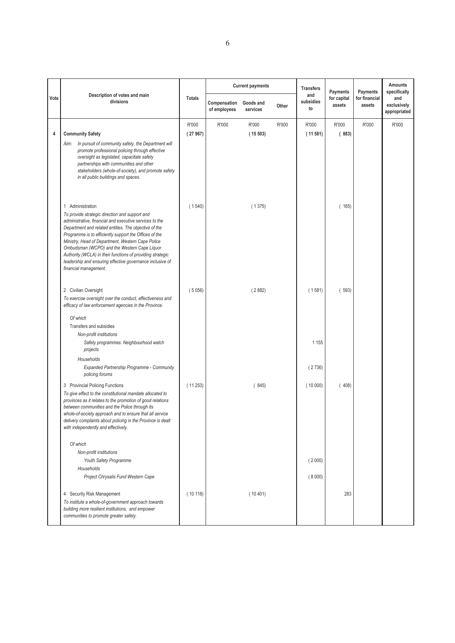|      |                                                                                                                                                                                                                                                                                                                                                                                                                                                                                       |               |                              | <b>Current payments</b> |       | <b>Transfers</b>       | Payments              | Payments                | Amounts<br>specifically            |
|------|---------------------------------------------------------------------------------------------------------------------------------------------------------------------------------------------------------------------------------------------------------------------------------------------------------------------------------------------------------------------------------------------------------------------------------------------------------------------------------------|---------------|------------------------------|-------------------------|-------|------------------------|-----------------------|-------------------------|------------------------------------|
| Vote | Description of votes and main<br>divisions                                                                                                                                                                                                                                                                                                                                                                                                                                            | <b>Totals</b> | Compensation<br>of employees | Goods and<br>services   | Other | and<br>subsidies<br>to | for capital<br>assets | for financial<br>assets | and<br>exclusively<br>appropriated |
|      |                                                                                                                                                                                                                                                                                                                                                                                                                                                                                       | R'000         | R'000                        | R'000                   | R'000 | R'000                  | R'000                 | R'000                   | R'000                              |
| 4    | <b>Community Safety</b>                                                                                                                                                                                                                                                                                                                                                                                                                                                               | (27967)       |                              | (15503)                 |       | (11581)                | (883)                 |                         |                                    |
|      | Aim: In pursuit of community safety, the Department will<br>promote professional policing through effective<br>oversight as legislated, capacitate safety<br>partnerships with communities and other<br>stakeholders (whole-of-society), and promote safety<br>in all public buildings and spaces.                                                                                                                                                                                    |               |                              |                         |       |                        |                       |                         |                                    |
|      | 1 Administration                                                                                                                                                                                                                                                                                                                                                                                                                                                                      | (1540)        |                              | (1375)                  |       |                        | (165)                 |                         |                                    |
|      | To provide strategic direction and support and<br>administrative, financial and executive services to the<br>Department and related entities. The objective of the<br>Programme is to efficiently support the Offices of the<br>Ministry, Head of Department, Western Cape Police<br>Ombudsman (WCPO) and the Western Cape Liquor<br>Authority (WCLA) in their functions of providing strategic<br>leadership and ensuring effective governance inclusive of<br>financial management. |               |                              |                         |       |                        |                       |                         |                                    |
|      |                                                                                                                                                                                                                                                                                                                                                                                                                                                                                       |               |                              |                         |       |                        |                       |                         |                                    |
|      | 2 Civilian Oversight<br>To exercise oversight over the conduct, effectiveness and<br>efficacy of law enforcement agencies in the Province.                                                                                                                                                                                                                                                                                                                                            | (5056)        |                              | (2882)                  |       | (1581)                 | (593)                 |                         |                                    |
|      | Of which                                                                                                                                                                                                                                                                                                                                                                                                                                                                              |               |                              |                         |       |                        |                       |                         |                                    |
|      | Transfers and subsidies                                                                                                                                                                                                                                                                                                                                                                                                                                                               |               |                              |                         |       |                        |                       |                         |                                    |
|      | Non-profit institutions                                                                                                                                                                                                                                                                                                                                                                                                                                                               |               |                              |                         |       |                        |                       |                         |                                    |
|      | Safety programmes: Neighbourhood watch<br>projects                                                                                                                                                                                                                                                                                                                                                                                                                                    |               |                              |                         |       | 1 1 5 5                |                       |                         |                                    |
|      | Households                                                                                                                                                                                                                                                                                                                                                                                                                                                                            |               |                              |                         |       | (2736)                 |                       |                         |                                    |
|      | Expanded Partnership Programme - Community<br>policing forums                                                                                                                                                                                                                                                                                                                                                                                                                         |               |                              |                         |       |                        |                       |                         |                                    |
|      | 3 Provincial Policing Functions<br>To give effect to the constitutional mandate allocated to<br>provinces as it relates to the promotion of good relations<br>between communities and the Police through its<br>whole-of-society approach and to ensure that all service<br>delivery complaints about policing in the Province is dealt<br>with independently and effectively.                                                                                                        | (11253)       |                              | (845)                   |       | (10000)                | (408)                 |                         |                                    |
|      | Of which                                                                                                                                                                                                                                                                                                                                                                                                                                                                              |               |                              |                         |       |                        |                       |                         |                                    |
|      | Non-profit institutions                                                                                                                                                                                                                                                                                                                                                                                                                                                               |               |                              |                         |       |                        |                       |                         |                                    |
|      | Youth Safety Programme                                                                                                                                                                                                                                                                                                                                                                                                                                                                |               |                              |                         |       | (2000)                 |                       |                         |                                    |
|      | Households                                                                                                                                                                                                                                                                                                                                                                                                                                                                            |               |                              |                         |       |                        |                       |                         |                                    |
|      | Project Chrysalis Fund Western Cape                                                                                                                                                                                                                                                                                                                                                                                                                                                   |               |                              |                         |       | (8000)                 |                       |                         |                                    |
|      | 4 Security Risk Management<br>To institute a whole-of-government approach towards<br>building more resilient institutions, and empower<br>communities to promote greater safety.                                                                                                                                                                                                                                                                                                      | (10118)       |                              | (10401)                 |       |                        | 283                   |                         |                                    |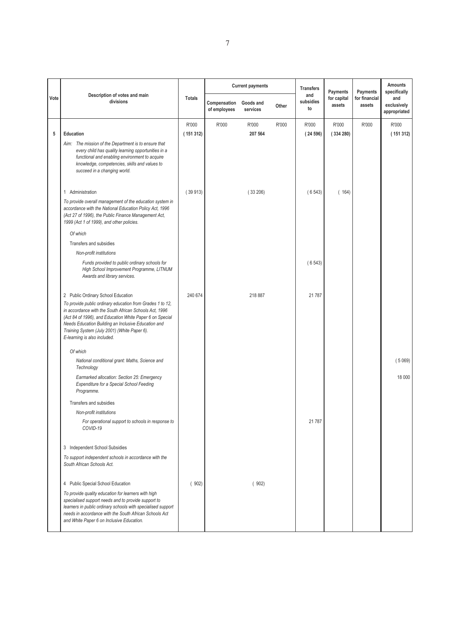|      |                                                                                                                                                                                                                                                                                                                        |               |                              | <b>Current payments</b> |       | <b>Transfers</b>       | Payments              | Payments                | <b>Amounts</b><br>specifically     |
|------|------------------------------------------------------------------------------------------------------------------------------------------------------------------------------------------------------------------------------------------------------------------------------------------------------------------------|---------------|------------------------------|-------------------------|-------|------------------------|-----------------------|-------------------------|------------------------------------|
| Vote | Description of votes and main<br>divisions                                                                                                                                                                                                                                                                             | <b>Totals</b> | Compensation<br>of employees | Goods and<br>services   | Other | and<br>subsidies<br>to | for capital<br>assets | for financial<br>assets | and<br>exclusively<br>appropriated |
|      |                                                                                                                                                                                                                                                                                                                        | R'000         | R'000                        | R'000                   | R'000 | R'000                  | R'000                 | R'000                   | R'000                              |
| 5    | Education                                                                                                                                                                                                                                                                                                              | (151312)      |                              | 207 564                 |       | (24596)                | (334280)              |                         | (151312)                           |
|      | Aim: The mission of the Department is to ensure that<br>every child has quality learning opportunities in a<br>functional and enabling environment to acquire<br>knowledge, competencies, skills and values to<br>succeed in a changing world.                                                                         |               |                              |                         |       |                        |                       |                         |                                    |
|      | 1 Administration                                                                                                                                                                                                                                                                                                       | (39913)       |                              | (33206)                 |       | (6543)                 | (164)                 |                         |                                    |
|      | To provide overall management of the education system in<br>accordance with the National Education Policy Act, 1996<br>(Act 27 of 1996), the Public Finance Management Act,<br>1999 (Act 1 of 1999), and other policies.                                                                                               |               |                              |                         |       |                        |                       |                         |                                    |
|      | Of which                                                                                                                                                                                                                                                                                                               |               |                              |                         |       |                        |                       |                         |                                    |
|      | Transfers and subsidies                                                                                                                                                                                                                                                                                                |               |                              |                         |       |                        |                       |                         |                                    |
|      | Non-profit institutions                                                                                                                                                                                                                                                                                                |               |                              |                         |       |                        |                       |                         |                                    |
|      | Funds provided to public ordinary schools for<br>High School Improvement Programme, LITNUM<br>Awards and library services.                                                                                                                                                                                             |               |                              |                         |       | (6543)                 |                       |                         |                                    |
|      | 2 Public Ordinary School Education                                                                                                                                                                                                                                                                                     | 240 674       |                              | 218 887                 |       | 21 787                 |                       |                         |                                    |
|      | To provide public ordinary education from Grades 1 to 12,<br>in accordance with the South African Schools Act, 1996<br>(Act 84 of 1996), and Education White Paper 6 on Special<br>Needs Education Building an Inclusive Education and<br>Training System (July 2001) (White Paper 6).<br>E-learning is also included. |               |                              |                         |       |                        |                       |                         |                                    |
|      | Of which                                                                                                                                                                                                                                                                                                               |               |                              |                         |       |                        |                       |                         |                                    |
|      | National conditional grant: Maths, Science and<br>Technology                                                                                                                                                                                                                                                           |               |                              |                         |       |                        |                       |                         | (5069)                             |
|      | Earmarked allocation: Section 25: Emergency<br>Expenditure for a Special School Feeding<br>Programme.                                                                                                                                                                                                                  |               |                              |                         |       |                        |                       |                         | 18 000                             |
|      | Transfers and subsidies                                                                                                                                                                                                                                                                                                |               |                              |                         |       |                        |                       |                         |                                    |
|      | Non-profit institutions                                                                                                                                                                                                                                                                                                |               |                              |                         |       |                        |                       |                         |                                    |
|      | For operational support to schools in response to<br>COVID-19                                                                                                                                                                                                                                                          |               |                              |                         |       | 21 7 8 7               |                       |                         |                                    |
|      | 3 Independent School Subsidies                                                                                                                                                                                                                                                                                         |               |                              |                         |       |                        |                       |                         |                                    |
|      | To support independent schools in accordance with the<br>South African Schools Act.                                                                                                                                                                                                                                    |               |                              |                         |       |                        |                       |                         |                                    |
|      | 4 Public Special School Education                                                                                                                                                                                                                                                                                      | (902)         |                              | (902)                   |       |                        |                       |                         |                                    |
|      | To provide quality education for learners with high<br>specialised support needs and to provide support to<br>learners in public ordinary schools with specialised support<br>needs in accordance with the South African Schools Act<br>and White Paper 6 on Inclusive Education.                                      |               |                              |                         |       |                        |                       |                         |                                    |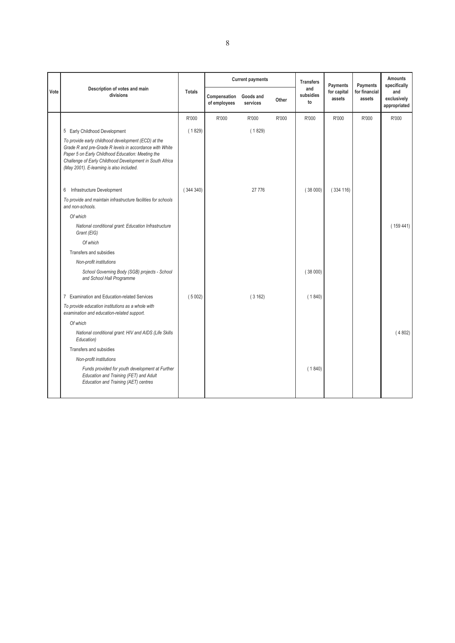|      |                                                                                                                                                                                                                                                                             |               |                              | <b>Current payments</b> |       | <b>Transfers</b><br>and | Payments              | Payments                | <b>Amounts</b><br>specifically     |
|------|-----------------------------------------------------------------------------------------------------------------------------------------------------------------------------------------------------------------------------------------------------------------------------|---------------|------------------------------|-------------------------|-------|-------------------------|-----------------------|-------------------------|------------------------------------|
| Vote | Description of votes and main<br>divisions                                                                                                                                                                                                                                  | <b>Totals</b> | Compensation<br>of employees | Goods and<br>services   | Other | subsidies<br>to         | for capital<br>assets | for financial<br>assets | and<br>exclusively<br>appropriated |
|      |                                                                                                                                                                                                                                                                             | R'000         | R'000                        | R'000                   | R'000 | R'000                   | R'000                 | R'000                   | R'000                              |
|      | 5 Early Childhood Development                                                                                                                                                                                                                                               | (1829)        |                              | (1829)                  |       |                         |                       |                         |                                    |
|      | To provide early childhood development (ECD) at the<br>Grade R and pre-Grade R levels in accordance with White<br>Paper 5 on Early Childhood Education: Meeting the<br>Challenge of Early Childhood Development in South Africa<br>(May 2001). E-learning is also included. |               |                              |                         |       |                         |                       |                         |                                    |
|      | 6 Infrastructure Development                                                                                                                                                                                                                                                | (344340)      |                              | 27 776                  |       | (38000)                 | (334 116)             |                         |                                    |
|      | To provide and maintain infrastructure facilities for schools<br>and non-schools.                                                                                                                                                                                           |               |                              |                         |       |                         |                       |                         |                                    |
|      | Of which                                                                                                                                                                                                                                                                    |               |                              |                         |       |                         |                       |                         |                                    |
|      | National conditional grant: Education Infrastructure<br>Grant (EIG)                                                                                                                                                                                                         |               |                              |                         |       |                         |                       |                         | (159441)                           |
|      | Of which                                                                                                                                                                                                                                                                    |               |                              |                         |       |                         |                       |                         |                                    |
|      | Transfers and subsidies                                                                                                                                                                                                                                                     |               |                              |                         |       |                         |                       |                         |                                    |
|      | Non-profit institutions                                                                                                                                                                                                                                                     |               |                              |                         |       |                         |                       |                         |                                    |
|      | School Governing Body (SGB) projects - School<br>and School Hall Programme                                                                                                                                                                                                  |               |                              |                         |       | (38000)                 |                       |                         |                                    |
|      | 7 Examination and Education-related Services                                                                                                                                                                                                                                | (5002)        |                              | (3162)                  |       | (1840)                  |                       |                         |                                    |
|      | To provide education institutions as a whole with<br>examination and education-related support.                                                                                                                                                                             |               |                              |                         |       |                         |                       |                         |                                    |
|      | Of which                                                                                                                                                                                                                                                                    |               |                              |                         |       |                         |                       |                         |                                    |
|      | National conditional grant: HIV and AIDS (Life Skills<br>Education)                                                                                                                                                                                                         |               |                              |                         |       |                         |                       |                         | (4802)                             |
|      | Transfers and subsidies                                                                                                                                                                                                                                                     |               |                              |                         |       |                         |                       |                         |                                    |
|      | Non-profit institutions                                                                                                                                                                                                                                                     |               |                              |                         |       |                         |                       |                         |                                    |
|      | Funds provided for youth development at Further<br>Education and Training (FET) and Adult<br>Education and Training (AET) centres                                                                                                                                           |               |                              |                         |       | (1840)                  |                       |                         |                                    |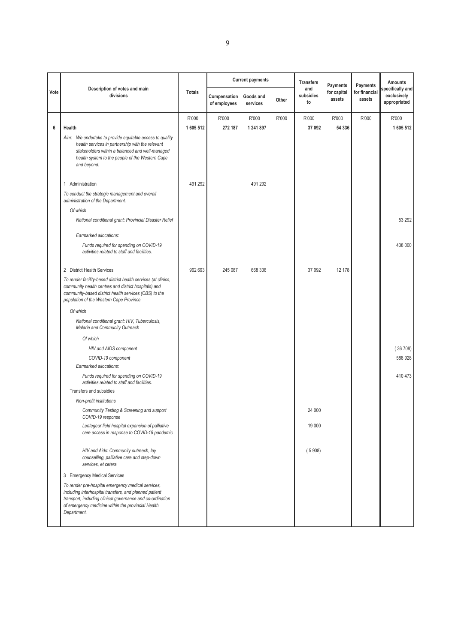|      | Description of votes and main                                                                                                                                                                                                                   |               |                              | <b>Current payments</b> |       | <b>Transfers</b>       | Payments              | Payments                | <b>Amounts</b>                                  |
|------|-------------------------------------------------------------------------------------------------------------------------------------------------------------------------------------------------------------------------------------------------|---------------|------------------------------|-------------------------|-------|------------------------|-----------------------|-------------------------|-------------------------------------------------|
| Vote | divisions                                                                                                                                                                                                                                       | <b>Totals</b> | Compensation<br>of employees | Goods and<br>services   | Other | and<br>subsidies<br>to | for capital<br>assets | for financial<br>assets | specifically and<br>exclusively<br>appropriated |
|      |                                                                                                                                                                                                                                                 | R'000         | R'000                        | R'000                   | R'000 | R'000                  | R'000                 | R'000                   | R'000                                           |
| 6    | Health                                                                                                                                                                                                                                          | 1 605 512     | 272 187                      | 1 241 897               |       | 37 092                 | 54 336                |                         | 1605512                                         |
|      | Aim: We undertake to provide equitable access to quality<br>health services in partnership with the relevant<br>stakeholders within a balanced and well-managed<br>health system to the people of the Western Cape<br>and beyond.               |               |                              |                         |       |                        |                       |                         |                                                 |
|      | 1 Administration                                                                                                                                                                                                                                | 491 292       |                              | 491 292                 |       |                        |                       |                         |                                                 |
|      | To conduct the strategic management and overall<br>administration of the Department.                                                                                                                                                            |               |                              |                         |       |                        |                       |                         |                                                 |
|      | Of which                                                                                                                                                                                                                                        |               |                              |                         |       |                        |                       |                         |                                                 |
|      | National conditional grant: Provincial Disaster Relief                                                                                                                                                                                          |               |                              |                         |       |                        |                       |                         | 53 292                                          |
|      | Earmarked allocations:                                                                                                                                                                                                                          |               |                              |                         |       |                        |                       |                         |                                                 |
|      | Funds required for spending on COVID-19<br>activities related to staff and facilities.                                                                                                                                                          |               |                              |                         |       |                        |                       |                         | 438 000                                         |
|      | 2 District Health Services                                                                                                                                                                                                                      | 962 693       | 245 087                      | 668 336                 |       | 37 092                 | 12 178                |                         |                                                 |
|      | To render facility-based district health services (at clinics,<br>community health centres and district hospitals) and<br>community-based district health services (CBS) to the<br>population of the Western Cape Province.                     |               |                              |                         |       |                        |                       |                         |                                                 |
|      | Of which                                                                                                                                                                                                                                        |               |                              |                         |       |                        |                       |                         |                                                 |
|      | National conditional grant: HIV, Tuberculosis,<br>Malaria and Community Outreach                                                                                                                                                                |               |                              |                         |       |                        |                       |                         |                                                 |
|      | Of which                                                                                                                                                                                                                                        |               |                              |                         |       |                        |                       |                         |                                                 |
|      | HIV and AIDS component                                                                                                                                                                                                                          |               |                              |                         |       |                        |                       |                         | (36708)                                         |
|      | COVID-19 component                                                                                                                                                                                                                              |               |                              |                         |       |                        |                       |                         | 588 928                                         |
|      | Earmarked allocations:                                                                                                                                                                                                                          |               |                              |                         |       |                        |                       |                         |                                                 |
|      | Funds required for spending on COVID-19<br>activities related to staff and facilities.                                                                                                                                                          |               |                              |                         |       |                        |                       |                         | 410 473                                         |
|      | Transfers and subsidies                                                                                                                                                                                                                         |               |                              |                         |       |                        |                       |                         |                                                 |
|      | Non-profit institutions                                                                                                                                                                                                                         |               |                              |                         |       |                        |                       |                         |                                                 |
|      | Community Testing & Screening and support<br>COVID-19 response                                                                                                                                                                                  |               |                              |                         |       | 24 000                 |                       |                         |                                                 |
|      | Lentegeur field hospital expansion of palliative<br>care access in response to COVID-19 pandemic                                                                                                                                                |               |                              |                         |       | 19 000                 |                       |                         |                                                 |
|      | HIV and Aids: Community outreach, lay<br>counselling, palliative care and step-down<br>services, et cetera                                                                                                                                      |               |                              |                         |       | (5908)                 |                       |                         |                                                 |
|      | 3 Emergency Medical Services                                                                                                                                                                                                                    |               |                              |                         |       |                        |                       |                         |                                                 |
|      | To render pre-hospital emergency medical services,<br>including interhospital transfers, and planned patient<br>transport, including clinical governance and co-ordination<br>of emergency medicine within the provincial Health<br>Department. |               |                              |                         |       |                        |                       |                         |                                                 |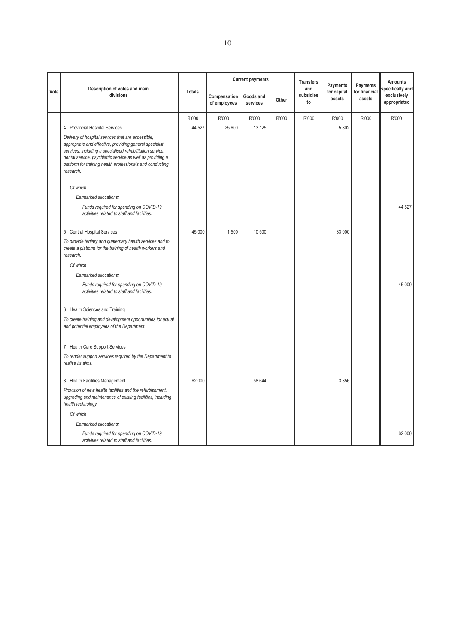|      |                                                                                                                                                                                                                                                                                                                    |               |                              | <b>Current payments</b> |       | <b>Transfers</b>       | Payments              | Payments                | <b>Amounts</b>                                 |
|------|--------------------------------------------------------------------------------------------------------------------------------------------------------------------------------------------------------------------------------------------------------------------------------------------------------------------|---------------|------------------------------|-------------------------|-------|------------------------|-----------------------|-------------------------|------------------------------------------------|
| Vote | Description of votes and main<br>divisions                                                                                                                                                                                                                                                                         | <b>Totals</b> | Compensation<br>of employees | Goods and<br>services   | Other | and<br>subsidies<br>to | for capital<br>assets | for financial<br>assets | pecifically and<br>exclusively<br>appropriated |
|      |                                                                                                                                                                                                                                                                                                                    | R'000         | R'000                        | R'000                   | R'000 | R'000                  | R'000                 | R'000                   | R'000                                          |
|      | 4 Provincial Hospital Services                                                                                                                                                                                                                                                                                     | 44 527        | 25 600                       | 13 125                  |       |                        | 5 802                 |                         |                                                |
|      | Delivery of hospital services that are accessible,<br>appropriate and effective, providing general specialist<br>services, including a specialised rehabilitation service,<br>dental service, psychiatric service as well as providing a<br>platform for training health professionals and conducting<br>research. |               |                              |                         |       |                        |                       |                         |                                                |
|      | Of which                                                                                                                                                                                                                                                                                                           |               |                              |                         |       |                        |                       |                         |                                                |
|      | Earmarked allocations:                                                                                                                                                                                                                                                                                             |               |                              |                         |       |                        |                       |                         |                                                |
|      | Funds required for spending on COVID-19<br>activities related to staff and facilities.                                                                                                                                                                                                                             |               |                              |                         |       |                        |                       |                         | 44 527                                         |
|      | 5 Central Hospital Services                                                                                                                                                                                                                                                                                        | 45 000        | 1500                         | 10 500                  |       |                        | 33 000                |                         |                                                |
|      | To provide tertiary and quaternary health services and to<br>create a platform for the training of health workers and<br>research.                                                                                                                                                                                 |               |                              |                         |       |                        |                       |                         |                                                |
|      | Of which                                                                                                                                                                                                                                                                                                           |               |                              |                         |       |                        |                       |                         |                                                |
|      | Earmarked allocations:                                                                                                                                                                                                                                                                                             |               |                              |                         |       |                        |                       |                         |                                                |
|      | Funds required for spending on COVID-19<br>activities related to staff and facilities.                                                                                                                                                                                                                             |               |                              |                         |       |                        |                       |                         | 45 000                                         |
|      | 6 Health Sciences and Training                                                                                                                                                                                                                                                                                     |               |                              |                         |       |                        |                       |                         |                                                |
|      | To create training and development opportunities for actual<br>and potential employees of the Department.                                                                                                                                                                                                          |               |                              |                         |       |                        |                       |                         |                                                |
|      | 7 Health Care Support Services                                                                                                                                                                                                                                                                                     |               |                              |                         |       |                        |                       |                         |                                                |
|      | To render support services required by the Department to<br>realise its aims.                                                                                                                                                                                                                                      |               |                              |                         |       |                        |                       |                         |                                                |
|      | 8 Health Facilities Management                                                                                                                                                                                                                                                                                     | 62 000        |                              | 58 644                  |       |                        | 3 3 5 6               |                         |                                                |
|      | Provision of new health facilities and the refurbishment,<br>upgrading and maintenance of existing facilities, including<br>health technology.                                                                                                                                                                     |               |                              |                         |       |                        |                       |                         |                                                |
|      | Of which                                                                                                                                                                                                                                                                                                           |               |                              |                         |       |                        |                       |                         |                                                |
|      | Earmarked allocations:                                                                                                                                                                                                                                                                                             |               |                              |                         |       |                        |                       |                         |                                                |
|      | Funds required for spending on COVID-19<br>activities related to staff and facilities.                                                                                                                                                                                                                             |               |                              |                         |       |                        |                       |                         | 62 000                                         |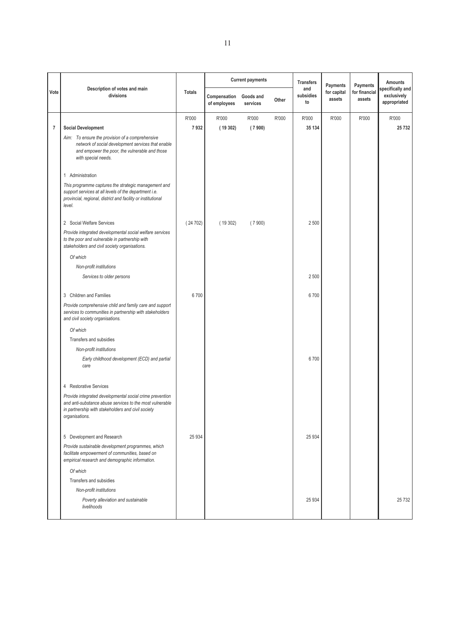|                | Description of votes and main                                                                                                                                                                |               |                              | <b>Current payments</b> |       | <b>Transfers</b>       | Payments              | Payments                | <b>Amounts</b>                                  |
|----------------|----------------------------------------------------------------------------------------------------------------------------------------------------------------------------------------------|---------------|------------------------------|-------------------------|-------|------------------------|-----------------------|-------------------------|-------------------------------------------------|
| Vote           | divisions                                                                                                                                                                                    | <b>Totals</b> | Compensation<br>of employees | Goods and<br>services   | Other | and<br>subsidies<br>to | for capital<br>assets | for financial<br>assets | specifically and<br>exclusively<br>appropriated |
|                |                                                                                                                                                                                              | R'000         | R'000                        | R'000                   | R'000 | R'000                  | R'000                 | R'000                   | R'000                                           |
| $\overline{7}$ | <b>Social Development</b>                                                                                                                                                                    | 7932          | (19302)                      | (7900)                  |       | 35 134                 |                       |                         | 25732                                           |
|                | Aim: To ensure the provision of a comprehensive<br>network of social development services that enable<br>and empower the poor, the vulnerable and those<br>with special needs.               |               |                              |                         |       |                        |                       |                         |                                                 |
|                | 1 Administration                                                                                                                                                                             |               |                              |                         |       |                        |                       |                         |                                                 |
|                | This programme captures the strategic management and<br>support services at all levels of the department i.e.<br>provincial, regional, district and facility or institutional<br>level.      |               |                              |                         |       |                        |                       |                         |                                                 |
|                | 2 Social Welfare Services                                                                                                                                                                    | (24702)       | (19302)                      | (7900)                  |       | 2 500                  |                       |                         |                                                 |
|                | Provide integrated developmental social welfare services<br>to the poor and vulnerable in partnership with<br>stakeholders and civil society organisations.                                  |               |                              |                         |       |                        |                       |                         |                                                 |
|                | Of which                                                                                                                                                                                     |               |                              |                         |       |                        |                       |                         |                                                 |
|                | Non-profit institutions                                                                                                                                                                      |               |                              |                         |       |                        |                       |                         |                                                 |
|                | Services to older persons                                                                                                                                                                    |               |                              |                         |       | 2 500                  |                       |                         |                                                 |
|                | 3 Children and Families                                                                                                                                                                      | 6700          |                              |                         |       | 6700                   |                       |                         |                                                 |
|                | Provide comprehensive child and family care and support<br>services to communities in partnership with stakeholders<br>and civil society organisations.                                      |               |                              |                         |       |                        |                       |                         |                                                 |
|                | Of which                                                                                                                                                                                     |               |                              |                         |       |                        |                       |                         |                                                 |
|                | Transfers and subsidies                                                                                                                                                                      |               |                              |                         |       |                        |                       |                         |                                                 |
|                | Non-profit institutions                                                                                                                                                                      |               |                              |                         |       |                        |                       |                         |                                                 |
|                | Early childhood development (ECD) and partial<br>care                                                                                                                                        |               |                              |                         |       | 6700                   |                       |                         |                                                 |
|                | 4 Restorative Services                                                                                                                                                                       |               |                              |                         |       |                        |                       |                         |                                                 |
|                | Provide integrated developmental social crime prevention<br>and anti-substance abuse services to the most vulnerable<br>in partnership with stakeholders and civil society<br>organisations. |               |                              |                         |       |                        |                       |                         |                                                 |
|                | 5 Development and Research                                                                                                                                                                   | 25 934        |                              |                         |       | 25 9 34                |                       |                         |                                                 |
|                | Provide sustainable development programmes, which<br>facilitate empowerment of communities, based on<br>empirical research and demographic information.                                      |               |                              |                         |       |                        |                       |                         |                                                 |
|                | Of which                                                                                                                                                                                     |               |                              |                         |       |                        |                       |                         |                                                 |
|                | Transfers and subsidies                                                                                                                                                                      |               |                              |                         |       |                        |                       |                         |                                                 |
|                | Non-profit institutions                                                                                                                                                                      |               |                              |                         |       |                        |                       |                         |                                                 |
|                | Poverty alleviation and sustainable<br>livelihoods                                                                                                                                           |               |                              |                         |       | 25 9 34                |                       |                         | 25732                                           |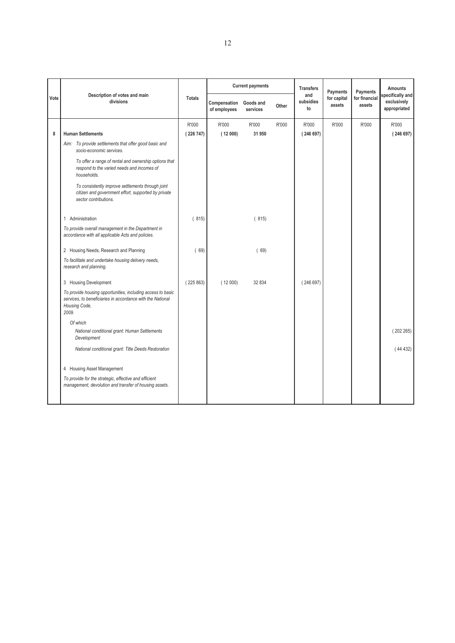|      |                                                                                                                                                     |               |                              | <b>Current payments</b> |       | <b>Transfers</b><br>and | Payments              | Payments                | <b>Amounts</b>                                  |
|------|-----------------------------------------------------------------------------------------------------------------------------------------------------|---------------|------------------------------|-------------------------|-------|-------------------------|-----------------------|-------------------------|-------------------------------------------------|
| Vote | Description of votes and main<br>divisions                                                                                                          | <b>Totals</b> | Compensation<br>of employees | Goods and<br>services   | Other | subsidies<br>to         | for capital<br>assets | for financial<br>assets | specifically and<br>exclusively<br>appropriated |
|      |                                                                                                                                                     | R'000         | R'000                        | R'000                   | R'000 | R'000                   | R'000                 | R'000                   | R'000                                           |
| 8    | <b>Human Settlements</b>                                                                                                                            | (226747)      | (12000)                      | 31 950                  |       | (246697)                |                       |                         | (246697)                                        |
|      | Aim: To provide settlements that offer good basic and<br>socio-economic services.                                                                   |               |                              |                         |       |                         |                       |                         |                                                 |
|      | To offer a range of rental and ownership options that<br>respond to the varied needs and incomes of<br>households.                                  |               |                              |                         |       |                         |                       |                         |                                                 |
|      | To consistently improve settlements through joint<br>citizen and government effort, supported by private<br>sector contributions.                   |               |                              |                         |       |                         |                       |                         |                                                 |
|      | 1 Administration                                                                                                                                    | (815)         |                              | (815)                   |       |                         |                       |                         |                                                 |
|      | To provide overall management in the Department in<br>accordance with all applicable Acts and policies.                                             |               |                              |                         |       |                         |                       |                         |                                                 |
|      | 2 Housing Needs, Research and Planning                                                                                                              | (69)          |                              | 69)                     |       |                         |                       |                         |                                                 |
|      | To facilitate and undertake housing delivery needs,<br>research and planning.                                                                       |               |                              |                         |       |                         |                       |                         |                                                 |
|      | 3 Housing Development                                                                                                                               | (225863)      | (12000)                      | 32 834                  |       | (246697)                |                       |                         |                                                 |
|      | To provide housing opportunities, including access to basic<br>services, to beneficiaries in accordance with the National<br>Housing Code,<br>2009. |               |                              |                         |       |                         |                       |                         |                                                 |
|      | Of which                                                                                                                                            |               |                              |                         |       |                         |                       |                         |                                                 |
|      | National conditional grant: Human Settlements<br>Development                                                                                        |               |                              |                         |       |                         |                       |                         | (202265)                                        |
|      | National conditional grant: Title Deeds Restoration                                                                                                 |               |                              |                         |       |                         |                       |                         | (44432)                                         |
|      | 4 Housing Asset Management                                                                                                                          |               |                              |                         |       |                         |                       |                         |                                                 |
|      | To provide for the strategic, effective and efficient<br>management, devolution and transfer of housing assets.                                     |               |                              |                         |       |                         |                       |                         |                                                 |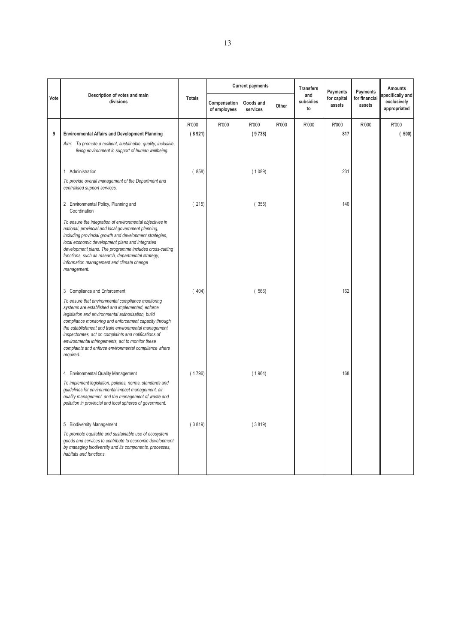|      |                                                                                                                                                                                                                                                                                                                                                                                                                                                                    |               |                              | <b>Current payments</b> |       | <b>Transfers</b>       | Payments              | Payments                | <b>Amounts</b>                                 |
|------|--------------------------------------------------------------------------------------------------------------------------------------------------------------------------------------------------------------------------------------------------------------------------------------------------------------------------------------------------------------------------------------------------------------------------------------------------------------------|---------------|------------------------------|-------------------------|-------|------------------------|-----------------------|-------------------------|------------------------------------------------|
| Vote | Description of votes and main<br>divisions                                                                                                                                                                                                                                                                                                                                                                                                                         | <b>Totals</b> | Compensation<br>of employees | Goods and<br>services   | Other | and<br>subsidies<br>to | for capital<br>assets | for financial<br>assets | pecifically and<br>exclusively<br>appropriated |
|      |                                                                                                                                                                                                                                                                                                                                                                                                                                                                    | R'000         | R'000                        | R'000                   | R'000 | R'000                  | R'000                 | R'000                   | R'000                                          |
| 9    | <b>Environmental Affairs and Development Planning</b>                                                                                                                                                                                                                                                                                                                                                                                                              | (8921)        |                              | (9738)                  |       |                        | 817                   |                         | (500)                                          |
|      | Aim: To promote a resilient, sustainable, quality, inclusive<br>living environment in support of human wellbeing.                                                                                                                                                                                                                                                                                                                                                  |               |                              |                         |       |                        |                       |                         |                                                |
|      | 1 Administration                                                                                                                                                                                                                                                                                                                                                                                                                                                   | (858)         |                              | (1089)                  |       |                        | 231                   |                         |                                                |
|      | To provide overall management of the Department and<br>centralised support services.                                                                                                                                                                                                                                                                                                                                                                               |               |                              |                         |       |                        |                       |                         |                                                |
|      | 2 Environmental Policy, Planning and<br>Coordination                                                                                                                                                                                                                                                                                                                                                                                                               | (215)         |                              | (355)                   |       |                        | 140                   |                         |                                                |
|      | To ensure the integration of environmental objectives in<br>national, provincial and local government planning,<br>including provincial growth and development strategies,<br>local economic development plans and integrated<br>development plans. The programme includes cross-cutting<br>functions, such as research, departmental strategy,<br>information management and climate change<br>management.                                                        |               |                              |                         |       |                        |                       |                         |                                                |
|      | 3 Compliance and Enforcement                                                                                                                                                                                                                                                                                                                                                                                                                                       | (404)         |                              | (566)                   |       |                        | 162                   |                         |                                                |
|      | To ensure that environmental compliance monitoring<br>systems are established and implemented, enforce<br>legislation and environmental authorisation, build<br>compliance monitoring and enforcement capacity through<br>the establishment and train environmental management<br>inspectorates, act on complaints and notifications of<br>environmental infringements, act to monitor these<br>complaints and enforce environmental compliance where<br>required. |               |                              |                         |       |                        |                       |                         |                                                |
|      | 4 Environmental Quality Management                                                                                                                                                                                                                                                                                                                                                                                                                                 | (1796)        |                              | (1964)                  |       |                        | 168                   |                         |                                                |
|      | To implement legislation, policies, norms, standards and<br>guidelines for environmental impact management, air<br>quality management, and the management of waste and<br>pollution in provincial and local spheres of government.                                                                                                                                                                                                                                 |               |                              |                         |       |                        |                       |                         |                                                |
|      | 5 Biodiversity Management                                                                                                                                                                                                                                                                                                                                                                                                                                          | (3819)        |                              | (3819)                  |       |                        |                       |                         |                                                |
|      | To promote equitable and sustainable use of ecosystem<br>goods and services to contribute to economic development<br>by managing biodiversity and its components, processes,<br>habitats and functions.                                                                                                                                                                                                                                                            |               |                              |                         |       |                        |                       |                         |                                                |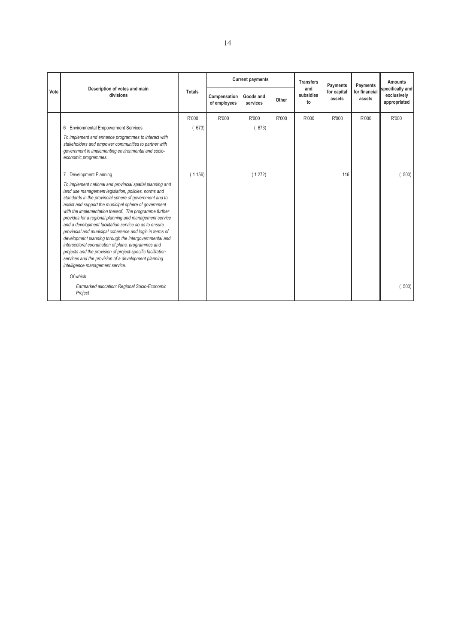|      |                                                                                                                                                                                                                                                                                                                                                                                                                                                                                                                                                                                                                                                                                                                                                              |               | <b>Current payments</b>      |                       |       | <b>Transfers</b>       | Payments              | Payments                | Amounts                                         |
|------|--------------------------------------------------------------------------------------------------------------------------------------------------------------------------------------------------------------------------------------------------------------------------------------------------------------------------------------------------------------------------------------------------------------------------------------------------------------------------------------------------------------------------------------------------------------------------------------------------------------------------------------------------------------------------------------------------------------------------------------------------------------|---------------|------------------------------|-----------------------|-------|------------------------|-----------------------|-------------------------|-------------------------------------------------|
| Vote | Description of votes and main<br>divisions                                                                                                                                                                                                                                                                                                                                                                                                                                                                                                                                                                                                                                                                                                                   | <b>Totals</b> | Compensation<br>of employees | Goods and<br>services | Other | and<br>subsidies<br>to | for capital<br>assets | for financial<br>assets | specifically and<br>exclusively<br>appropriated |
|      |                                                                                                                                                                                                                                                                                                                                                                                                                                                                                                                                                                                                                                                                                                                                                              | R'000         | R'000                        | R'000                 | R'000 | R'000                  | R'000                 | R'000                   | R'000                                           |
|      | 6 Environmental Empowerment Services                                                                                                                                                                                                                                                                                                                                                                                                                                                                                                                                                                                                                                                                                                                         | 673)          |                              | 673)                  |       |                        |                       |                         |                                                 |
|      | To implement and enhance programmes to interact with<br>stakeholders and empower communities to partner with<br>government in implementing environmental and socio-<br>economic programmes.                                                                                                                                                                                                                                                                                                                                                                                                                                                                                                                                                                  |               |                              |                       |       |                        |                       |                         |                                                 |
|      | Development Planning                                                                                                                                                                                                                                                                                                                                                                                                                                                                                                                                                                                                                                                                                                                                         | (1156)        |                              | (1272)                |       |                        | 116                   |                         | 500)                                            |
|      | To implement national and provincial spatial planning and<br>land use management legislation, policies, norms and<br>standards in the provincial sphere of government and to<br>assist and support the municipal sphere of government<br>with the implementation thereof. The programme further<br>provides for a regional planning and management service<br>and a development facilitation service so as to ensure<br>provincial and municipal coherence and logic in terms of<br>development planning through the intergovernmental and<br>intersectoral coordination of plans, programmes and<br>projects and the provision of project-specific facilitation<br>services and the provision of a development planning<br>intelligence management service. |               |                              |                       |       |                        |                       |                         |                                                 |
|      | Of which<br>Earmarked allocation: Regional Socio-Economic<br>Project                                                                                                                                                                                                                                                                                                                                                                                                                                                                                                                                                                                                                                                                                         |               |                              |                       |       |                        |                       |                         | 500)                                            |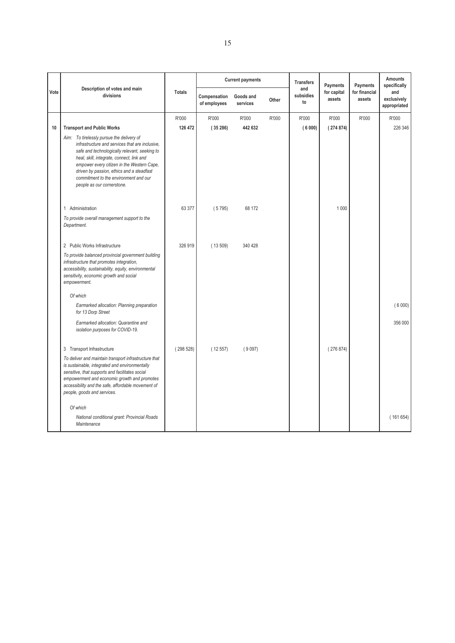|      |                                                                                                                                                                                                                                                                                                                                                              |               |                              | <b>Current payments</b> |       | <b>Transfers</b>       | Payments              | Payments                | <b>Amounts</b><br>specifically     |
|------|--------------------------------------------------------------------------------------------------------------------------------------------------------------------------------------------------------------------------------------------------------------------------------------------------------------------------------------------------------------|---------------|------------------------------|-------------------------|-------|------------------------|-----------------------|-------------------------|------------------------------------|
| Vote | Description of votes and main<br>divisions                                                                                                                                                                                                                                                                                                                   | <b>Totals</b> | Compensation<br>of employees | Goods and<br>services   | Other | and<br>subsidies<br>to | for capital<br>assets | for financial<br>assets | and<br>exclusively<br>appropriated |
|      |                                                                                                                                                                                                                                                                                                                                                              | R'000         | R'000                        | R'000                   | R'000 | R'000                  | R'000                 | R'000                   | R'000                              |
| 10   | <b>Transport and Public Works</b>                                                                                                                                                                                                                                                                                                                            | 126 472       | (35286)                      | 442 632                 |       | (6000)                 | (274874)              |                         | 226 346                            |
|      | Aim: To tirelessly pursue the delivery of<br>infrastructure and services that are inclusive,<br>safe and technologically relevant, seeking to<br>heal, skill, integrate, connect, link and<br>empower every citizen in the Western Cape,<br>driven by passion, ethics and a steadfast<br>commitment to the environment and our<br>people as our cornerstone. |               |                              |                         |       |                        |                       |                         |                                    |
|      | 1 Administration                                                                                                                                                                                                                                                                                                                                             | 63 377        | (5795)                       | 68 172                  |       |                        | 1 0 0 0               |                         |                                    |
|      | To provide overall management support to the<br>Department.                                                                                                                                                                                                                                                                                                  |               |                              |                         |       |                        |                       |                         |                                    |
|      | 2 Public Works Infrastructure                                                                                                                                                                                                                                                                                                                                | 326 919       | (13509)                      | 340 428                 |       |                        |                       |                         |                                    |
|      | To provide balanced provincial government building<br>infrastructure that promotes integration,<br>accessibility, sustainability, equity, environmental<br>sensitivity, economic growth and social<br>empowerment.                                                                                                                                           |               |                              |                         |       |                        |                       |                         |                                    |
|      | Of which                                                                                                                                                                                                                                                                                                                                                     |               |                              |                         |       |                        |                       |                         |                                    |
|      | Earmarked allocation: Planning preparation<br>for 13 Dorp Street                                                                                                                                                                                                                                                                                             |               |                              |                         |       |                        |                       |                         | (6000)                             |
|      | Earmarked allocation: Quarantine and<br>isolation purposes for COVID-19.                                                                                                                                                                                                                                                                                     |               |                              |                         |       |                        |                       |                         | 356 000                            |
|      | 3 Transport Infrastructure                                                                                                                                                                                                                                                                                                                                   | (298528)      | (12557)                      | (9097)                  |       |                        | (276874)              |                         |                                    |
|      | To deliver and maintain transport infrastructure that<br>is sustainable, integrated and environmentally<br>sensitive, that supports and facilitates social<br>empowerment and economic growth and promotes<br>accessibility and the safe, affordable movement of<br>people, goods and services.                                                              |               |                              |                         |       |                        |                       |                         |                                    |
|      | Of which                                                                                                                                                                                                                                                                                                                                                     |               |                              |                         |       |                        |                       |                         |                                    |
|      | National conditional grant: Provincial Roads<br>Maintenance                                                                                                                                                                                                                                                                                                  |               |                              |                         |       |                        |                       |                         | (161654)                           |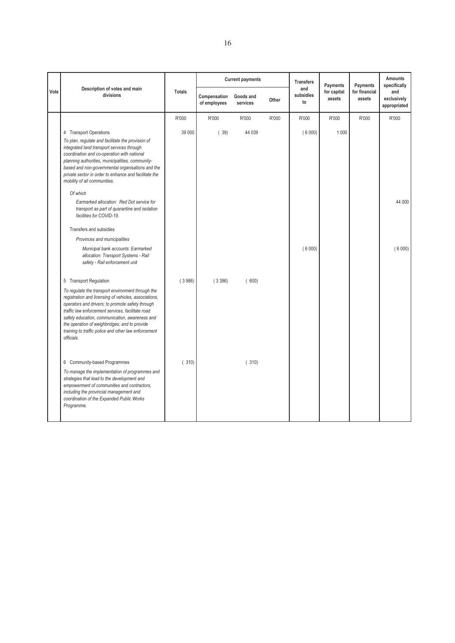|      |                                                                                                                                                                                                                                                                                                                                                                                              |               |                              | <b>Current payments</b> |       | <b>Transfers</b>       | Payments              | Payments                | <b>Amounts</b><br>specifically     |
|------|----------------------------------------------------------------------------------------------------------------------------------------------------------------------------------------------------------------------------------------------------------------------------------------------------------------------------------------------------------------------------------------------|---------------|------------------------------|-------------------------|-------|------------------------|-----------------------|-------------------------|------------------------------------|
| Vote | Description of votes and main<br>divisions                                                                                                                                                                                                                                                                                                                                                   | <b>Totals</b> | Compensation<br>of employees | Goods and<br>services   | Other | and<br>subsidies<br>to | for capital<br>assets | for financial<br>assets | and<br>exclusively<br>appropriated |
|      |                                                                                                                                                                                                                                                                                                                                                                                              | R'000         | R'000                        | R'000                   | R'000 | R'000                  | R'000                 | R'000                   | R'000                              |
|      | 4 Transport Operations<br>To plan, regulate and facilitate the provision of<br>integrated land transport services through<br>coordination and co-operation with national<br>planning authorities, municipalities, community-<br>based and non-governmental organisations and the<br>private sector in order to enhance and facilitate the<br>mobility of all communities.                    | 39 000        | (39)                         | 44 039                  |       | (6000)                 | 1 0 0 0               |                         |                                    |
|      | Of which<br>Earmarked allocation: Red Dot service for<br>transport as part of quarantine and isolation<br>facilities for COVID-19.                                                                                                                                                                                                                                                           |               |                              |                         |       |                        |                       |                         | 44 000                             |
|      | Transfers and subsidies                                                                                                                                                                                                                                                                                                                                                                      |               |                              |                         |       |                        |                       |                         |                                    |
|      | Provinces and municipalities<br>Municipal bank accounts: Earmarked<br>allocation: Transport Systems - Rail<br>safety - Rail enforcement unit                                                                                                                                                                                                                                                 |               |                              |                         |       | (6000)                 |                       |                         | (6000)                             |
|      | 5 Transport Regulation                                                                                                                                                                                                                                                                                                                                                                       | (3986)        | (3386)                       | (600)                   |       |                        |                       |                         |                                    |
|      | To regulate the transport environment through the<br>registration and licensing of vehicles, associations,<br>operators and drivers; to promote safety through<br>traffic law enforcement services, facilitate road<br>safety education, communication, awareness and<br>the operation of weighbridges; and to provide<br>training to traffic police and other law enforcement<br>officials. |               |                              |                         |       |                        |                       |                         |                                    |
|      | 6 Community-based Programmes<br>To manage the implementation of programmes and<br>strategies that lead to the development and<br>empowerment of communities and contractors,<br>including the provincial management and<br>coordination of the Expanded Public Works<br>Programme.                                                                                                           | (310)         |                              | (310)                   |       |                        |                       |                         |                                    |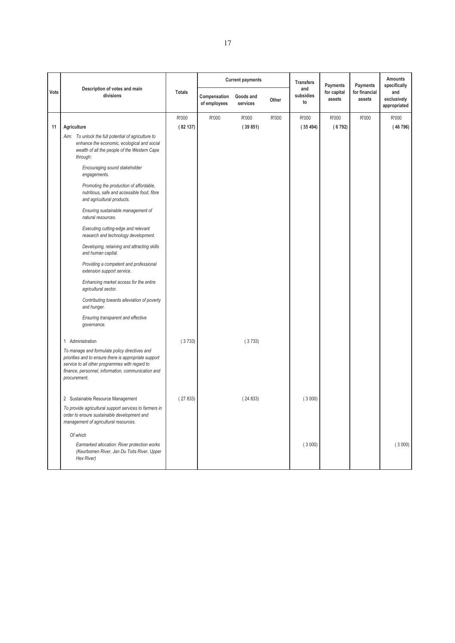|      |                                                                                                                                                                                                                                |               |                              | <b>Current payments</b> |       | <b>Transfers</b>       | Payments              | Payments                | <b>Amounts</b><br>specifically     |
|------|--------------------------------------------------------------------------------------------------------------------------------------------------------------------------------------------------------------------------------|---------------|------------------------------|-------------------------|-------|------------------------|-----------------------|-------------------------|------------------------------------|
| Vote | Description of votes and main<br>divisions                                                                                                                                                                                     | <b>Totals</b> | Compensation<br>of employees | Goods and<br>services   | Other | and<br>subsidies<br>to | for capital<br>assets | for financial<br>assets | and<br>exclusively<br>appropriated |
|      |                                                                                                                                                                                                                                | R'000         | R'000                        | R'000                   | R'000 | R'000                  | R'000                 | R'000                   | R'000                              |
| 11   | Agriculture                                                                                                                                                                                                                    | (82137)       |                              | (39851)                 |       | (35494)                | (6792)                |                         | (46796)                            |
|      | Aim: To unlock the full potential of agriculture to<br>enhance the economic, ecological and social<br>wealth of all the people of the Western Cape<br>through:                                                                 |               |                              |                         |       |                        |                       |                         |                                    |
|      | Encouraging sound stakeholder<br>engagements.                                                                                                                                                                                  |               |                              |                         |       |                        |                       |                         |                                    |
|      | Promoting the production of affordable,<br>nutritious, safe and accessible food, fibre<br>and agricultural products.                                                                                                           |               |                              |                         |       |                        |                       |                         |                                    |
|      | Ensuring sustainable management of<br>natural resources.                                                                                                                                                                       |               |                              |                         |       |                        |                       |                         |                                    |
|      | Executing cutting-edge and relevant<br>research and technology development.                                                                                                                                                    |               |                              |                         |       |                        |                       |                         |                                    |
|      | Developing, retaining and attracting skills<br>and human capital.                                                                                                                                                              |               |                              |                         |       |                        |                       |                         |                                    |
|      | Providing a competent and professional<br>extension support service.                                                                                                                                                           |               |                              |                         |       |                        |                       |                         |                                    |
|      | Enhancing market access for the entire<br>agricultural sector.                                                                                                                                                                 |               |                              |                         |       |                        |                       |                         |                                    |
|      | Contributing towards alleviation of poverty<br>and hunger.                                                                                                                                                                     |               |                              |                         |       |                        |                       |                         |                                    |
|      | Ensuring transparent and effective<br>governance.                                                                                                                                                                              |               |                              |                         |       |                        |                       |                         |                                    |
|      | 1 Administration                                                                                                                                                                                                               | (3733)        |                              | (3733)                  |       |                        |                       |                         |                                    |
|      | To manage and formulate policy directives and<br>priorities and to ensure there is appropriate support<br>service to all other programmes with regard to<br>finance, personnel, information, communication and<br>procurement. |               |                              |                         |       |                        |                       |                         |                                    |
|      | 2 Sustainable Resource Management                                                                                                                                                                                              | (27833)       |                              | (24833)                 |       | (3000)                 |                       |                         |                                    |
|      | To provide agricultural support services to farmers in<br>order to ensure sustainable development and<br>management of agricultural resources.                                                                                 |               |                              |                         |       |                        |                       |                         |                                    |
|      | Of which                                                                                                                                                                                                                       |               |                              |                         |       |                        |                       |                         |                                    |
|      | Earmarked allocation: River protection works<br>(Keurbomen River, Jan Du Toits River, Upper<br>Hex River)                                                                                                                      |               |                              |                         |       | (3000)                 |                       |                         | (3000)                             |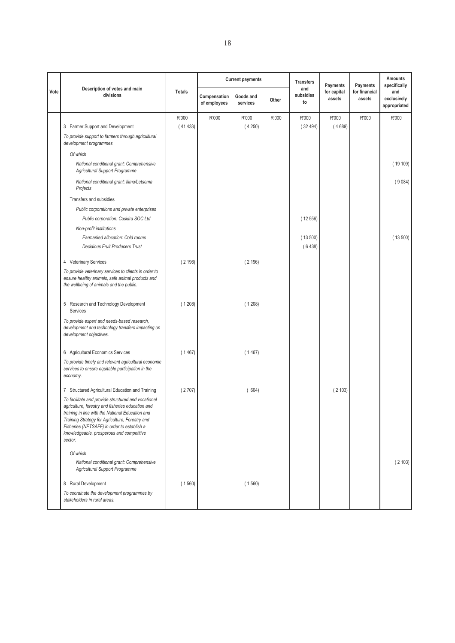|      |                                                                                                                                                                                                                                                                                                                        |               |                              | <b>Current payments</b> |       | <b>Transfers</b>       | Payments              | Payments                | <b>Amounts</b><br>specifically     |
|------|------------------------------------------------------------------------------------------------------------------------------------------------------------------------------------------------------------------------------------------------------------------------------------------------------------------------|---------------|------------------------------|-------------------------|-------|------------------------|-----------------------|-------------------------|------------------------------------|
| Vote | Description of votes and main<br>divisions                                                                                                                                                                                                                                                                             | <b>Totals</b> | Compensation<br>of employees | Goods and<br>services   | Other | and<br>subsidies<br>to | for capital<br>assets | for financial<br>assets | and<br>exclusively<br>appropriated |
|      |                                                                                                                                                                                                                                                                                                                        | R'000         | R'000                        | R'000                   | R'000 | R'000                  | R'000                 | R'000                   | R'000                              |
|      | 3 Farmer Support and Development                                                                                                                                                                                                                                                                                       | (41433)       |                              | (4250)                  |       | (32494)                | (4689)                |                         |                                    |
|      | To provide support to farmers through agricultural<br>development programmes                                                                                                                                                                                                                                           |               |                              |                         |       |                        |                       |                         |                                    |
|      | Of which                                                                                                                                                                                                                                                                                                               |               |                              |                         |       |                        |                       |                         |                                    |
|      | National conditional grant: Comprehensive<br><b>Agricultural Support Programme</b>                                                                                                                                                                                                                                     |               |                              |                         |       |                        |                       |                         | (19109)                            |
|      | National conditional grant: Ilima/Letsema<br>Projects                                                                                                                                                                                                                                                                  |               |                              |                         |       |                        |                       |                         | (9084)                             |
|      | Transfers and subsidies                                                                                                                                                                                                                                                                                                |               |                              |                         |       |                        |                       |                         |                                    |
|      | Public corporations and private enterprises                                                                                                                                                                                                                                                                            |               |                              |                         |       |                        |                       |                         |                                    |
|      | Public corporation: Casidra SOC Ltd                                                                                                                                                                                                                                                                                    |               |                              |                         |       | (12556)                |                       |                         |                                    |
|      | Non-profit institutions                                                                                                                                                                                                                                                                                                |               |                              |                         |       |                        |                       |                         |                                    |
|      | Earmarked allocation: Cold rooms                                                                                                                                                                                                                                                                                       |               |                              |                         |       | (13500)                |                       |                         | (13500)                            |
|      | <b>Decidious Fruit Producers Trust</b>                                                                                                                                                                                                                                                                                 |               |                              |                         |       | (6438)                 |                       |                         |                                    |
|      | 4 Veterinary Services                                                                                                                                                                                                                                                                                                  | (2196)        |                              | (2196)                  |       |                        |                       |                         |                                    |
|      | To provide veterinary services to clients in order to<br>ensure healthy animals, safe animal products and<br>the wellbeing of animals and the public.                                                                                                                                                                  |               |                              |                         |       |                        |                       |                         |                                    |
|      | 5 Research and Technology Development<br>Services                                                                                                                                                                                                                                                                      | (1208)        |                              | (1208)                  |       |                        |                       |                         |                                    |
|      | To provide expert and needs-based research,<br>development and technology transfers impacting on<br>development objectives.                                                                                                                                                                                            |               |                              |                         |       |                        |                       |                         |                                    |
|      | 6 Agricultural Economics Services                                                                                                                                                                                                                                                                                      | (1467)        |                              | (1467)                  |       |                        |                       |                         |                                    |
|      | To provide timely and relevant agricultural economic<br>services to ensure equitable participation in the<br>economy.                                                                                                                                                                                                  |               |                              |                         |       |                        |                       |                         |                                    |
|      | 7 Structured Agricultural Education and Training                                                                                                                                                                                                                                                                       | (2707)        |                              | (604)                   |       |                        | (2103)                |                         |                                    |
|      | To facilitate and provide structured and vocational<br>agriculture, forestry and fisheries education and<br>training in line with the National Education and<br>Training Strategy for Agriculture, Forestry and<br>Fisheries (NETSAFF) in order to establish a<br>knowledgeable, prosperous and competitive<br>sector. |               |                              |                         |       |                        |                       |                         |                                    |
|      | Of which                                                                                                                                                                                                                                                                                                               |               |                              |                         |       |                        |                       |                         |                                    |
|      | National conditional grant: Comprehensive<br>Agricultural Support Programme                                                                                                                                                                                                                                            |               |                              |                         |       |                        |                       |                         | (2103)                             |
|      | 8 Rural Development                                                                                                                                                                                                                                                                                                    | (1560)        |                              | (1560)                  |       |                        |                       |                         |                                    |
|      | To coordinate the development programmes by<br>stakeholders in rural areas.                                                                                                                                                                                                                                            |               |                              |                         |       |                        |                       |                         |                                    |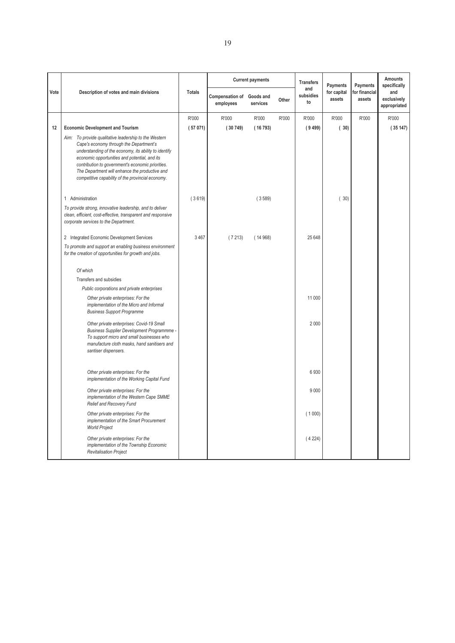|      |                                                                                                                                                                                                                                                                                                                                                                        |               |                                        | <b>Current payments</b> |       | <b>Transfers</b>       | Payments              | Payments                | <b>Amounts</b><br>specifically     |
|------|------------------------------------------------------------------------------------------------------------------------------------------------------------------------------------------------------------------------------------------------------------------------------------------------------------------------------------------------------------------------|---------------|----------------------------------------|-------------------------|-------|------------------------|-----------------------|-------------------------|------------------------------------|
| Vote | Description of votes and main divisions                                                                                                                                                                                                                                                                                                                                | <b>Totals</b> | Compensation of Goods and<br>employees | services                | Other | and<br>subsidies<br>to | for capital<br>assets | for financial<br>assets | and<br>exclusively<br>appropriated |
|      |                                                                                                                                                                                                                                                                                                                                                                        | R'000         | R'000                                  | R'000                   | R'000 | R'000                  | R'000                 | R'000                   | R'000                              |
| 12   | <b>Economic Development and Tourism</b>                                                                                                                                                                                                                                                                                                                                | (57071)       | (30749)                                | (16793)                 |       | (9499)                 | (30)                  |                         | (35147)                            |
|      | Aim: To provide qualitative leadership to the Western<br>Cape's economy through the Department's<br>understanding of the economy, its ability to identify<br>economic opportunities and potential, and its<br>contribution to government's economic priorities.<br>The Department will enhance the productive and<br>competitive capability of the provincial economy. |               |                                        |                         |       |                        |                       |                         |                                    |
|      | 1 Administration                                                                                                                                                                                                                                                                                                                                                       | (3619)        |                                        | (3589)                  |       |                        | (30)                  |                         |                                    |
|      | To provide strong, innovative leadership, and to deliver<br>clean, efficient, cost-effective, transparent and responsive<br>corporate services to the Department.                                                                                                                                                                                                      |               |                                        |                         |       |                        |                       |                         |                                    |
|      | 2 Integrated Economic Development Services                                                                                                                                                                                                                                                                                                                             | 3 4 6 7       | (7213)                                 | (14968)                 |       | 25 648                 |                       |                         |                                    |
|      | To promote and support an enabling business environment<br>for the creation of opportunities for growth and jobs.                                                                                                                                                                                                                                                      |               |                                        |                         |       |                        |                       |                         |                                    |
|      | Of which                                                                                                                                                                                                                                                                                                                                                               |               |                                        |                         |       |                        |                       |                         |                                    |
|      | Transfers and subsidies                                                                                                                                                                                                                                                                                                                                                |               |                                        |                         |       |                        |                       |                         |                                    |
|      | Public corporations and private enterprises                                                                                                                                                                                                                                                                                                                            |               |                                        |                         |       |                        |                       |                         |                                    |
|      | Other private enterprises: For the<br>implementation of the Micro and Informal<br><b>Business Support Programme</b>                                                                                                                                                                                                                                                    |               |                                        |                         |       | 11 000                 |                       |                         |                                    |
|      | Other private enterprises: Covid-19 Small<br>Business Supplier Development Programmme -<br>To support micro and small businesses who<br>manufacture cloth masks, hand sanitisers and<br>santiser dispensers.                                                                                                                                                           |               |                                        |                         |       | 2000                   |                       |                         |                                    |
|      | Other private enterprises: For the<br>implementation of the Working Capital Fund                                                                                                                                                                                                                                                                                       |               |                                        |                         |       | 6930                   |                       |                         |                                    |
|      | Other private enterprises: For the<br>implementation of the Western Cape SMME<br>Relief and Recovery Fund                                                                                                                                                                                                                                                              |               |                                        |                         |       | 9000                   |                       |                         |                                    |
|      | Other private enterprises: For the<br>implementation of the Smart Procurement<br><b>World Project</b>                                                                                                                                                                                                                                                                  |               |                                        |                         |       | (1000)                 |                       |                         |                                    |
|      | Other private enterprises: For the<br>implementation of the Township Economic<br><b>Revitalisation Project</b>                                                                                                                                                                                                                                                         |               |                                        |                         |       | (4224)                 |                       |                         |                                    |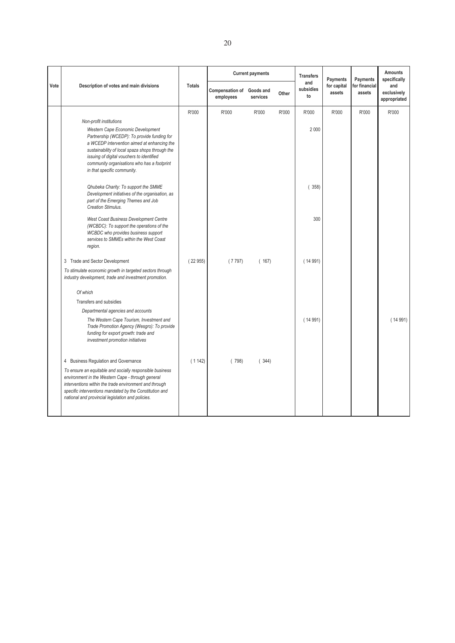|      |                                                                                                                                                                                                                                                                                                                                          |               |                                        | <b>Current payments</b> |       | <b>Transfers</b>       | Payments              | Payments                | Amounts<br>specifically            |
|------|------------------------------------------------------------------------------------------------------------------------------------------------------------------------------------------------------------------------------------------------------------------------------------------------------------------------------------------|---------------|----------------------------------------|-------------------------|-------|------------------------|-----------------------|-------------------------|------------------------------------|
| Vote | Description of votes and main divisions                                                                                                                                                                                                                                                                                                  | <b>Totals</b> | Compensation of Goods and<br>employees | services                | Other | and<br>subsidies<br>to | for capital<br>assets | for financial<br>assets | and<br>exclusively<br>appropriated |
|      |                                                                                                                                                                                                                                                                                                                                          | R'000         | R'000                                  | R'000                   | R'000 | R'000                  | R'000                 | R'000                   | R'000                              |
|      | Non-profit institutions<br>Western Cape Economic Development<br>Partnership (WCEDP): To provide funding for<br>a WCEDP intervention aimed at enhancing the<br>sustainability of local spaza shops through the<br>issuing of digital vouchers to identified<br>community organisations who has a footprint<br>in that specific community. |               |                                        |                         |       | 2000                   |                       |                         |                                    |
|      | Qhubeka Charity: To support the SMME<br>Development initiatives of the organisation, as<br>part of the Emerging Themes and Job<br>Creation Stimulus.                                                                                                                                                                                     |               |                                        |                         |       | 358)                   |                       |                         |                                    |
|      | West Coast Business Development Centre<br>(WCBDC): To support the operations of the<br><b>WCBDC</b> who provides business support<br>services to SMMEs within the West Coast<br>region.                                                                                                                                                  |               |                                        |                         |       | 300                    |                       |                         |                                    |
|      | 3 Trade and Sector Development                                                                                                                                                                                                                                                                                                           | (22955)       | (7797)                                 | (167)                   |       | (14991)                |                       |                         |                                    |
|      | To stimulate economic growth in targeted sectors through<br>industry development, trade and investment promotion.                                                                                                                                                                                                                        |               |                                        |                         |       |                        |                       |                         |                                    |
|      | Of which                                                                                                                                                                                                                                                                                                                                 |               |                                        |                         |       |                        |                       |                         |                                    |
|      | Transfers and subsidies                                                                                                                                                                                                                                                                                                                  |               |                                        |                         |       |                        |                       |                         |                                    |
|      | Departmental agencies and accounts<br>The Western Cape Tourism, Investment and<br>Trade Promotion Agency (Wesgro): To provide<br>funding for export growth: trade and<br>investment promotion initiatives                                                                                                                                |               |                                        |                         |       | (14991)                |                       |                         | (14991)                            |
|      | 4 Business Regulation and Governance                                                                                                                                                                                                                                                                                                     | (1142)        | (798)                                  | (344)                   |       |                        |                       |                         |                                    |
|      | To ensure an equitable and socially responsible business<br>environment in the Western Cape - through general<br>interventions within the trade environment and through<br>specific interventions mandated by the Constitution and<br>national and provincial legislation and policies.                                                  |               |                                        |                         |       |                        |                       |                         |                                    |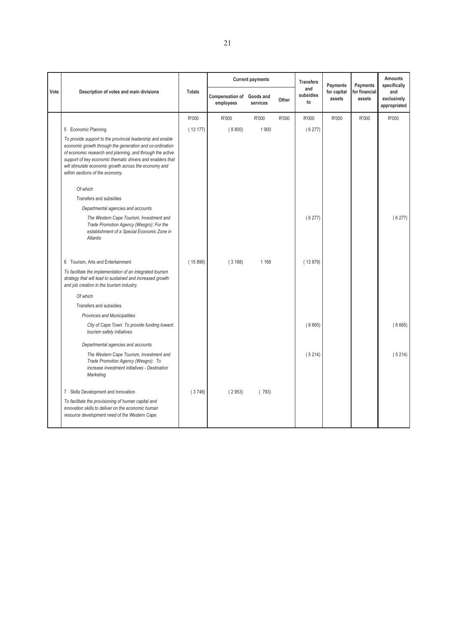|      |                                                                                                                                                                                                                                                                                                                                               |               |                                        | <b>Current payments</b> |       | <b>Transfers</b>       | Payments              | Payments                | Amounts<br>specifically            |
|------|-----------------------------------------------------------------------------------------------------------------------------------------------------------------------------------------------------------------------------------------------------------------------------------------------------------------------------------------------|---------------|----------------------------------------|-------------------------|-------|------------------------|-----------------------|-------------------------|------------------------------------|
| Vote | Description of votes and main divisions                                                                                                                                                                                                                                                                                                       | <b>Totals</b> | Compensation of Goods and<br>employees | services                | Other | and<br>subsidies<br>to | for capital<br>assets | for financial<br>assets | and<br>exclusively<br>appropriated |
|      |                                                                                                                                                                                                                                                                                                                                               | R'000         | R'000                                  | R'000                   | R'000 | R'000                  | R'000                 | R'000                   | R'000                              |
|      | 5 Economic Planning                                                                                                                                                                                                                                                                                                                           | (13177)       | (8800)                                 | 1900                    |       | (6277)                 |                       |                         |                                    |
|      | To provide support to the provincial leadership and enable<br>economic growth through the generation and co-ordination<br>of economic research and planning, and through the active<br>support of key economic thematic drivers and enablers that<br>will stimulate economic growth across the economy and<br>within sections of the economy. |               |                                        |                         |       |                        |                       |                         |                                    |
|      | Of which                                                                                                                                                                                                                                                                                                                                      |               |                                        |                         |       |                        |                       |                         |                                    |
|      | Transfers and subsidies                                                                                                                                                                                                                                                                                                                       |               |                                        |                         |       |                        |                       |                         |                                    |
|      | Departmental agencies and accounts                                                                                                                                                                                                                                                                                                            |               |                                        |                         |       |                        |                       |                         |                                    |
|      | The Western Cape Tourism, Investment and<br>Trade Promotion Agency (Wesgro): For the<br>establishment of a Special Economic Zone in<br><b>Atlantis</b>                                                                                                                                                                                        |               |                                        |                         |       | (6277)                 |                       |                         | (6277)                             |
|      | 6 Tourism, Arts and Entertainment                                                                                                                                                                                                                                                                                                             | (15899)       | (3188)                                 | 1 1 6 8                 |       | (13879)                |                       |                         |                                    |
|      | To facilitate the implementation of an integrated tourism<br>strategy that will lead to sustained and increased growth<br>and job creation in the tourism industry.                                                                                                                                                                           |               |                                        |                         |       |                        |                       |                         |                                    |
|      | Of which                                                                                                                                                                                                                                                                                                                                      |               |                                        |                         |       |                        |                       |                         |                                    |
|      | Transfers and subsidies                                                                                                                                                                                                                                                                                                                       |               |                                        |                         |       |                        |                       |                         |                                    |
|      | Provinces and Municipalities                                                                                                                                                                                                                                                                                                                  |               |                                        |                         |       |                        |                       |                         |                                    |
|      | City of Cape Town: To provide funding toward<br>tourism safety initiatives                                                                                                                                                                                                                                                                    |               |                                        |                         |       | (8665)                 |                       |                         | (8665)                             |
|      | Departmental agencies and accounts                                                                                                                                                                                                                                                                                                            |               |                                        |                         |       |                        |                       |                         |                                    |
|      | The Western Cape Tourism, Investment and<br>Trade Promotion Agency (Wesgro): To<br>increase investment initiatives - Destination<br>Marketing                                                                                                                                                                                                 |               |                                        |                         |       | (5214)                 |                       |                         | (5214)                             |
|      | 7 Skills Development and Innovation                                                                                                                                                                                                                                                                                                           | (3746)        | (2953)                                 | (793)                   |       |                        |                       |                         |                                    |
|      | To facilitate the provisioning of human capital and<br>innovation skills to deliver on the economic human<br>resource development need of the Western Cape.                                                                                                                                                                                   |               |                                        |                         |       |                        |                       |                         |                                    |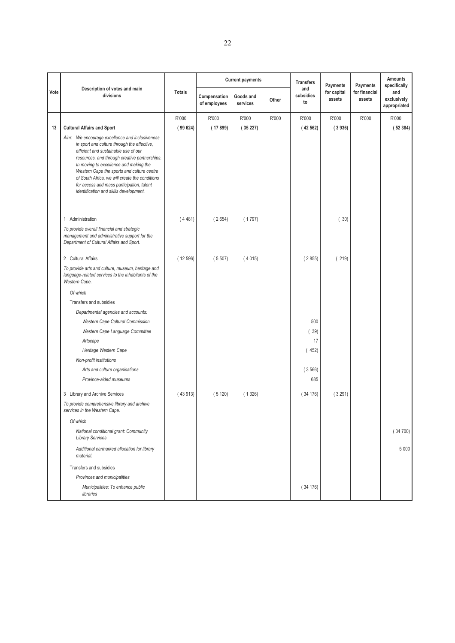|      |                                                                                                                                                                                                                                                                                                                                                                                                                         |               |                              | <b>Current payments</b> |       | <b>Transfers</b>       | Payments              | Payments                | <b>Amounts</b><br>specifically     |
|------|-------------------------------------------------------------------------------------------------------------------------------------------------------------------------------------------------------------------------------------------------------------------------------------------------------------------------------------------------------------------------------------------------------------------------|---------------|------------------------------|-------------------------|-------|------------------------|-----------------------|-------------------------|------------------------------------|
| Vote | Description of votes and main<br>divisions                                                                                                                                                                                                                                                                                                                                                                              | <b>Totals</b> | Compensation<br>of employees | Goods and<br>services   | Other | and<br>subsidies<br>to | for capital<br>assets | for financial<br>assets | and<br>exclusively<br>appropriated |
|      |                                                                                                                                                                                                                                                                                                                                                                                                                         | R'000         | R'000                        | R'000                   | R'000 | R'000                  | R'000                 | R'000                   | R'000                              |
| 13   | <b>Cultural Affairs and Sport</b>                                                                                                                                                                                                                                                                                                                                                                                       | (99624)       | (17899)                      | (35227)                 |       | (42562)                | (3936)                |                         | (52384)                            |
|      | Aim: We encourage excellence and inclusiveness<br>in sport and culture through the effective,<br>efficient and sustainable use of our<br>resources, and through creative partnerships.<br>In moving to excellence and making the<br>Western Cape the sports and culture centre<br>of South Africa, we will create the conditions<br>for access and mass participation, talent<br>identification and skills development. |               |                              |                         |       |                        |                       |                         |                                    |
|      | 1 Administration                                                                                                                                                                                                                                                                                                                                                                                                        | (4481)        | (2654)                       | (1797)                  |       |                        | (30)                  |                         |                                    |
|      | To provide overall financial and strategic<br>management and administrative support for the<br>Department of Cultural Affairs and Sport.                                                                                                                                                                                                                                                                                |               |                              |                         |       |                        |                       |                         |                                    |
|      | 2 Cultural Affairs                                                                                                                                                                                                                                                                                                                                                                                                      | (12596)       | (5507)                       | (4015)                  |       | (2855)                 | (219)                 |                         |                                    |
|      | To provide arts and culture, museum, heritage and<br>language-related services to the inhabitants of the<br>Western Cape.                                                                                                                                                                                                                                                                                               |               |                              |                         |       |                        |                       |                         |                                    |
|      | Of which                                                                                                                                                                                                                                                                                                                                                                                                                |               |                              |                         |       |                        |                       |                         |                                    |
|      | Transfers and subsidies                                                                                                                                                                                                                                                                                                                                                                                                 |               |                              |                         |       |                        |                       |                         |                                    |
|      | Departmental agencies and accounts:                                                                                                                                                                                                                                                                                                                                                                                     |               |                              |                         |       |                        |                       |                         |                                    |
|      | Western Cape Cultural Commission                                                                                                                                                                                                                                                                                                                                                                                        |               |                              |                         |       | 500                    |                       |                         |                                    |
|      | Western Cape Language Committee                                                                                                                                                                                                                                                                                                                                                                                         |               |                              |                         |       | (39)                   |                       |                         |                                    |
|      | Artscape                                                                                                                                                                                                                                                                                                                                                                                                                |               |                              |                         |       | 17                     |                       |                         |                                    |
|      | Heritage Western Cape                                                                                                                                                                                                                                                                                                                                                                                                   |               |                              |                         |       | (452)                  |                       |                         |                                    |
|      | Non-profit institutions                                                                                                                                                                                                                                                                                                                                                                                                 |               |                              |                         |       |                        |                       |                         |                                    |
|      | Arts and culture organisations<br>Province-aided museums                                                                                                                                                                                                                                                                                                                                                                |               |                              |                         |       | (3566)<br>685          |                       |                         |                                    |
|      |                                                                                                                                                                                                                                                                                                                                                                                                                         |               |                              |                         |       |                        |                       |                         |                                    |
|      | 3 Library and Archive Services                                                                                                                                                                                                                                                                                                                                                                                          | (43913)       | (5120)                       | (1326)                  |       | (34176)                | (3291)                |                         |                                    |
|      | To provide comprehensive library and archive<br>services in the Western Cape.                                                                                                                                                                                                                                                                                                                                           |               |                              |                         |       |                        |                       |                         |                                    |
|      | Of which                                                                                                                                                                                                                                                                                                                                                                                                                |               |                              |                         |       |                        |                       |                         |                                    |
|      | National conditional grant: Community<br><b>Library Services</b>                                                                                                                                                                                                                                                                                                                                                        |               |                              |                         |       |                        |                       |                         | (34700)                            |
|      | Additional earmarked allocation for library<br>material.                                                                                                                                                                                                                                                                                                                                                                |               |                              |                         |       |                        |                       |                         | 5 0 0 0                            |
|      | Transfers and subsidies                                                                                                                                                                                                                                                                                                                                                                                                 |               |                              |                         |       |                        |                       |                         |                                    |
|      | Provinces and municipalities                                                                                                                                                                                                                                                                                                                                                                                            |               |                              |                         |       |                        |                       |                         |                                    |
|      | Municipalities: To enhance public<br>libraries                                                                                                                                                                                                                                                                                                                                                                          |               |                              |                         |       | (34176)                |                       |                         |                                    |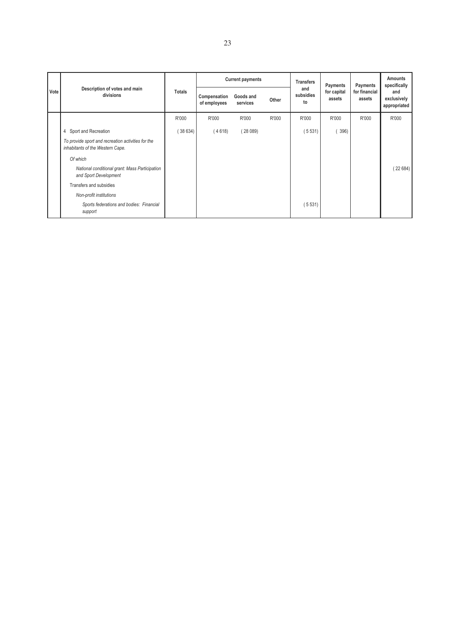|      |                                                                                        |         |                              | <b>Current payments</b> |       | <b>Transfers</b>       | Payments              | Payments                | Amounts<br>specifically<br>and<br>exclusively<br>appropriated |
|------|----------------------------------------------------------------------------------------|---------|------------------------------|-------------------------|-------|------------------------|-----------------------|-------------------------|---------------------------------------------------------------|
| Vote | Description of votes and main<br>divisions                                             | Totals  | Compensation<br>of employees | Goods and<br>services   | Other | and<br>subsidies<br>to | for capital<br>assets | for financial<br>assets |                                                               |
|      |                                                                                        | R'000   | R'000                        | R'000                   | R'000 | R'000                  | R'000                 | R'000                   | R'000                                                         |
|      | 4 Sport and Recreation                                                                 | (38634) | (4618)                       | (28089)                 |       | (5531)                 | 396)                  |                         |                                                               |
|      | To provide sport and recreation activities for the<br>inhabitants of the Western Cape. |         |                              |                         |       |                        |                       |                         |                                                               |
|      | Of which                                                                               |         |                              |                         |       |                        |                       |                         |                                                               |
|      | National conditional grant: Mass Participation<br>and Sport Development                |         |                              |                         |       |                        |                       |                         | (22684)                                                       |
|      | Transfers and subsidies                                                                |         |                              |                         |       |                        |                       |                         |                                                               |
|      | Non-profit institutions                                                                |         |                              |                         |       |                        |                       |                         |                                                               |
|      | Sports federations and bodies: Financial<br>support                                    |         |                              |                         |       | (5531)                 |                       |                         |                                                               |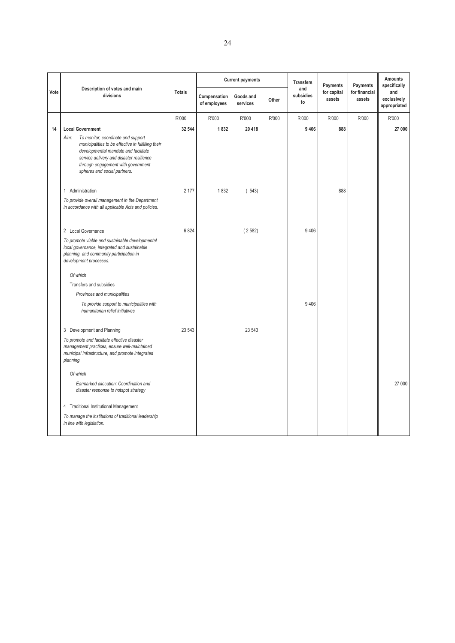|      |                                                                                                                                                                                                                                                       |               |                              | <b>Current payments</b> |       | <b>Transfers</b>       | Payments              | Payments                | <b>Amounts</b><br>specifically     |
|------|-------------------------------------------------------------------------------------------------------------------------------------------------------------------------------------------------------------------------------------------------------|---------------|------------------------------|-------------------------|-------|------------------------|-----------------------|-------------------------|------------------------------------|
| Vote | Description of votes and main<br>divisions                                                                                                                                                                                                            | <b>Totals</b> | Compensation<br>of employees | Goods and<br>services   | Other | and<br>subsidies<br>to | for capital<br>assets | for financial<br>assets | and<br>exclusively<br>appropriated |
|      |                                                                                                                                                                                                                                                       | R'000         | R'000                        | R'000                   | R'000 | R'000                  | R'000                 | R'000                   | R'000                              |
| 14   | <b>Local Government</b><br>To monitor, coordinate and support<br>Aim:<br>municipalities to be effective in fulfilling their<br>developmental mandate and facilitate<br>service delivery and disaster resilience<br>through engagement with government | 32 544        | 1832                         | 20 418                  |       | 9 4 0 6                | 888                   |                         | 27 000                             |
|      | spheres and social partners.                                                                                                                                                                                                                          |               |                              |                         |       |                        |                       |                         |                                    |
|      | 1 Administration<br>To provide overall management in the Department<br>in accordance with all applicable Acts and policies.                                                                                                                           | 2 177         | 1832                         | (543)                   |       |                        | 888                   |                         |                                    |
|      | 2 Local Governance                                                                                                                                                                                                                                    | 6824          |                              | (2582)                  |       | 9 4 0 6                |                       |                         |                                    |
|      | To promote viable and sustainable developmental<br>local governance, integrated and sustainable<br>planning, and community participation in<br>development processes.                                                                                 |               |                              |                         |       |                        |                       |                         |                                    |
|      | Of which                                                                                                                                                                                                                                              |               |                              |                         |       |                        |                       |                         |                                    |
|      | Transfers and subsidies                                                                                                                                                                                                                               |               |                              |                         |       |                        |                       |                         |                                    |
|      | Provinces and municipalities                                                                                                                                                                                                                          |               |                              |                         |       |                        |                       |                         |                                    |
|      | To provide support to municipalities with<br>humanitarian relief initiatives                                                                                                                                                                          |               |                              |                         |       | 9 4 0 6                |                       |                         |                                    |
|      | 3 Development and Planning                                                                                                                                                                                                                            | 23 543        |                              | 23 543                  |       |                        |                       |                         |                                    |
|      | To promote and facilitate effective disaster<br>management practices, ensure well-maintained<br>municipal infrastructure, and promote integrated<br>planning.                                                                                         |               |                              |                         |       |                        |                       |                         |                                    |
|      | Of which                                                                                                                                                                                                                                              |               |                              |                         |       |                        |                       |                         |                                    |
|      | Earmarked allocation: Coordination and<br>disaster response to hotspot strategy                                                                                                                                                                       |               |                              |                         |       |                        |                       |                         | 27 000                             |
|      | 4 Traditional Institutional Management                                                                                                                                                                                                                |               |                              |                         |       |                        |                       |                         |                                    |
|      | To manage the institutions of traditional leadership<br>in line with legislation.                                                                                                                                                                     |               |                              |                         |       |                        |                       |                         |                                    |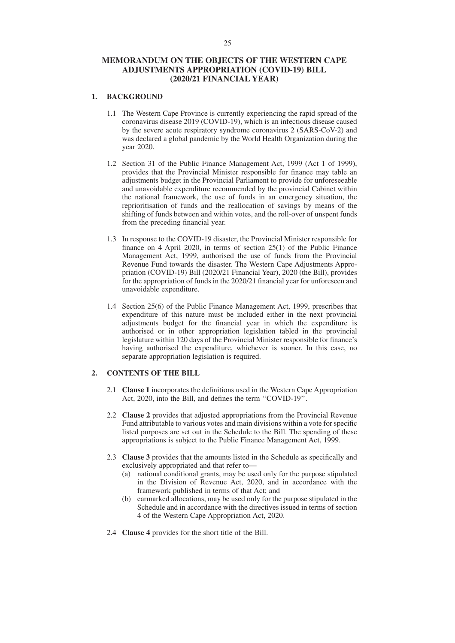### **MEMORANDUM ON THE OBJECTS OF THE WESTERN CAPE ADJUSTMENTS APPROPRIATION (COVID-19) BILL (2020/21 FINANCIAL YEAR)**

#### **1. BACKGROUND**

- 1.1 The Western Cape Province is currently experiencing the rapid spread of the coronavirus disease 2019 (COVID-19), which is an infectious disease caused by the severe acute respiratory syndrome coronavirus 2 (SARS-CoV-2) and was declared a global pandemic by the World Health Organization during the year 2020.
- 1.2 Section 31 of the Public Finance Management Act, 1999 (Act 1 of 1999), provides that the Provincial Minister responsible for finance may table an adjustments budget in the Provincial Parliament to provide for unforeseeable and unavoidable expenditure recommended by the provincial Cabinet within the national framework, the use of funds in an emergency situation, the reprioritisation of funds and the reallocation of savings by means of the shifting of funds between and within votes, and the roll-over of unspent funds from the preceding financial year.
- 1.3 In response to the COVID-19 disaster, the Provincial Minister responsible for finance on 4 April 2020, in terms of section 25(1) of the Public Finance Management Act, 1999, authorised the use of funds from the Provincial Revenue Fund towards the disaster. The Western Cape Adjustments Appropriation (COVID-19) Bill (2020/21 Financial Year), 2020 (the Bill), provides for the appropriation of funds in the 2020/21 financial year for unforeseen and unavoidable expenditure.
- 1.4 Section 25(6) of the Public Finance Management Act, 1999, prescribes that expenditure of this nature must be included either in the next provincial adjustments budget for the financial year in which the expenditure is authorised or in other appropriation legislation tabled in the provincial legislature within 120 days of the Provincial Minister responsible for finance's having authorised the expenditure, whichever is sooner. In this case, no separate appropriation legislation is required.

#### **2. CONTENTS OF THE BILL**

- 2.1 **Clause 1** incorporates the definitions used in the Western Cape Appropriation Act, 2020, into the Bill, and defines the term ''COVID-19''.
- 2.2 **Clause 2** provides that adjusted appropriations from the Provincial Revenue Fund attributable to various votes and main divisions within a vote for specific listed purposes are set out in the Schedule to the Bill. The spending of these appropriations is subject to the Public Finance Management Act, 1999.
- 2.3 **Clause 3** provides that the amounts listed in the Schedule as specifically and exclusively appropriated and that refer to—
	- (a) national conditional grants, may be used only for the purpose stipulated in the Division of Revenue Act, 2020, and in accordance with the framework published in terms of that Act; and
	- (b) earmarked allocations, may be used only for the purpose stipulated in the Schedule and in accordance with the directives issued in terms of section 4 of the Western Cape Appropriation Act, 2020.
- 2.4 **Clause 4** provides for the short title of the Bill.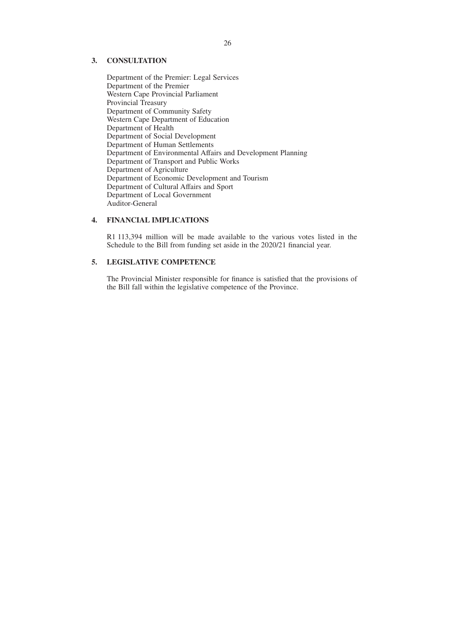### **3. CONSULTATION**

Department of the Premier: Legal Services Department of the Premier Western Cape Provincial Parliament Provincial Treasury Department of Community Safety Western Cape Department of Education Department of Health Department of Social Development Department of Human Settlements Department of Environmental Affairs and Development Planning Department of Transport and Public Works Department of Agriculture Department of Economic Development and Tourism Department of Cultural Affairs and Sport Department of Local Government Auditor-General

### **4. FINANCIAL IMPLICATIONS**

R1 113,394 million will be made available to the various votes listed in the Schedule to the Bill from funding set aside in the 2020/21 financial year.

#### **5. LEGISLATIVE COMPETENCE**

The Provincial Minister responsible for finance is satisfied that the provisions of the Bill fall within the legislative competence of the Province.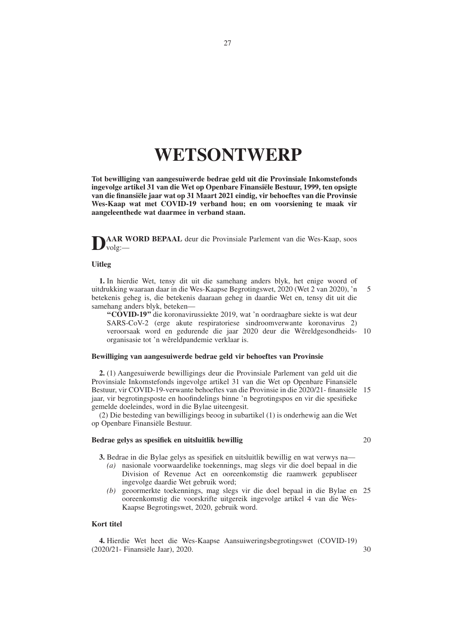# **WETSONTWERP**

**Tot bewilliging van aangesuiwerde bedrae geld uit die Provinsiale Inkomstefonds ingevolge artikel 31 van die Wet op Openbare Finansiële Bestuur, 1999, ten opsigte van die finansiële jaar wat op 31 Maart 2021 eindig, vir behoeftes van die Provinsie Wes-Kaap wat met COVID-19 verband hou; en om voorsiening te maak vir aangeleenthede wat daarmee in verband staan.**

**DAAR WORD BEPAAL** deur die Provinsiale Parlement van die Wes-Kaap, soos  $v$ olg:–

### **Uitleg**

**1.** In hierdie Wet, tensy dit uit die samehang anders blyk, het enige woord of uitdrukking waaraan daar in die Wes-Kaapse Begrotingswet, 2020 (Wet 2 van 2020), 'n betekenis geheg is, die betekenis daaraan geheg in daardie Wet en, tensy dit uit die samehang anders blyk, beteken— 5

**''COVID-19''** die koronavirussiekte 2019, wat 'n oordraagbare siekte is wat deur SARS-CoV-2 (erge akute respiratoriese sindroomverwante koronavirus 2) veroorsaak word en gedurende die jaar 2020 deur die Wêreldgesondheids-10 organisasie tot 'n wêreldpandemie verklaar is.

#### **Bewilliging van aangesuiwerde bedrae geld vir behoeftes van Provinsie**

**2.** (1) Aangesuiwerde bewilligings deur die Provinsiale Parlement van geld uit die Provinsiale Inkomstefonds ingevolge artikel 31 van die Wet op Openbare Finansiële Bestuur, vir COVID-19-verwante behoeftes van die Provinsie in die 2020/21- finansiële 15 jaar, vir begrotingsposte en hoofindelings binne 'n begrotingspos en vir die spesifieke gemelde doeleindes, word in die Bylae uiteengesit.

(2) Die besteding van bewilligings beoog in subartikel (1) is onderhewig aan die Wet op Openbare Finansiële Bestuur.

#### **Bedrae gelys as spesifiek en uitsluitlik bewillig**

**3.** Bedrae in die Bylae gelys as spesifiek en uitsluitlik bewillig en wat verwys na—

- *(a)* nasionale voorwaardelike toekennings, mag slegs vir die doel bepaal in die Division of Revenue Act en ooreenkomstig die raamwerk gepubliseer ingevolge daardie Wet gebruik word;
- *(b)* geoormerkte toekennings, mag slegs vir die doel bepaal in die Bylae en 25 ooreenkomstig die voorskrifte uitgereik ingevolge artikel 4 van die Wes-Kaapse Begrotingswet, 2020, gebruik word.

#### **Kort titel**

**4.** Hierdie Wet heet die Wes-Kaapse Aansuiweringsbegrotingswet (COVID-19) (2020/21- Finansiële Jaar), 2020. 30

20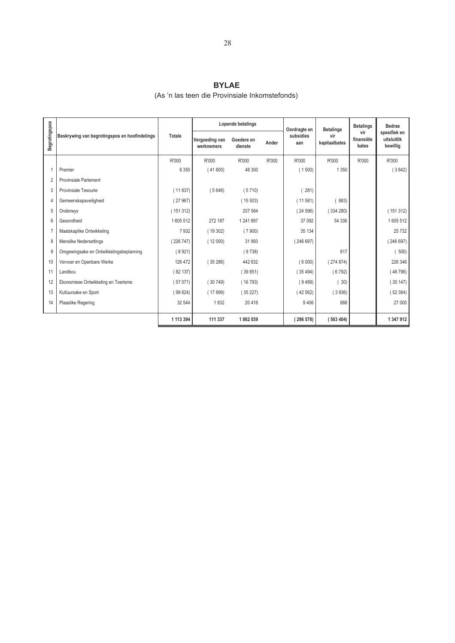### **BYLAE**

## (As 'n las teen die Provinsiale Inkomstefonds)

|                |                                               |           |                              | Lopende betalings     |       | Oordragte en     | <b>Betalings</b>     | <b>Betalings</b>           | <b>Bedrae</b>                           |
|----------------|-----------------------------------------------|-----------|------------------------------|-----------------------|-------|------------------|----------------------|----------------------------|-----------------------------------------|
| Begrotingspos  | Beskrywing van begrotingspos en hoofindelings | Totale    | Vergoeding van<br>werknemers | Goedere en<br>dienste | Ander | subsidies<br>aan | vir<br>kapitaalbates | vir<br>finansiële<br>bates | spesifiek en<br>uitsluitlik<br>bewillig |
|                |                                               | R'000     | R'000                        | R'000                 | R'000 | R'000            | R'000                | R'000                      | R'000                                   |
|                | Premier                                       | 6 3 5 0   | (41800)                      | 48 300                |       | (1500)           | 1 3 5 0              |                            | (3842)                                  |
| $\overline{2}$ | Provinsiale Parlement                         |           |                              |                       |       |                  |                      |                            |                                         |
| 3              | Provinsiale Tesourie                          | (11637)   | (5646)                       | (5710)                |       | 281)             |                      |                            |                                         |
| 4              | Gemeenskapsveiligheid                         | (27967)   |                              | (15503)               |       | (11581)          | 883)                 |                            |                                         |
| 5              | Onderwys                                      | (151312)  |                              | 207 564               |       | (24596)          | (334280)             |                            | (151312)                                |
| 6              | Gesondheid                                    | 1605512   | 272 187                      | 1 241 897             |       | 37 092           | 54 336               |                            | 1605512                                 |
|                | Maatskaplike Ontwikkeling                     | 7932      | (19302)                      | (7900)                |       | 35 134           |                      |                            | 25 7 32                                 |
| 8              | <b>Menslike Nedersettings</b>                 | (226747)  | (12000)                      | 31 950                |       | (246697)         |                      |                            | 246 697)                                |
| 9              | Omgewingsake en Ontwikkelingsbeplanning       | (8921)    |                              | (9738)                |       |                  | 817                  |                            | 500)                                    |
| 10             | Vervoer en Openbare Werke                     | 126 472   | (35286)                      | 442 632               |       | (6000)           | (274874)             |                            | 226 346                                 |
| 11             | Landbou                                       | (82137)   |                              | (39851)               |       | (35494)          | (6792)               |                            | (46796)                                 |
| 12             | Ekonomiese Ontwikkeling en Toerisme           | (57071)   | (30749)                      | (16793)               |       | (9499)           | 30)                  |                            | (35147)                                 |
| 13             | Kultuursake en Sport                          | (99624)   | (17899)                      | (35227)               |       | 42 562)          | (3936)               |                            | (52384)                                 |
| 14             | Plaaslike Regering                            | 32 544    | 1832                         | 20 4 18               |       | 9 4 0 6          | 888                  |                            | 27 000                                  |
|                |                                               |           |                              |                       |       |                  |                      |                            |                                         |
|                |                                               | 1 113 394 | 111 337                      | 1862039               |       | (296578)         | (563404)             |                            | 1 347 912                               |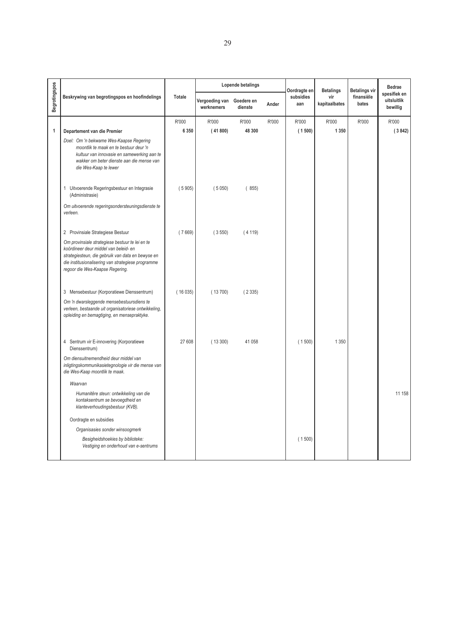|                      |                                                                                                                                                                                                                                        |         |                                         | Lopende betalings |       | Oordragte en     | <b>Betalings</b>     | <b>Betalings vir</b> | <b>Bedrae</b>                           |
|----------------------|----------------------------------------------------------------------------------------------------------------------------------------------------------------------------------------------------------------------------------------|---------|-----------------------------------------|-------------------|-------|------------------|----------------------|----------------------|-----------------------------------------|
| <b>Begrotingspos</b> | Beskrywing van begrotingspos en hoofindelings                                                                                                                                                                                          | Totale  | Vergoeding van Goedere en<br>werknemers | dienste           | Ander | subsidies<br>aan | vir<br>kapitaalbates | finansiële<br>bates  | spesifiek en<br>uitsluitlik<br>bewillig |
|                      |                                                                                                                                                                                                                                        | R'000   | R'000                                   | R'000             | R'000 | R'000            | R'000                | R'000                | R'000                                   |
| 1                    | Departement van die Premier                                                                                                                                                                                                            | 6 3 5 0 | (41800)                                 | 48 300            |       | (1500)           | 1 3 5 0              |                      | (3842)                                  |
|                      | Doel: Om 'n bekwame Wes-Kaapse Regering<br>moontlik te maak en te bestuur deur 'n<br>kultuur van innovasie en samewerking aan te<br>wakker om beter dienste aan die mense van<br>die Wes-Kaap te lewer                                 |         |                                         |                   |       |                  |                      |                      |                                         |
|                      | 1 Uitvoerende Regeringsbestuur en Integrasie<br>(Administrasie)                                                                                                                                                                        | (5905)  | (5050)                                  | (855)             |       |                  |                      |                      |                                         |
|                      | Om uitvoerende regeringsondersteuningsdienste te<br>verleen.                                                                                                                                                                           |         |                                         |                   |       |                  |                      |                      |                                         |
|                      | 2 Provinsiale Strategiese Bestuur                                                                                                                                                                                                      | (7669)  | (3550)                                  | (4119)            |       |                  |                      |                      |                                         |
|                      | Om provinsiale strategiese bestuur te lei en te<br>koördineer deur middel van beleid- en<br>strategiesteun, die gebruik van data en bewyse en<br>die institusionalisering van strategiese programme<br>regoor die Wes-Kaapse Regering. |         |                                         |                   |       |                  |                      |                      |                                         |
|                      | 3 Mensebestuur (Korporatiewe Dienssentrum)                                                                                                                                                                                             | (16035) | (13700)                                 | (2335)            |       |                  |                      |                      |                                         |
|                      | Om 'n dwarsleggende mensebestuursdiens te<br>verleen, bestaande uit organisatoriese ontwikkeling,<br>opleiding en bemagtiging, en mensepraktyke.                                                                                       |         |                                         |                   |       |                  |                      |                      |                                         |
|                      | 4 Sentrum vir E-innovering (Korporatiewe<br>Dienssentrum)                                                                                                                                                                              | 27 608  | (13300)                                 | 41 058            |       | (1500)           | 1 3 5 0              |                      |                                         |
|                      | Om diensuitnemendheid deur middel van<br>inligtingskommunikasietegnologie vir die mense van<br>die Wes-Kaap moontlik te maak.                                                                                                          |         |                                         |                   |       |                  |                      |                      |                                         |
|                      | Waarvan                                                                                                                                                                                                                                |         |                                         |                   |       |                  |                      |                      |                                         |
|                      | Humanitêre steun: ontwikkeling van die<br>kontaksentrum se bevoegdheid en<br>klanteverhoudingsbestuur (KVB).                                                                                                                           |         |                                         |                   |       |                  |                      |                      | 11 158                                  |
|                      | Oordragte en subsidies                                                                                                                                                                                                                 |         |                                         |                   |       |                  |                      |                      |                                         |
|                      | Organisasies sonder winsoogmerk                                                                                                                                                                                                        |         |                                         |                   |       |                  |                      |                      |                                         |
|                      | Besigheidshoekies by biblioteke:<br>Vestiging en onderhoud van e-sentrums                                                                                                                                                              |         |                                         |                   |       | (1500)           |                      |                      |                                         |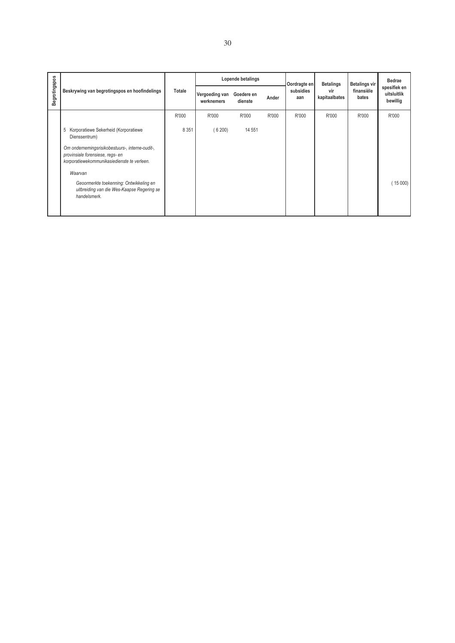|                      | Beskrywing van begrotingspos en hoofindelings                                                                                      |         |                              | Lopende betalings     |       | Oordragte en<br>subsidies<br>aan | <b>Betalings</b><br>vir<br>kapitaalbates | <b>Betalings vir</b> | Bedrae<br>spesifiek en<br>uitsluitlik<br>bewillig |
|----------------------|------------------------------------------------------------------------------------------------------------------------------------|---------|------------------------------|-----------------------|-------|----------------------------------|------------------------------------------|----------------------|---------------------------------------------------|
| <b>Begrotingspos</b> |                                                                                                                                    | Totale  | Vergoeding van<br>werknemers | Goedere en<br>dienste | Ander |                                  |                                          | finansiële<br>bates  |                                                   |
|                      |                                                                                                                                    | R'000   | R'000                        | R'000                 | R'000 | R'000                            | R'000                                    | R'000                | R'000                                             |
|                      | 5 Korporatiewe Sekerheid (Korporatiewe<br>Dienssentrum)                                                                            | 8 3 5 1 | (6200)                       | 14 551                |       |                                  |                                          |                      |                                                   |
|                      | Om ondernemingsrisikobestuurs-, interne-oudit-,<br>provinsiale forensiese, regs- en<br>korporatiewekommunikasiedienste te verleen. |         |                              |                       |       |                                  |                                          |                      |                                                   |
|                      | Waarvan                                                                                                                            |         |                              |                       |       |                                  |                                          |                      |                                                   |
|                      | Geoormerkte toekenning: Ontwikkeling en<br>uitbreiding van die Wes-Kaapse Regering se<br>handelsmerk.                              |         |                              |                       |       |                                  |                                          |                      | (15000)                                           |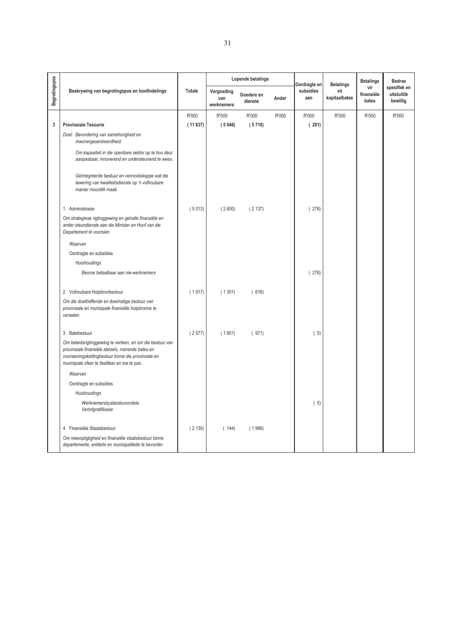|               |                                                                                                                                                                                                                         |         |                                 | Lopende betalings     |       | Oordragte en     | <b>Betalings</b>     | <b>Betalings</b>           | <b>Bedrae</b>                           |
|---------------|-------------------------------------------------------------------------------------------------------------------------------------------------------------------------------------------------------------------------|---------|---------------------------------|-----------------------|-------|------------------|----------------------|----------------------------|-----------------------------------------|
| Begrotingspos | Beskrywing van begrotingspos en hoofindelings                                                                                                                                                                           | Totale  | Vergoeding<br>van<br>werknemers | Goedere en<br>dienste | Ander | subsidies<br>aan | vir<br>kapitaalbates | vir<br>finansiële<br>bates | spesifiek en<br>uitsluitlik<br>bewillig |
|               |                                                                                                                                                                                                                         | R'000   | R'000                           | R'000                 | R'000 | R'000            | R'000                | R'000                      | R'000                                   |
| 3             | <b>Provinsiale Tesourie</b>                                                                                                                                                                                             | (11637) | (5646)                          | (5710)                |       | (281)            |                      |                            |                                         |
|               | Doel: Bevordering van samehorigheid en<br>inwonergesentreerdheid.                                                                                                                                                       |         |                                 |                       |       |                  |                      |                            |                                         |
|               | Om kapasiteit in die openbare sektor op te bou deur<br>aanpasbaar, innoverend en ondersteunend te wees.                                                                                                                 |         |                                 |                       |       |                  |                      |                            |                                         |
|               | Geïntegreerde bestuur en vennootskappe wat die<br>lewering van kwaliteitsdienste op 'n volhoubare<br>manier moontlik maak.                                                                                              |         |                                 |                       |       |                  |                      |                            |                                         |
|               | 1 Administrasie                                                                                                                                                                                                         | (5013)  | (2600)                          | (2137)                |       | (276)            |                      |                            |                                         |
|               | Om strategiese rigtinggewing en gehalte finansiële en<br>ander steundienste aan die Minister en Hoof van die<br>Departement te voorsien.                                                                                |         |                                 |                       |       |                  |                      |                            |                                         |
|               | Waarvan                                                                                                                                                                                                                 |         |                                 |                       |       |                  |                      |                            |                                         |
|               | Oordragte en subsidies                                                                                                                                                                                                  |         |                                 |                       |       |                  |                      |                            |                                         |
|               | Huishoudings                                                                                                                                                                                                            |         |                                 |                       |       |                  |                      |                            |                                         |
|               | Beurse betaalbaar aan nie-werknemers                                                                                                                                                                                    |         |                                 |                       |       | (276)            |                      |                            |                                         |
|               | 2 Volhoubare Hulpbronbestuur                                                                                                                                                                                            | (1917)  | (1301)                          | (616)                 |       |                  |                      |                            |                                         |
|               | Om die doeltreffende en doelmatige bestuur van<br>provinsiale en munisipale finansiële hulpbronne te<br>verseker.                                                                                                       |         |                                 |                       |       |                  |                      |                            |                                         |
|               | 3 Batebestuur                                                                                                                                                                                                           | (2577)  | (1601)                          | (971)                 |       | (5)              |                      |                            |                                         |
|               | Om beleidsrigtinggewing te verleen, en om die bestuur van<br>provinsiale finansiële stelsels, roerende bates en<br>voorsieningskettingbestuur binne die provinsiale en<br>munisipale sfeer te fasiliteer en toe te pas. |         |                                 |                       |       |                  |                      |                            |                                         |
|               | Waarvan                                                                                                                                                                                                                 |         |                                 |                       |       |                  |                      |                            |                                         |
|               | Oordragte en subsidies                                                                                                                                                                                                  |         |                                 |                       |       |                  |                      |                            |                                         |
|               | Huishoudings                                                                                                                                                                                                            |         |                                 |                       |       |                  |                      |                            |                                         |
|               | Werknemersbystandsvoordele:<br>Verlofgratifikasie                                                                                                                                                                       |         |                                 |                       |       | (5)              |                      |                            |                                         |
|               | 4 Finansiële Staatsbestuur                                                                                                                                                                                              | (2130)  | (144)                           | (1986)                |       |                  |                      |                            |                                         |
|               | Om rekenpligtigheid en finansiële staatsbestuur binne<br>departemente, entiteite en munisipaliteite te bevorder.                                                                                                        |         |                                 |                       |       |                  |                      |                            |                                         |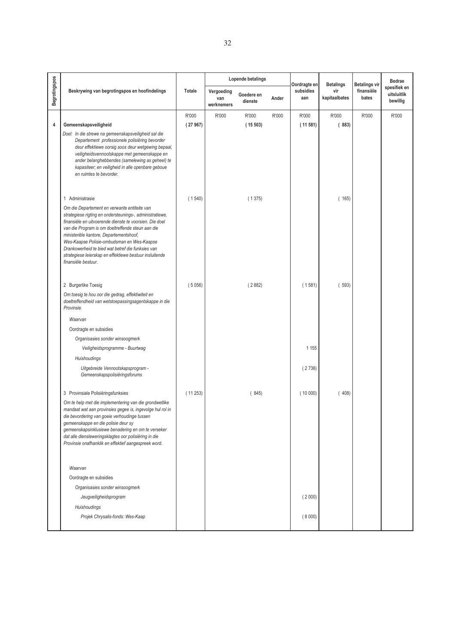|               |                                                                                                                                                                                                                                                                                                                                                                                                                                                          |         | Lopende betalings               |                       |       |                                  | <b>Betalings</b>     | <b>Betalings vir</b> | <b>Bedrae</b>                           |
|---------------|----------------------------------------------------------------------------------------------------------------------------------------------------------------------------------------------------------------------------------------------------------------------------------------------------------------------------------------------------------------------------------------------------------------------------------------------------------|---------|---------------------------------|-----------------------|-------|----------------------------------|----------------------|----------------------|-----------------------------------------|
| Begrotingspos | Beskrywing van begrotingspos en hoofindelings                                                                                                                                                                                                                                                                                                                                                                                                            | Totale  | Vergoeding<br>van<br>werknemers | Goedere en<br>dienste | Ander | Oordragte en<br>subsidies<br>aan | vir<br>kapitaalbates | finansiële<br>bates  | spesifiek en<br>uitsluitlik<br>bewillig |
|               |                                                                                                                                                                                                                                                                                                                                                                                                                                                          | R'000   | R'000                           | R'000                 | R'000 | R'000                            | R'000                | R'000                | R'000                                   |
| 4             | Gemeenskapsveiligheid                                                                                                                                                                                                                                                                                                                                                                                                                                    | (27967) |                                 | (15503)               |       | (11581)                          | (883)                |                      |                                         |
|               | Doel: In die strewe na gemeenskapsveiligheid sal die<br>Departement professionele polisiëring bevorder<br>deur effektiewe oorsig soos deur wetgewing bepaal,<br>veiligheidsvennootskappe met gemeenskappe en<br>ander belanghebbendes (samelewing as geheel) te<br>kapasiteer; en veiligheid in alle openbare geboue<br>en ruimtes te bevorder.                                                                                                          |         |                                 |                       |       |                                  |                      |                      |                                         |
|               | 1 Administrasie                                                                                                                                                                                                                                                                                                                                                                                                                                          | (1540)  |                                 | (1375)                |       |                                  | (165)                |                      |                                         |
|               | Om die Departement en verwante entiteite van<br>strategiese rigting en ondersteunings-, administratiewe,<br>finansiële en uitvoerende dienste te voorsien. Die doel<br>van die Program is om doeltreffende steun aan die<br>ministeriële kantore, Departementshoof,<br>Wes-Kaapse Polisie-ombudsman en Wes-Kaapse<br>Drankowerheid te bied wat betref die funksies van<br>strategiese leierskap en effektiewe bestuur insluitende<br>finansiële bestuur. |         |                                 |                       |       |                                  |                      |                      |                                         |
|               | 2 Burgerlike Toesig                                                                                                                                                                                                                                                                                                                                                                                                                                      | (5056)  |                                 | (2882)                |       | (1581)                           | (593)                |                      |                                         |
|               | Om toesig te hou oor die gedrag, effektiwiteit en<br>doeltreffendheid van wetstoepassingsagentskappe in die<br>Provinsie.                                                                                                                                                                                                                                                                                                                                |         |                                 |                       |       |                                  |                      |                      |                                         |
|               | Waarvan                                                                                                                                                                                                                                                                                                                                                                                                                                                  |         |                                 |                       |       |                                  |                      |                      |                                         |
|               | Oordragte en subsidies                                                                                                                                                                                                                                                                                                                                                                                                                                   |         |                                 |                       |       |                                  |                      |                      |                                         |
|               | Organisasies sonder winsoogmerk                                                                                                                                                                                                                                                                                                                                                                                                                          |         |                                 |                       |       |                                  |                      |                      |                                         |
|               | Veiligheidsprogramme - Buurtwag                                                                                                                                                                                                                                                                                                                                                                                                                          |         |                                 |                       |       | 1 1 5 5                          |                      |                      |                                         |
|               | Huishoudings                                                                                                                                                                                                                                                                                                                                                                                                                                             |         |                                 |                       |       |                                  |                      |                      |                                         |
|               | Uitgebreide Vennootskapsprogram -<br>Gemeenskapspolisiëringsforums                                                                                                                                                                                                                                                                                                                                                                                       |         |                                 |                       |       | (2736)                           |                      |                      |                                         |
|               | 3 Provinsiale Polisiëringsfunksies                                                                                                                                                                                                                                                                                                                                                                                                                       | (11253) |                                 | (845)                 |       | (10000)                          | (408)                |                      |                                         |
|               | Om te help met die implementering van die grondwetlike<br>mandaat wat aan provinsies gegee is, ingevolge hul rol in<br>die bevordering van goeie verhoudinge tussen<br>gemeenskappe en die polisie deur sy<br>gemeenskapsinklusiewe benadering en om te verseker<br>dat alle diensleweringsklagtes oor polisiëring in die<br>Provinsie onafhanklik en effektief aangespreek word.                                                                        |         |                                 |                       |       |                                  |                      |                      |                                         |
|               | Waarvan                                                                                                                                                                                                                                                                                                                                                                                                                                                  |         |                                 |                       |       |                                  |                      |                      |                                         |
|               | Oordragte en subsidies                                                                                                                                                                                                                                                                                                                                                                                                                                   |         |                                 |                       |       |                                  |                      |                      |                                         |
|               | Organisasies sonder winsoogmerk                                                                                                                                                                                                                                                                                                                                                                                                                          |         |                                 |                       |       |                                  |                      |                      |                                         |
|               | Jeugveiligheidsprogram                                                                                                                                                                                                                                                                                                                                                                                                                                   |         |                                 |                       |       | (2000)                           |                      |                      |                                         |
|               | Huishoudings                                                                                                                                                                                                                                                                                                                                                                                                                                             |         |                                 |                       |       |                                  |                      |                      |                                         |
|               | Projek Chrysalis-fonds: Wes-Kaap                                                                                                                                                                                                                                                                                                                                                                                                                         |         |                                 |                       |       | (8000)                           |                      |                      |                                         |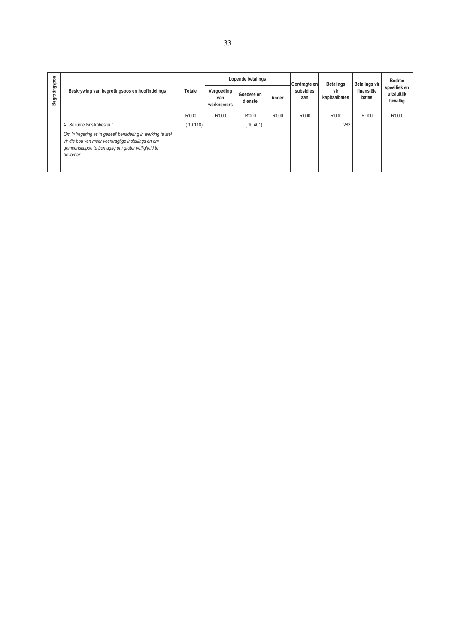|               | Beskrywing van begrotingspos en hoofindelings                                                                                                                                       |        | Lopende betalings               |                       |       | Oordragte en     | <b>Betalings</b>     | <b>Betalings vir</b> | Bedrae                                  |
|---------------|-------------------------------------------------------------------------------------------------------------------------------------------------------------------------------------|--------|---------------------------------|-----------------------|-------|------------------|----------------------|----------------------|-----------------------------------------|
| Begrotingspos |                                                                                                                                                                                     | Totale | Vergoeding<br>van<br>werknemers | Goedere en<br>dienste | Ander | subsidies<br>aan | vir<br>kapitaalbates | finansiële<br>bates  | spesifiek en<br>uitsluitlik<br>bewillig |
|               |                                                                                                                                                                                     | R'000  | R'000                           | R'000                 | R'000 | R'000            | R'000                | R'000                | R'000                                   |
|               | Sekuriteitsrisikobestuur<br>4                                                                                                                                                       | 10118  |                                 | (10401)               |       |                  | 283                  |                      |                                         |
|               | Om 'n 'regering as 'n geheel' benadering in werking te stel<br>vir die bou van meer veerkragtige instellings en om<br>gemeenskappe te bemagtig om groter veiligheid te<br>bevorder. |        |                                 |                       |       |                  |                      |                      |                                         |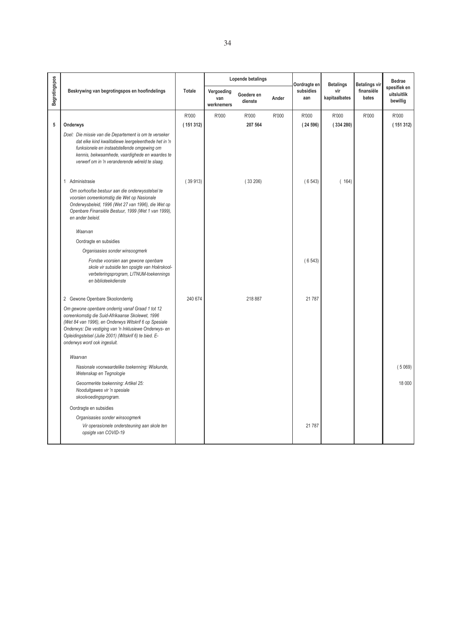|               |                                                                                                                                                                                                                                                                                                                   |          |                                 | Lopende betalings     |       | Oordragte en     | <b>Betalings</b>     | <b>Betalings vir</b> | <b>Bedrae</b>                           |
|---------------|-------------------------------------------------------------------------------------------------------------------------------------------------------------------------------------------------------------------------------------------------------------------------------------------------------------------|----------|---------------------------------|-----------------------|-------|------------------|----------------------|----------------------|-----------------------------------------|
| Begrotingspos | Beskrywing van begrotingspos en hoofindelings                                                                                                                                                                                                                                                                     | Totale   | Vergoeding<br>van<br>werknemers | Goedere en<br>dienste | Ander | subsidies<br>aan | vir<br>kapitaalbates | finansiële<br>bates  | spesifiek en<br>uitsluitlik<br>bewillig |
|               |                                                                                                                                                                                                                                                                                                                   | R'000    | R'000                           | R'000                 | R'000 | R'000            | R'000                | R'000                | R'000                                   |
| 5             | Onderwys                                                                                                                                                                                                                                                                                                          | (151312) |                                 | 207 564               |       | (24596)          | (334280)             |                      | (151312)                                |
|               | Doel: Die missie van die Departement is om te verseker<br>dat elke kind kwalitatiewe leergeleenthede het in 'n<br>funksionele en instaatstellende omgewing om<br>kennis, bekwaamhede, vaardighede en waardes te<br>verwerf om in 'n veranderende wêreld te slaag.                                                 |          |                                 |                       |       |                  |                      |                      |                                         |
|               | Administrasie<br>$\mathbf{1}$                                                                                                                                                                                                                                                                                     | (39913)  |                                 | (33206)               |       | (6543)           | (164)                |                      |                                         |
|               | Om oorhoofse bestuur aan die onderwysstelsel te<br>voorsien ooreenkomstig die Wet op Nasionale<br>Onderwysbeleid, 1996 (Wet 27 van 1996), die Wet op<br>Openbare Finansiële Bestuur, 1999 (Wet 1 van 1999),<br>en ander beleid.                                                                                   |          |                                 |                       |       |                  |                      |                      |                                         |
|               | Waarvan                                                                                                                                                                                                                                                                                                           |          |                                 |                       |       |                  |                      |                      |                                         |
|               | Oordragte en subsidies                                                                                                                                                                                                                                                                                            |          |                                 |                       |       |                  |                      |                      |                                         |
|               | Organisasies sonder winsoogmerk                                                                                                                                                                                                                                                                                   |          |                                 |                       |       |                  |                      |                      |                                         |
|               | Fondse voorsien aan gewone openbare<br>skole vir subsidie ten opsigte van Hoërskool-<br>verbeteringsprogram, LITNUM-toekennings<br>en biblioteekdienste                                                                                                                                                           |          |                                 |                       |       | (6543)           |                      |                      |                                         |
|               | 2 Gewone Openbare Skoolonderrig                                                                                                                                                                                                                                                                                   | 240 674  |                                 | 218 887               |       | 21 787           |                      |                      |                                         |
|               | Om gewone openbare onderrig vanaf Graad 1 tot 12<br>ooreenkomstig die Suid-Afrikaanse Skolewet, 1996<br>(Wet 84 van 1996), en Onderwys Witskrif 6 op Spesiale<br>Onderwys: Die vestiging van 'n Inklusiewe Onderwys- en<br>Opleidingstelsel (Julie 2001) (Witskrif 6) te bied. E-<br>onderwys word ook ingesluit. |          |                                 |                       |       |                  |                      |                      |                                         |
|               | Waarvan                                                                                                                                                                                                                                                                                                           |          |                                 |                       |       |                  |                      |                      |                                         |
|               | Nasionale voorwaardelike toekenning: Wiskunde,<br>Wetenskap en Tegnologie                                                                                                                                                                                                                                         |          |                                 |                       |       |                  |                      |                      | (5069)                                  |
|               | Geoormerkte toekenning: Artikel 25:<br>Nooduitgawes vir 'n spesiale<br>skoolvoedingsprogram.                                                                                                                                                                                                                      |          |                                 |                       |       |                  |                      |                      | 18 000                                  |
|               | Oordragte en subsidies                                                                                                                                                                                                                                                                                            |          |                                 |                       |       |                  |                      |                      |                                         |
|               | Organisasies sonder winsoogmerk<br>Vir operasionele ondersteuning aan skole ten<br>opsigte van COVID-19                                                                                                                                                                                                           |          |                                 |                       |       | 21 787           |                      |                      |                                         |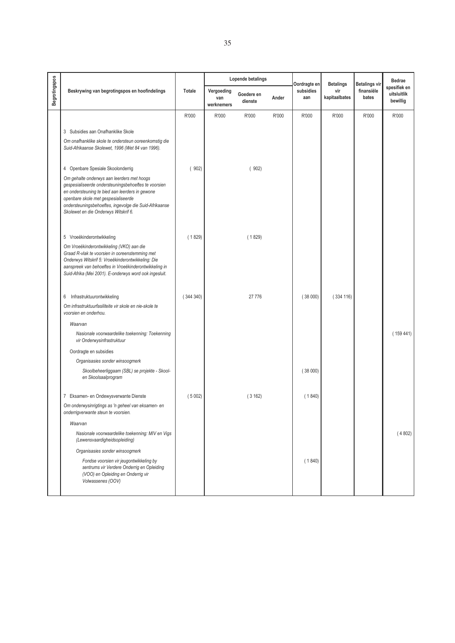|                      |                                                                                                                                                                                                                                                                                                |          |                                 | Lopende betalings     |       |                                  |                                          |                                             | <b>Bedrae</b>                           |
|----------------------|------------------------------------------------------------------------------------------------------------------------------------------------------------------------------------------------------------------------------------------------------------------------------------------------|----------|---------------------------------|-----------------------|-------|----------------------------------|------------------------------------------|---------------------------------------------|-----------------------------------------|
| <b>Begrotingspos</b> | Beskrywing van begrotingspos en hoofindelings                                                                                                                                                                                                                                                  | Totale   | Vergoeding<br>van<br>werknemers | Goedere en<br>dienste | Ander | Oordragte en<br>subsidies<br>aan | <b>Betalings</b><br>vir<br>kapitaalbates | <b>Betalings vir</b><br>finansiële<br>bates | spesifiek en<br>uitsluitlik<br>bewillig |
|                      |                                                                                                                                                                                                                                                                                                | R'000    | R'000                           | R'000                 | R'000 | R'000                            | R'000                                    | R'000                                       | R'000                                   |
|                      | 3 Subsidies aan Onafhanklike Skole                                                                                                                                                                                                                                                             |          |                                 |                       |       |                                  |                                          |                                             |                                         |
|                      | Om onafhanklike skole te ondersteun ooreenkomstig die<br>Suid-Afrikaanse Skolewet, 1996 (Wet 84 van 1996).                                                                                                                                                                                     |          |                                 |                       |       |                                  |                                          |                                             |                                         |
|                      | 4 Openbare Spesiale Skoolonderrig                                                                                                                                                                                                                                                              | (902)    |                                 | (902)                 |       |                                  |                                          |                                             |                                         |
|                      | Om gehalte onderwys aan leerders met hoogs<br>gespesialiseerde ondersteuningsbehoeftes te voorsien<br>en ondersteuning te bied aan leerders in gewone<br>openbare skole met gespesialiseerde<br>ondersteuningsbehoeftes, ingevolge die Suid-Afrikaanse<br>Skolewet en die Onderwys Witskrif 6. |          |                                 |                       |       |                                  |                                          |                                             |                                         |
|                      | 5 Vroeëkinderontwikkeling                                                                                                                                                                                                                                                                      | (1829)   |                                 | (1829)                |       |                                  |                                          |                                             |                                         |
|                      | Om Vroeëkinderontwikkeling (VKO) aan die<br>Graad R-vlak te voorsien in ooreenstemming met<br>Onderwys Witskrif 5: Vroeëkinderontwikkeling: Die<br>aanspreek van behoeftes in Vroeëkinderontwikkeling in<br>Suid-Afrika (Mei 2001). E-onderwys word ook ingesluit.                             |          |                                 |                       |       |                                  |                                          |                                             |                                         |
|                      | Infrastruktuurontwikkeling<br>6                                                                                                                                                                                                                                                                | (344340) |                                 | 27 776                |       | (38000)                          | (334 116)                                |                                             |                                         |
|                      | Om infrastruktuurfasiliteite vir skole en nie-skole te<br>voorsien en onderhou.                                                                                                                                                                                                                |          |                                 |                       |       |                                  |                                          |                                             |                                         |
|                      | Waarvan                                                                                                                                                                                                                                                                                        |          |                                 |                       |       |                                  |                                          |                                             |                                         |
|                      | Nasionale voorwaardelike toekenning: Toekenning<br>vir Onderwysinfrastruktuur                                                                                                                                                                                                                  |          |                                 |                       |       |                                  |                                          |                                             | (159441)                                |
|                      | Oordragte en subsidies                                                                                                                                                                                                                                                                         |          |                                 |                       |       |                                  |                                          |                                             |                                         |
|                      | Organisasies sonder winsoogmerk                                                                                                                                                                                                                                                                |          |                                 |                       |       |                                  |                                          |                                             |                                         |
|                      | Skoolbeheerliggaam (SBL) se projekte - Skool-<br>en Skoolsaalprogram                                                                                                                                                                                                                           |          |                                 |                       |       | (38000)                          |                                          |                                             |                                         |
|                      | 7 Eksamen- en Ondewysverwante Dienste                                                                                                                                                                                                                                                          | (5002)   |                                 | (3162)                |       | (1840)                           |                                          |                                             |                                         |
|                      | Om onderwysinrigtings as 'n geheel van eksamen- en<br>onderrigverwante steun te voorsien.                                                                                                                                                                                                      |          |                                 |                       |       |                                  |                                          |                                             |                                         |
|                      | Waarvan                                                                                                                                                                                                                                                                                        |          |                                 |                       |       |                                  |                                          |                                             |                                         |
|                      | Nasionale voorwaardelike toekenning: MIV en Vigs<br>(Lewensvaardigheidsopleiding)                                                                                                                                                                                                              |          |                                 |                       |       |                                  |                                          |                                             | (4802)                                  |
|                      | Organisasies sonder winsoogmerk                                                                                                                                                                                                                                                                |          |                                 |                       |       |                                  |                                          |                                             |                                         |
|                      | Fondse voorsien vir jeugontwikkeling by<br>sentrums vir Verdere Onderrig en Opleiding<br>(VOO) en Opleiding en Onderrig vir<br>Volwassenes (OOV)                                                                                                                                               |          |                                 |                       |       | (1840)                           |                                          |                                             |                                         |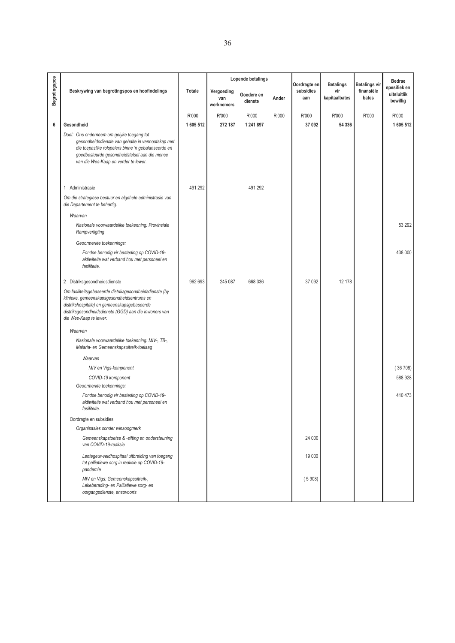|               |                                                                                                                                                                                                                                                |           |                                 | Lopende betalings     |       | Oordragte en     | <b>Betalings</b>     | <b>Betalings vir</b> | <b>Bedrae</b>                           |
|---------------|------------------------------------------------------------------------------------------------------------------------------------------------------------------------------------------------------------------------------------------------|-----------|---------------------------------|-----------------------|-------|------------------|----------------------|----------------------|-----------------------------------------|
| Begrotingspos | Beskrywing van begrotingspos en hoofindelings                                                                                                                                                                                                  | Totale    | Vergoeding<br>van<br>werknemers | Goedere en<br>dienste | Ander | subsidies<br>aan | vir<br>kapitaalbates | finansiële<br>bates  | spesifiek en<br>uitsluitlik<br>bewillig |
|               |                                                                                                                                                                                                                                                | R'000     | R'000                           | R'000                 | R'000 | R'000            | R'000                | R'000                | R'000                                   |
| 6             | Gesondheid                                                                                                                                                                                                                                     | 1 605 512 | 272 187                         | 1 241 897             |       | 37 092           | 54 336               |                      | 1 605 512                               |
|               | Doel: Ons onderneem om gelyke toegang tot<br>gesondheidsdienste van gehalte in vennootskap met<br>die toepaslike rolspelers binne 'n gebalanseerde en<br>goedbestuurde gesondheidstelsel aan die mense<br>van die Wes-Kaap en verder te lewer. |           |                                 |                       |       |                  |                      |                      |                                         |
|               | Administrasie<br>1                                                                                                                                                                                                                             | 491 292   |                                 | 491 292               |       |                  |                      |                      |                                         |
|               | Om die strategiese bestuur en algehele administrasie van<br>die Departement te behartig.<br>Waarvan                                                                                                                                            |           |                                 |                       |       |                  |                      |                      |                                         |
|               | Nasionale voorwaardelike toekenning: Provinsiale<br>Rampverligting                                                                                                                                                                             |           |                                 |                       |       |                  |                      |                      | 53 292                                  |
|               | Geoormerkte toekennings:                                                                                                                                                                                                                       |           |                                 |                       |       |                  |                      |                      |                                         |
|               | Fondse benodig vir besteding op COVID-19-<br>aktiwiteite wat verband hou met personeel en<br>fasiliteite.                                                                                                                                      |           |                                 |                       |       |                  |                      |                      | 438 000                                 |
|               | 2 Distriksgesondheidsdienste                                                                                                                                                                                                                   | 962 693   | 245 087                         | 668 336               |       | 37 092           | 12 178               |                      |                                         |
|               | Om fasiliteitsgebaseerde distriksgesondheidsdienste (by<br>klinieke, gemeenskapsgesondheidsentrums en<br>distrikshospitale) en gemeenskapsgebaseerde<br>distriksgesondheidsdienste (GGD) aan die inwoners van<br>die Wes-Kaap te lewer.        |           |                                 |                       |       |                  |                      |                      |                                         |
|               | Waarvan                                                                                                                                                                                                                                        |           |                                 |                       |       |                  |                      |                      |                                         |
|               | Nasionale voorwaardelike toekenning: MIV-, TB-,<br>Malaria- en Gemeenskapsuitreik-toelaag                                                                                                                                                      |           |                                 |                       |       |                  |                      |                      |                                         |
|               | Waarvan                                                                                                                                                                                                                                        |           |                                 |                       |       |                  |                      |                      |                                         |
|               | MIV en Vigs-komponent                                                                                                                                                                                                                          |           |                                 |                       |       |                  |                      |                      | (36708)                                 |
|               | COVID-19 komponent                                                                                                                                                                                                                             |           |                                 |                       |       |                  |                      |                      | 588 928                                 |
|               | Geoormerkte toekennings:                                                                                                                                                                                                                       |           |                                 |                       |       |                  |                      |                      |                                         |
|               | Fondse benodig vir besteding op COVID-19-<br>aktiwiteite wat verband hou met personeel en<br>fasiliteite.                                                                                                                                      |           |                                 |                       |       |                  |                      |                      | 410 473                                 |
|               | Oordragte en subsidies                                                                                                                                                                                                                         |           |                                 |                       |       |                  |                      |                      |                                         |
|               | Organisasies sonder winsoogmerk                                                                                                                                                                                                                |           |                                 |                       |       |                  |                      |                      |                                         |
|               | Gemeenskapstoetse & -sifting en ondersteuning<br>van COVID-19-reaksie                                                                                                                                                                          |           |                                 |                       |       | 24 000           |                      |                      |                                         |
|               | Lentegeur-veldhospitaal uitbreiding van toegang<br>tot palliatiewe sorg in reaksie op COVID-19-<br>pandemie                                                                                                                                    |           |                                 |                       |       | 19 000           |                      |                      |                                         |
|               | MIV en Vigs: Gemeenskapsuitreik-,<br>Lekeberading- en Palliatiewe sorg- en<br>oorgangsdienste, ensovoorts                                                                                                                                      |           |                                 |                       |       | (5908)           |                      |                      |                                         |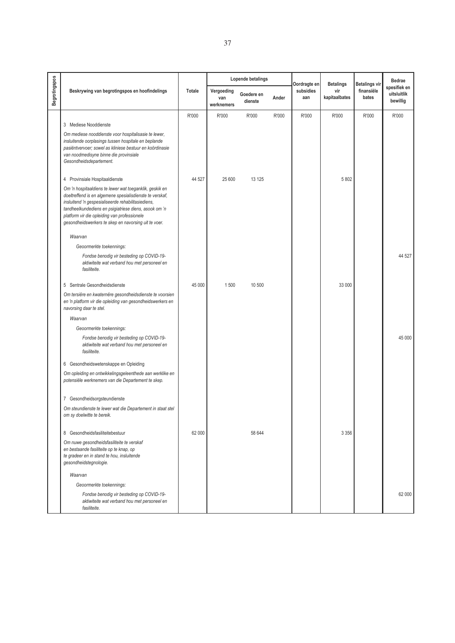|               |                                                                                                                                                                                                                                                                                                                                            |               |                                 | Lopende betalings     |       |                                  |                                          |                                             | <b>Bedrae</b>                           |
|---------------|--------------------------------------------------------------------------------------------------------------------------------------------------------------------------------------------------------------------------------------------------------------------------------------------------------------------------------------------|---------------|---------------------------------|-----------------------|-------|----------------------------------|------------------------------------------|---------------------------------------------|-----------------------------------------|
| Begrotingspos | Beskrywing van begrotingspos en hoofindelings                                                                                                                                                                                                                                                                                              | <b>Totale</b> | Vergoeding<br>van<br>werknemers | Goedere en<br>dienste | Ander | Oordragte en<br>subsidies<br>aan | <b>Betalings</b><br>vir<br>kapitaalbates | <b>Betalings vir</b><br>finansiële<br>bates | spesifiek en<br>uitsluitlik<br>bewillig |
|               |                                                                                                                                                                                                                                                                                                                                            | R'000         | R'000                           | R'000                 | R'000 | R'000                            | R'000                                    | R'000                                       | R'000                                   |
|               | 3 Mediese Nooddienste                                                                                                                                                                                                                                                                                                                      |               |                                 |                       |       |                                  |                                          |                                             |                                         |
|               | Om mediese nooddienste voor hospitalisasie te lewer,<br>insluitende oorplasings tussen hospitale en beplande<br>pasiëntvervoer; sowel as kliniese bestuur en koördinasie<br>van noodmedisyne binne die provinsiale<br>Gesondheidsdepartement.                                                                                              |               |                                 |                       |       |                                  |                                          |                                             |                                         |
|               | 4 Provinsiale Hospitaaldienste                                                                                                                                                                                                                                                                                                             | 44 527        | 25 600                          | 13 1 25               |       |                                  | 5 802                                    |                                             |                                         |
|               | Om 'n hospitaaldiens te lewer wat toeganklik, geskik en<br>doeltreffend is en algemene spesialisdienste te verskaf,<br>insluitend 'n gespesialiseerde rehabilitasiediens,<br>tandheelkundediens en psigiatriese diens, asook om 'n<br>platform vir die opleiding van professionele<br>gesondheidswerkers te skep en navorsing uit te voer. |               |                                 |                       |       |                                  |                                          |                                             |                                         |
|               | Waarvan                                                                                                                                                                                                                                                                                                                                    |               |                                 |                       |       |                                  |                                          |                                             |                                         |
|               | Geoormerkte toekennings:                                                                                                                                                                                                                                                                                                                   |               |                                 |                       |       |                                  |                                          |                                             |                                         |
|               | Fondse benodig vir besteding op COVID-19-<br>aktiwiteite wat verband hou met personeel en<br>fasiliteite.                                                                                                                                                                                                                                  |               |                                 |                       |       |                                  |                                          |                                             | 44 527                                  |
|               | 5 Sentrale Gesondheidsdienste                                                                                                                                                                                                                                                                                                              | 45 000        | 1500                            | 10 500                |       |                                  | 33 000                                   |                                             |                                         |
|               | Om tersiêre en kwaternêre gesondheidsdienste te voorsien<br>en 'n platform vir die opleiding van gesondheidswerkers en<br>navorsing daar te stel.                                                                                                                                                                                          |               |                                 |                       |       |                                  |                                          |                                             |                                         |
|               | Waarvan                                                                                                                                                                                                                                                                                                                                    |               |                                 |                       |       |                                  |                                          |                                             |                                         |
|               | Geoormerkte toekennings:                                                                                                                                                                                                                                                                                                                   |               |                                 |                       |       |                                  |                                          |                                             |                                         |
|               | Fondse benodig vir besteding op COVID-19-<br>aktiwiteite wat verband hou met personeel en<br>fasiliteite.                                                                                                                                                                                                                                  |               |                                 |                       |       |                                  |                                          |                                             | 45 000                                  |
|               | 6 Gesondheidswetenskappe en Opleiding                                                                                                                                                                                                                                                                                                      |               |                                 |                       |       |                                  |                                          |                                             |                                         |
|               | Om opleiding en ontwikkelingsgeleenthede aan werklike en<br>potensiële werknemers van die Departement te skep.                                                                                                                                                                                                                             |               |                                 |                       |       |                                  |                                          |                                             |                                         |
|               | 7 Gesondheidsorgsteundienste                                                                                                                                                                                                                                                                                                               |               |                                 |                       |       |                                  |                                          |                                             |                                         |
|               | Om steundienste te lewer wat die Departement in staat stel<br>om sy doelwitte te bereik.                                                                                                                                                                                                                                                   |               |                                 |                       |       |                                  |                                          |                                             |                                         |
|               | 8 Gesondheidsfasiliteitebestuur                                                                                                                                                                                                                                                                                                            | 62 000        |                                 | 58 644                |       |                                  | 3 3 5 6                                  |                                             |                                         |
|               | Om nuwe gesondheidsfasiliteite te verskaf<br>en bestaande fasiliteite op te knap, op<br>te gradeer en in stand te hou, insluitende<br>gesondheidstegnologie.                                                                                                                                                                               |               |                                 |                       |       |                                  |                                          |                                             |                                         |
|               | Waarvan                                                                                                                                                                                                                                                                                                                                    |               |                                 |                       |       |                                  |                                          |                                             |                                         |
|               | Geoormerkte toekennings:                                                                                                                                                                                                                                                                                                                   |               |                                 |                       |       |                                  |                                          |                                             |                                         |
|               | Fondse benodig vir besteding op COVID-19-<br>aktiwiteite wat verband hou met personeel en<br>fasiliteite.                                                                                                                                                                                                                                  |               |                                 |                       |       |                                  |                                          |                                             | 62 000                                  |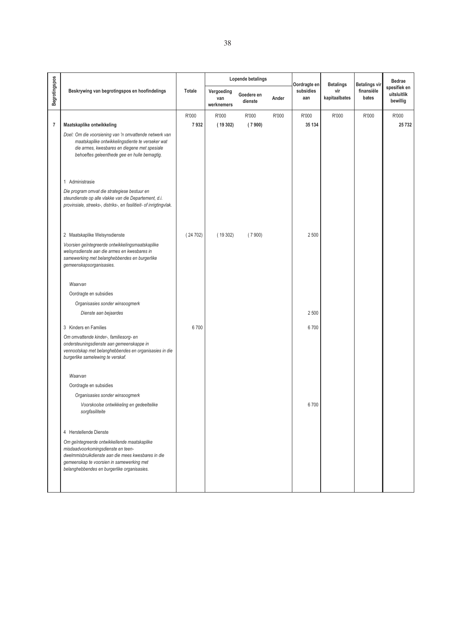|                |                                                                                                                                                                                                                                      |         |                                 | Lopende betalings     |       | Oordragte en     | <b>Betalings</b>     | <b>Betalings vir</b> | <b>Bedrae</b>                           |
|----------------|--------------------------------------------------------------------------------------------------------------------------------------------------------------------------------------------------------------------------------------|---------|---------------------------------|-----------------------|-------|------------------|----------------------|----------------------|-----------------------------------------|
| Begrotingspos  | Beskrywing van begrotingspos en hoofindelings                                                                                                                                                                                        | Totale  | Vergoeding<br>van<br>werknemers | Goedere en<br>dienste | Ander | subsidies<br>aan | vir<br>kapitaalbates | finansiële<br>bates  | spesifiek en<br>uitsluitlik<br>bewillig |
|                |                                                                                                                                                                                                                                      | R'000   | R'000                           | R'000                 | R'000 | R'000            | R'000                | R'000                | R'000                                   |
| $\overline{7}$ | Maatskaplike ontwikkeling                                                                                                                                                                                                            | 7932    | (19302)                         | (7900)                |       | 35 134           |                      |                      | 25 732                                  |
|                | Doel: Om die voorsiening van 'n omvattende netwerk van<br>maatskaplike ontwikkelingsdiente te verseker wat<br>die armes, kwesbares en diegene met spesiale<br>behoeftes geleenthede gee en hulle bemagtig.                           |         |                                 |                       |       |                  |                      |                      |                                         |
|                | 1 Administrasie                                                                                                                                                                                                                      |         |                                 |                       |       |                  |                      |                      |                                         |
|                | Die program omvat die strategiese bestuur en<br>steundienste op alle vlakke van die Departement, d.i.<br>provinsiale, streeks-, distriks-, en fasilitieit- of inrigtingvlak.                                                         |         |                                 |                       |       |                  |                      |                      |                                         |
|                | 2 Maatskaplike Welsynsdienste                                                                                                                                                                                                        | (24702) | (19302)                         | (7900)                |       | 2 500            |                      |                      |                                         |
|                | Voorsien geïntegreerde ontwikkelingsmaatskaplike<br>welsynsdienste aan die armes en kwesbares in<br>samewerking met belanghebbendes en burgerlike<br>gemeenskapsorganisasies.                                                        |         |                                 |                       |       |                  |                      |                      |                                         |
|                | Waarvan                                                                                                                                                                                                                              |         |                                 |                       |       |                  |                      |                      |                                         |
|                | Oordragte en subsidies                                                                                                                                                                                                               |         |                                 |                       |       |                  |                      |                      |                                         |
|                | Organisasies sonder winsoogmerk                                                                                                                                                                                                      |         |                                 |                       |       |                  |                      |                      |                                         |
|                | Dienste aan bejaardes                                                                                                                                                                                                                |         |                                 |                       |       | 2 500            |                      |                      |                                         |
|                | 3 Kinders en Families                                                                                                                                                                                                                | 6700    |                                 |                       |       | 6700             |                      |                      |                                         |
|                | Om omvattende kinder-, familiesorg- en<br>ondersteuningsdienste aan gemeenskappe in<br>vennootskap met belanghebbendes en organisasies in die<br>burgerlike samelewing te verskaf.                                                   |         |                                 |                       |       |                  |                      |                      |                                         |
|                | Waarvan                                                                                                                                                                                                                              |         |                                 |                       |       |                  |                      |                      |                                         |
|                | Oordragte en subsidies                                                                                                                                                                                                               |         |                                 |                       |       |                  |                      |                      |                                         |
|                | Organisasies sonder winsoogmerk                                                                                                                                                                                                      |         |                                 |                       |       |                  |                      |                      |                                         |
|                | Voorskoolse ontwikkeling en gedeeltelike<br>sorgfasiliteite                                                                                                                                                                          |         |                                 |                       |       | 6700             |                      |                      |                                         |
|                | 4 Herstellende Dienste                                                                                                                                                                                                               |         |                                 |                       |       |                  |                      |                      |                                         |
|                | Om geïntegreerde ontwikkellende maatskaplike<br>misdaadvoorkomingsdienste en teen-<br>dwelmmisbruikdienste aan die mees kwesbares in die<br>gemeenskap te voorsien in samewerking met<br>belanghebbendes en burgerlike organisasies. |         |                                 |                       |       |                  |                      |                      |                                         |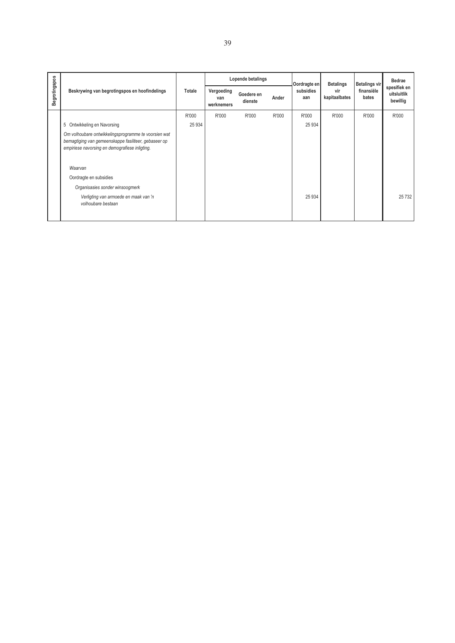|               |                                                                                                                                                                |         |                                 | Lopende betalings     |       | Oordragte en     | <b>Betalings</b>     | <b>Betalings vir</b> | <b>Bedrae</b>                           |
|---------------|----------------------------------------------------------------------------------------------------------------------------------------------------------------|---------|---------------------------------|-----------------------|-------|------------------|----------------------|----------------------|-----------------------------------------|
| Begrotingspos | Beskrywing van begrotingspos en hoofindelings                                                                                                                  | Totale  | Vergoeding<br>van<br>werknemers | Goedere en<br>dienste | Ander | subsidies<br>aan | vir<br>kapitaalbates | finansiële<br>bates  | spesifiek en<br>uitsluitlik<br>bewillig |
|               |                                                                                                                                                                | R'000   | R'000                           | R'000                 | R'000 | R'000            | R'000                | R'000                | R'000                                   |
|               | 5 Ontwikkeling en Navorsing                                                                                                                                    | 25 9 34 |                                 |                       |       | 25 9 34          |                      |                      |                                         |
|               | Om volhoubare ontwikkelingsprogramme te voorsien wat<br>bemagtiging van gemeenskappe fasiliteer, gebaseer op<br>empiriese navorsing en demografiese inligting. |         |                                 |                       |       |                  |                      |                      |                                         |
|               | Waarvan                                                                                                                                                        |         |                                 |                       |       |                  |                      |                      |                                         |
|               | Oordragte en subsidies                                                                                                                                         |         |                                 |                       |       |                  |                      |                      |                                         |
|               | Organisasies sonder winsoogmerk                                                                                                                                |         |                                 |                       |       |                  |                      |                      |                                         |
|               | Verligting van armoede en maak van 'n<br>volhoubare bestaan                                                                                                    |         |                                 |                       |       | 25 9 34          |                      |                      | 25 7 32                                 |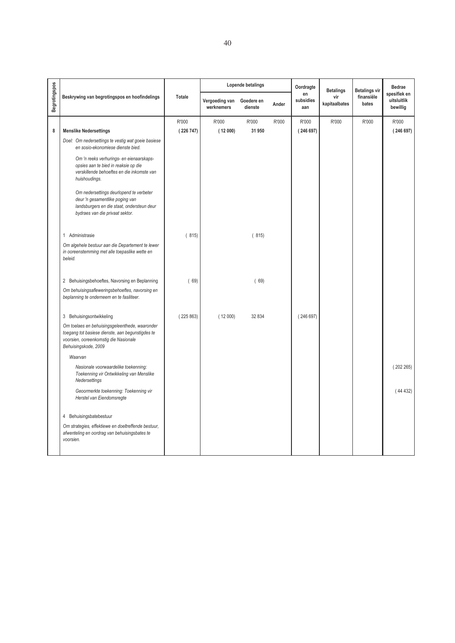|                      |                                                                                                                                                                     |          |                              | Lopende betalings     |       | Oordragte              | <b>Betalings</b>     | <b>Betalings vir</b> | Bedrae                                  |
|----------------------|---------------------------------------------------------------------------------------------------------------------------------------------------------------------|----------|------------------------------|-----------------------|-------|------------------------|----------------------|----------------------|-----------------------------------------|
| <b>Begrotingspos</b> | Beskrywing van begrotingspos en hoofindelings                                                                                                                       | Totale   | Vergoeding van<br>werknemers | Goedere en<br>dienste | Ander | en<br>subsidies<br>aan | vir<br>kapitaalbates | finansiële<br>bates  | spesifiek en<br>uitsluitlik<br>bewillig |
|                      |                                                                                                                                                                     | R'000    | R'000                        | R'000                 | R'000 | R'000                  | R'000                | R'000                | R'000                                   |
| 8                    | <b>Menslike Nedersettings</b>                                                                                                                                       | (226747) | (12000)                      | 31 950                |       | (246697)               |                      |                      | (246697)                                |
|                      | Doel: Om nedersettings te vestig wat goeie basiese<br>en sosio-ekonomiese dienste bied.                                                                             |          |                              |                       |       |                        |                      |                      |                                         |
|                      | Om 'n reeks verhurings- en eienaarskaps-<br>opsies aan te bied in reaksie op die<br>verskillende behoeftes en die inkomste van<br>huishoudings.                     |          |                              |                       |       |                        |                      |                      |                                         |
|                      | Om nedersettings deurlopend te verbeter<br>deur 'n gesamentlike poging van<br>landsburgers en die staat, ondersteun deur<br>bydraes van die privaat sektor.         |          |                              |                       |       |                        |                      |                      |                                         |
|                      | 1 Administrasie                                                                                                                                                     | (815)    |                              | (815)                 |       |                        |                      |                      |                                         |
|                      | Om algehele bestuur aan die Departement te lewer<br>in ooreenstemming met alle toepaslike wette en<br>beleid.                                                       |          |                              |                       |       |                        |                      |                      |                                         |
|                      | 2 Behuisingsbehoeftes, Navorsing en Beplanning                                                                                                                      | (69)     |                              | (69)                  |       |                        |                      |                      |                                         |
|                      | Om behuisingsafleweringsbehoeftes, navorsing en<br>beplanning te onderneem en te fasiliteer.                                                                        |          |                              |                       |       |                        |                      |                      |                                         |
|                      | 3 Behuisingsontwikkeling                                                                                                                                            | (225863) | (12000)                      | 32 834                |       | (246697)               |                      |                      |                                         |
|                      | Om toelaes en behuisingsgeleenthede, waaronder<br>toegang tot basiese dienste, aan begunstigdes te<br>voorsien, ooreenkomstig die Nasionale<br>Behuisingskode, 2009 |          |                              |                       |       |                        |                      |                      |                                         |
|                      | Waarvan                                                                                                                                                             |          |                              |                       |       |                        |                      |                      |                                         |
|                      | Nasionale voorwaardelike toekenning:<br>Toekenning vir Ontwikkeling van Menslike<br>Nedersettings                                                                   |          |                              |                       |       |                        |                      |                      | (202265)                                |
|                      | Geoormerkte toekenning: Toekenning vir<br>Herstel van Eiendomsregte                                                                                                 |          |                              |                       |       |                        |                      |                      | (44432)                                 |
|                      | 4 Behuisingsbatebestuur                                                                                                                                             |          |                              |                       |       |                        |                      |                      |                                         |
|                      | Om strategies, effektiewe en doeltreffende bestuur,<br>afwenteling en oordrag van behuisingsbates te<br>voorsien.                                                   |          |                              |                       |       |                        |                      |                      |                                         |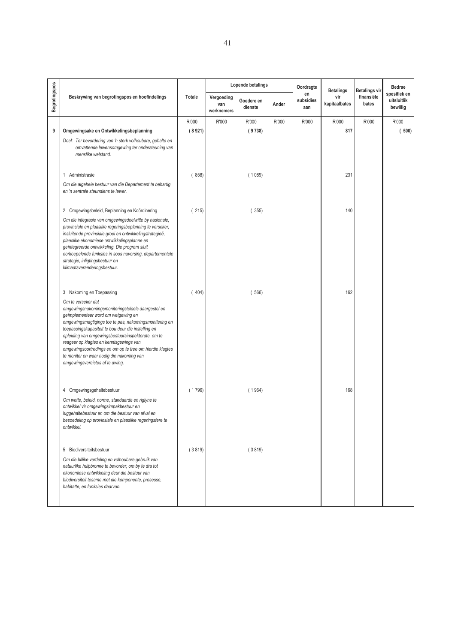|               |                                                                                                                                                                                                                                                                                                                                                                                                                                                                               |        |                                 | Lopende betalings     |       | Oordragte              |                                          |                                      | Bedrae                                  |
|---------------|-------------------------------------------------------------------------------------------------------------------------------------------------------------------------------------------------------------------------------------------------------------------------------------------------------------------------------------------------------------------------------------------------------------------------------------------------------------------------------|--------|---------------------------------|-----------------------|-------|------------------------|------------------------------------------|--------------------------------------|-----------------------------------------|
| Begrotingspos | Beskrywing van begrotingspos en hoofindelings                                                                                                                                                                                                                                                                                                                                                                                                                                 | Totale | Vergoeding<br>van<br>werknemers | Goedere en<br>dienste | Ander | en<br>subsidies<br>aan | <b>Betalings</b><br>vir<br>kapitaalbates | Betalings vir<br>finansiële<br>bates | spesifiek en<br>uitsluitlik<br>bewillig |
|               |                                                                                                                                                                                                                                                                                                                                                                                                                                                                               | R'000  | R'000                           | R'000                 | R'000 | R'000                  | R'000                                    | R'000                                | R'000                                   |
| 9             | Omgewingsake en Ontwikkelingsbeplanning                                                                                                                                                                                                                                                                                                                                                                                                                                       | (8921) |                                 | (9738)                |       |                        | 817                                      |                                      | (500)                                   |
|               | Doel: Ter bevordering van 'n sterk volhoubare, gehalte en<br>omvattende lewensomgewing ter ondersteuning van<br>menslike welstand.                                                                                                                                                                                                                                                                                                                                            |        |                                 |                       |       |                        |                                          |                                      |                                         |
|               | 1 Administrasie                                                                                                                                                                                                                                                                                                                                                                                                                                                               | (858)  |                                 | (1089)                |       |                        | 231                                      |                                      |                                         |
|               | Om die algehele bestuur van die Departement te behartig<br>en 'n sentrale steundiens te lewer.                                                                                                                                                                                                                                                                                                                                                                                |        |                                 |                       |       |                        |                                          |                                      |                                         |
|               | 2 Omgewingsbeleid, Beplanning en Koördinering                                                                                                                                                                                                                                                                                                                                                                                                                                 | (215)  |                                 | (355)                 |       |                        | 140                                      |                                      |                                         |
|               | Om die integrasie van omgewingsdoelwitte by nasionale,<br>provinsiale en plaaslike regeringsbeplanning te verseker,<br>insluitende provinsiale groei en ontwikkelingstrategieë,<br>plaaslike ekonomiese ontwikkelingsplanne en<br>geïntegreerde ontwikkeling. Die program sluit<br>oorkoepelende funksies in soos navorsing, departementele<br>strategie, inligtingsbestuur en<br>klimaatsveranderingsbestuur.                                                                |        |                                 |                       |       |                        |                                          |                                      |                                         |
|               | 3 Nakoming en Toepassing                                                                                                                                                                                                                                                                                                                                                                                                                                                      | (404)  |                                 | (566)                 |       |                        | 162                                      |                                      |                                         |
|               | Om te verseker dat<br>omgewingsnakomingsmoniteringstelsels daargestel en<br>geïmplementeer word om wetgewing en<br>omgewingsmagtigings toe te pas, nakomingsmonitering en<br>toepassingskapasiteit te bou deur die instelling en<br>opleiding van omgewingsbestuursinspektorate, om te<br>reageer op klagtes en kennisgewings van<br>omgewingsoortredings en om op te tree om hierdie klagtes<br>te monitor en waar nodig die nakoming van<br>omgewingsvereistes af te dwing. |        |                                 |                       |       |                        |                                          |                                      |                                         |
|               | 4 Omgewingsgehaltebestuur                                                                                                                                                                                                                                                                                                                                                                                                                                                     | (1796) |                                 | (1964)                |       |                        | 168                                      |                                      |                                         |
|               | Om wette, beleid, norme, standaarde en riglyne te<br>ontwikkel vir omgewingsimpakbestuur en<br>luggehaltebestuur en om die bestuur van afval en<br>besoedeling op provinsiale en plaaslike regeringsfere te<br>ontwikkel.                                                                                                                                                                                                                                                     |        |                                 |                       |       |                        |                                          |                                      |                                         |
|               | 5 Biodiversiteitsbestuur                                                                                                                                                                                                                                                                                                                                                                                                                                                      | (3819) |                                 | (3819)                |       |                        |                                          |                                      |                                         |
|               | Om die billike verdeling en volhoubare gebruik van<br>natuurlike hulpbronne te bevorder, om by te dra tot<br>ekonomiese ontwikkeling deur die bestuur van<br>biodiversiteit tesame met die komponente, prosesse,<br>habitatte, en funksies daarvan.                                                                                                                                                                                                                           |        |                                 |                       |       |                        |                                          |                                      |                                         |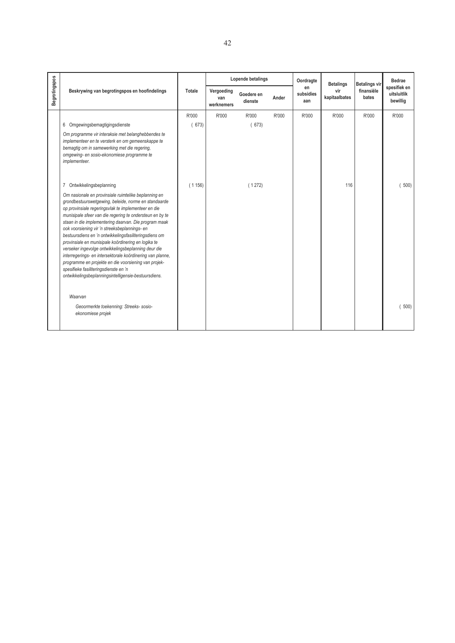|               |                                                                                                                                                                                                                                                                                                                                                                                                                                                                                                                                                                                                                                                                                                                                          |        |                                 | Lopende betalings     |       | Oordragte              | <b>Betalings</b>     | <b>Betalings vir</b> | Bedrae                                  |
|---------------|------------------------------------------------------------------------------------------------------------------------------------------------------------------------------------------------------------------------------------------------------------------------------------------------------------------------------------------------------------------------------------------------------------------------------------------------------------------------------------------------------------------------------------------------------------------------------------------------------------------------------------------------------------------------------------------------------------------------------------------|--------|---------------------------------|-----------------------|-------|------------------------|----------------------|----------------------|-----------------------------------------|
| Begrotingspos | Beskrywing van begrotingspos en hoofindelings                                                                                                                                                                                                                                                                                                                                                                                                                                                                                                                                                                                                                                                                                            | Totale | Vergoeding<br>van<br>werknemers | Goedere en<br>dienste | Ander | en<br>subsidies<br>aan | vir<br>kapitaalbates | finansiële<br>bates  | spesifiek en<br>uitsluitlik<br>bewillig |
|               |                                                                                                                                                                                                                                                                                                                                                                                                                                                                                                                                                                                                                                                                                                                                          | R'000  | R'000                           | R'000                 | R'000 | R'000                  | R'000                | R'000                | R'000                                   |
|               | 6 Omgewingsbemagtigingsdienste                                                                                                                                                                                                                                                                                                                                                                                                                                                                                                                                                                                                                                                                                                           | (673)  |                                 | (673)                 |       |                        |                      |                      |                                         |
|               | Om programme vir interaksie met belanghebbendes te<br>implementeer en te versterk en om gemeenskappe te<br>bemagtig om in samewerking met die regering,<br>omgewing- en sosio-ekonomiese programme te<br>implementeer.                                                                                                                                                                                                                                                                                                                                                                                                                                                                                                                   |        |                                 |                       |       |                        |                      |                      |                                         |
|               | Ontwikkelingsbeplanning<br>7                                                                                                                                                                                                                                                                                                                                                                                                                                                                                                                                                                                                                                                                                                             | (1156) |                                 | (1272)                |       |                        | 116                  |                      | 500)                                    |
|               | Om nasionale en provinsiale ruimtelike beplanning en<br>grondbestuurswetgewing, beleide, norme en standaarde<br>op provinsiale regeringsvlak te implementeer en die<br>munisipale sfeer van die regering te ondersteun en by te<br>staan in die implementering daarvan. Die program maak<br>ook voorsiening vir 'n streeksbeplannings- en<br>bestuursdiens en 'n ontwikkelingsfasiliteringsdiens om<br>provinsiale en munisipale koördinering en logika te<br>verseker ingevolge ontwikkelingsbeplanning deur die<br>interregerings- en intersektorale koördinering van planne,<br>programme en projekte en die voorsiening van projek-<br>spesifieke fasiliteringsdienste en 'n<br>ontwikkelingsbeplanningsintelligensie-bestuursdiens. |        |                                 |                       |       |                        |                      |                      |                                         |
|               | Waarvan<br>Geoormerkte toekenning: Streeks- sosio-<br>ekonomiese projek                                                                                                                                                                                                                                                                                                                                                                                                                                                                                                                                                                                                                                                                  |        |                                 |                       |       |                        |                      |                      | 500)                                    |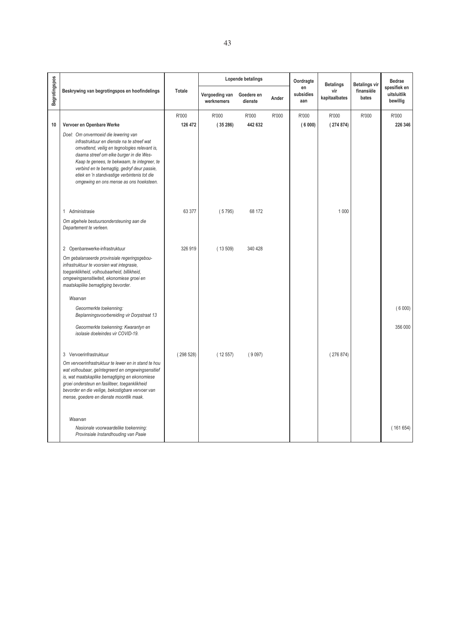|               |                                                                                                                                                                                                                                                                                                                                                                           |          |                              | Lopende betalings     |       | Oordragte              | <b>Betalings</b>     | <b>Betalings vir</b> | <b>Bedrae</b>                           |
|---------------|---------------------------------------------------------------------------------------------------------------------------------------------------------------------------------------------------------------------------------------------------------------------------------------------------------------------------------------------------------------------------|----------|------------------------------|-----------------------|-------|------------------------|----------------------|----------------------|-----------------------------------------|
| Begrotingspos | Beskrywing van begrotingspos en hoofindelings                                                                                                                                                                                                                                                                                                                             | Totale   | Vergoeding van<br>werknemers | Goedere en<br>dienste | Ander | en<br>subsidies<br>aan | vir<br>kapitaalbates | finansiële<br>bates  | spesifiek en<br>uitsluitlik<br>bewillig |
|               |                                                                                                                                                                                                                                                                                                                                                                           | R'000    | R'000                        | R'000                 | R'000 | R'000                  | R'000                | R'000                | R'000                                   |
| 10            | Vervoer en Openbare Werke                                                                                                                                                                                                                                                                                                                                                 | 126 472  | (35286)                      | 442 632               |       | (6000)                 | (274874)             |                      | 226 346                                 |
|               | Doel: Om onvermoeid die lewering van<br>infrastruktuur en dienste na te streef wat<br>omvattend, veilig en tegnologies relevant is,<br>daarna streef om elke burger in die Wes-<br>Kaap te genees, te bekwaam, te integreer, te<br>verbind en te bemagtig, gedryf deur passie,<br>etiek en 'n standvastige verbintenis tot die<br>omgewing en ons mense as ons hoeksteen. |          |                              |                       |       |                        |                      |                      |                                         |
|               | 1 Administrasie                                                                                                                                                                                                                                                                                                                                                           | 63 377   | (5795)                       | 68 172                |       |                        | 1 0 0 0              |                      |                                         |
|               | Om algehele bestuursondersteuning aan die<br>Departement te verleen.                                                                                                                                                                                                                                                                                                      |          |                              |                       |       |                        |                      |                      |                                         |
|               | 2 Openbarewerke-infrastruktuur                                                                                                                                                                                                                                                                                                                                            | 326919   | (13509)                      | 340 428               |       |                        |                      |                      |                                         |
|               | Om gebalanseerde provinsiale regeringsgebou-<br>infrastruktuur te voorsien wat integrasie,<br>toeganklikheid, volhoubaarheid, billikheid,<br>omgewingsensitiwiteit, ekonomiese groei en<br>maatskaplike bemagtiging bevorder.                                                                                                                                             |          |                              |                       |       |                        |                      |                      |                                         |
|               | Waarvan                                                                                                                                                                                                                                                                                                                                                                   |          |                              |                       |       |                        |                      |                      |                                         |
|               | Geoormerkte toekenning:<br>Beplanningsvoorbereiding vir Dorpstraat 13                                                                                                                                                                                                                                                                                                     |          |                              |                       |       |                        |                      |                      | (6000)                                  |
|               | Geoormerkte toekenning: Kwarantyn en<br>isolasie doeleindes vir COVID-19.                                                                                                                                                                                                                                                                                                 |          |                              |                       |       |                        |                      |                      | 356 000                                 |
|               | 3 Vervoerinfrastruktuur<br>Om vervoerinfrastruktuur te lewer en in stand te hou<br>wat volhoubaar, geïntegreerd en omgewingsensitief<br>is, wat maatskaplike bemagtiging en ekonomiese<br>groei ondersteun en fasiliteer, toeganklikheid<br>bevorder en die veilige, bekostigbare vervoer van<br>mense, goedere en dienste moontlik maak.                                 | (298528) | (12557)                      | (9097)                |       |                        | (276874)             |                      |                                         |
|               | Waarvan<br>Nasionale voorwaardelike toekenning:<br>Provinsiale Instandhouding van Paaie                                                                                                                                                                                                                                                                                   |          |                              |                       |       |                        |                      |                      | (161654)                                |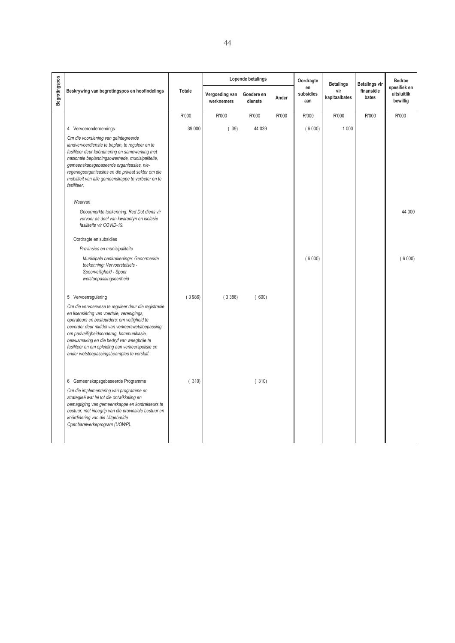|               |                                                                                                                                                                                                                                                                                                                                                                                                 |        |                              | Lopende betalings     |       | Oordragte              | <b>Betalings</b>     | <b>Betalings vir</b> | <b>Bedrae</b>                           |
|---------------|-------------------------------------------------------------------------------------------------------------------------------------------------------------------------------------------------------------------------------------------------------------------------------------------------------------------------------------------------------------------------------------------------|--------|------------------------------|-----------------------|-------|------------------------|----------------------|----------------------|-----------------------------------------|
| Begrotingspos | Beskrywing van begrotingspos en hoofindelings                                                                                                                                                                                                                                                                                                                                                   | Totale | Vergoeding van<br>werknemers | Goedere en<br>dienste | Ander | en<br>subsidies<br>aan | vir<br>kapitaalbates | finansiële<br>bates  | spesifiek en<br>uitsluitlik<br>bewillig |
|               |                                                                                                                                                                                                                                                                                                                                                                                                 | R'000  | R'000                        | R'000                 | R'000 | R'000                  | R'000                | R'000                | R'000                                   |
|               | 4 Vervoerondernemings                                                                                                                                                                                                                                                                                                                                                                           | 39 000 | (39)                         | 44 039                |       | (6000)                 | 1 0 0 0              |                      |                                         |
|               | Om die voorsiening van geïntegreerde<br>landvervoerdienste te beplan, te reguleer en te<br>fasiliteer deur koördinering en samewerking met<br>nasionale beplanningsowerhede, munisipaliteite,<br>gemeenskapsgebaseerde organisasies, nie-<br>regeringsorganisasies en die privaat sektor om die<br>mobiliteit van alle gemeenskappe te verbeter en te<br>fasiliteer.                            |        |                              |                       |       |                        |                      |                      |                                         |
|               | Waarvan                                                                                                                                                                                                                                                                                                                                                                                         |        |                              |                       |       |                        |                      |                      |                                         |
|               | Geoormerkte toekenning: Red Dot diens vir<br>vervoer as deel van kwarantyn en isolasie<br>fasiliteite vir COVID-19.                                                                                                                                                                                                                                                                             |        |                              |                       |       |                        |                      |                      | 44 000                                  |
|               | Oordragte en subsidies                                                                                                                                                                                                                                                                                                                                                                          |        |                              |                       |       |                        |                      |                      |                                         |
|               | Provinsies en munisipaliteite                                                                                                                                                                                                                                                                                                                                                                   |        |                              |                       |       |                        |                      |                      |                                         |
|               | Munisipale bankrekeninge: Geoormerkte<br>toekenning: Vervoerstelsels -<br>Spoorveiligheid - Spoor<br>wetstoepassingseenheid                                                                                                                                                                                                                                                                     |        |                              |                       |       | (6000)                 |                      |                      | (6000)                                  |
|               | 5 Vervoerregulering                                                                                                                                                                                                                                                                                                                                                                             | (3986) | (3386)                       | (600)                 |       |                        |                      |                      |                                         |
|               | Om die vervoerwese te reguleer deur die registrasie<br>en lisensiëring van voertuie, verenigings,<br>operateurs en bestuurders; om veiligheid te<br>bevorder deur middel van verkeerswetstoepassing;<br>om padveiligheidsonderrig, kommunikasie,<br>bewusmaking en die bedryf van weegbrûe te<br>fasiliteer en om opleiding aan verkeerspolisie en<br>ander wetstoepassingsbeamptes te verskaf. |        |                              |                       |       |                        |                      |                      |                                         |
|               | 6 Gemeenskapsgebaseerde Programme                                                                                                                                                                                                                                                                                                                                                               | (310)  |                              | (310)                 |       |                        |                      |                      |                                         |
|               | Om die implementering van programme en<br>strategieë wat lei tot die ontwikkeling en<br>bemagtiging van gemeenskappe en kontrakteurs te<br>bestuur, met inbegrip van die provinsiale bestuur en<br>koördinering van die Uitgebreide<br>Openbarewerkeprogram (UOWP).                                                                                                                             |        |                              |                       |       |                        |                      |                      |                                         |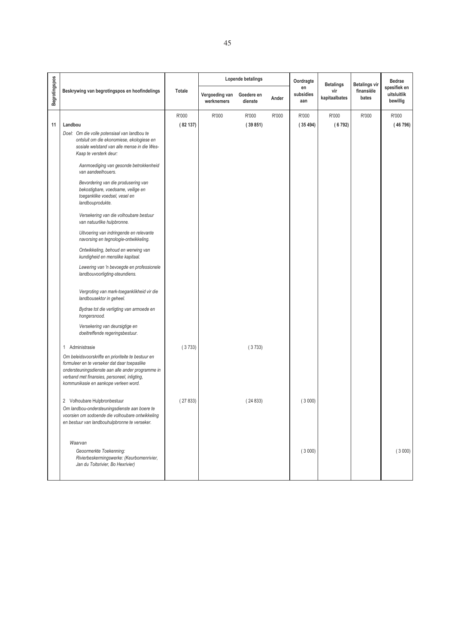|               |                                                                                                                                                                                                                                                                                                                                                                                                                                                                                                                                                                                                                                                                                                                                                                                                                                                                                                                                                                                                                                                                                                                                                                                                              |                   |                              | Lopende betalings     |       | Oordragte              | <b>Betalings</b>     | <b>Betalings vir</b> | <b>Bedrae</b>                           |
|---------------|--------------------------------------------------------------------------------------------------------------------------------------------------------------------------------------------------------------------------------------------------------------------------------------------------------------------------------------------------------------------------------------------------------------------------------------------------------------------------------------------------------------------------------------------------------------------------------------------------------------------------------------------------------------------------------------------------------------------------------------------------------------------------------------------------------------------------------------------------------------------------------------------------------------------------------------------------------------------------------------------------------------------------------------------------------------------------------------------------------------------------------------------------------------------------------------------------------------|-------------------|------------------------------|-----------------------|-------|------------------------|----------------------|----------------------|-----------------------------------------|
| Begrotingspos | Beskrywing van begrotingspos en hoofindelings                                                                                                                                                                                                                                                                                                                                                                                                                                                                                                                                                                                                                                                                                                                                                                                                                                                                                                                                                                                                                                                                                                                                                                | Totale            | Vergoeding van<br>werknemers | Goedere en<br>dienste | Ander | en<br>subsidies<br>aan | vir<br>kapitaalbates | finansiële<br>bates  | spesifiek en<br>uitsluitlik<br>bewillig |
|               |                                                                                                                                                                                                                                                                                                                                                                                                                                                                                                                                                                                                                                                                                                                                                                                                                                                                                                                                                                                                                                                                                                                                                                                                              | R'000             | R'000                        | R'000                 | R'000 | R'000                  | R'000                | R'000                | R'000                                   |
| 11            | Landbou                                                                                                                                                                                                                                                                                                                                                                                                                                                                                                                                                                                                                                                                                                                                                                                                                                                                                                                                                                                                                                                                                                                                                                                                      | (82137)           |                              | (39851)               |       | (35494)                | (6792)               |                      | (46796)                                 |
|               | Doel: Om die volle potensiaal van landbou te<br>ontsluit om die ekonomiese, ekologiese en<br>sosiale welstand van alle mense in die Wes-<br>Kaap te versterk deur:<br>Aanmoediging van gesonde betrokkenheid<br>van aandeelhouers.<br>Bevordering van die produsering van<br>bekostigbare, voedsame, veilige en<br>toeganklike voedsel, vesel en<br>landbouprodukte.<br>Versekering van die volhoubare bestuur<br>van natuurlike hulpbronne.<br>Uitvoering van indringende en relevante<br>navorsing en tegnologie-ontwikkeling.<br>Ontwikkeling, behoud en werwing van<br>kundigheid en menslike kapitaal.<br>Lewering van 'n bevoegde en professionele<br>landbouvoorligting-steundiens.<br>Vergroting van mark-toeganklikheid vir die<br>landbousektor in geheel.<br>Bydrae tot die verligting van armoede en<br>hongersnood.<br>Versekering van deursigtige en<br>doeltreffende regeringsbestuur.<br>1 Administrasie<br>Om beleidsvoorskrifte en prioriteite te bestuur en<br>formuleer en te verseker dat daar toepaslike<br>ondersteuningsdienste aan alle ander programme in<br>verband met finansies, personeel, inligting,<br>kommunikasie en aankope verleen word.<br>2 Volhoubare Hulpbronbestuur | (3733)<br>(27833) |                              | (3733)<br>(24833)     |       | (3000)                 |                      |                      |                                         |
|               | Om landbou-ondersteuningsdienste aan boere te<br>voorsien om sodoende die volhoubare ontwikkeling<br>en bestuur van landbouhulpbronne te verseker.<br>Waarvan<br>Geoormerkte Toekenning:                                                                                                                                                                                                                                                                                                                                                                                                                                                                                                                                                                                                                                                                                                                                                                                                                                                                                                                                                                                                                     |                   |                              |                       |       | (3000)                 |                      |                      | (3000)                                  |
|               | Rivierbeskermingswerke: (Keurbomenrivier,<br>Jan du Toitsrivier, Bo Hexrivier)                                                                                                                                                                                                                                                                                                                                                                                                                                                                                                                                                                                                                                                                                                                                                                                                                                                                                                                                                                                                                                                                                                                               |                   |                              |                       |       |                        |                      |                      |                                         |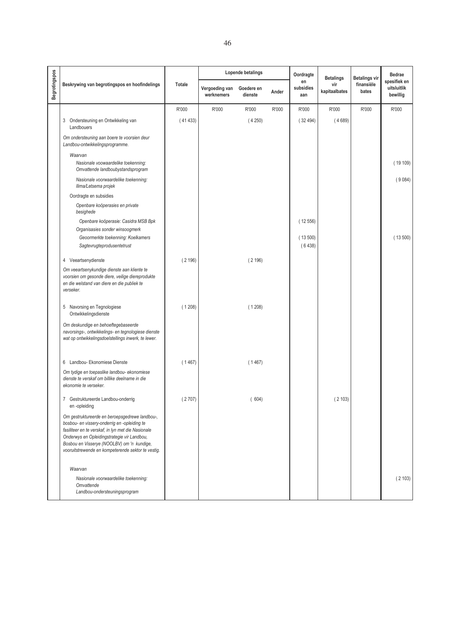|               |                                                                                                                                                                                                                                                                                                         |         |                              | Lopende betalings     |       | Oordragte              | <b>Betalings</b>     | <b>Betalings vir</b> | <b>Bedrae</b>                           |
|---------------|---------------------------------------------------------------------------------------------------------------------------------------------------------------------------------------------------------------------------------------------------------------------------------------------------------|---------|------------------------------|-----------------------|-------|------------------------|----------------------|----------------------|-----------------------------------------|
| Begrotingspos | Beskrywing van begrotingspos en hoofindelings                                                                                                                                                                                                                                                           | Totale  | Vergoeding van<br>werknemers | Goedere en<br>dienste | Ander | en<br>subsidies<br>aan | vir<br>kapitaalbates | finansiële<br>bates  | spesifiek en<br>uitsluitlik<br>bewillig |
|               |                                                                                                                                                                                                                                                                                                         | R'000   | R'000                        | R'000                 | R'000 | R'000                  | R'000                | R'000                | R'000                                   |
|               | 3 Ondersteuning en Ontwikkeling van<br>Landbouers                                                                                                                                                                                                                                                       | (41433) |                              | (4250)                |       | (32494)                | (4689)               |                      |                                         |
|               | Om ondersteuning aan boere te voorsien deur<br>Landbou-ontwikkelingsprogramme.                                                                                                                                                                                                                          |         |                              |                       |       |                        |                      |                      |                                         |
|               | Waarvan<br>Nasionale voowaardelike toekenning:<br>Omvattende landboubystandsprogram                                                                                                                                                                                                                     |         |                              |                       |       |                        |                      |                      | (19109)                                 |
|               | Nasionale voorwaardelike toekenning:<br>Ilima/Letsema projek                                                                                                                                                                                                                                            |         |                              |                       |       |                        |                      |                      | (9084)                                  |
|               | Oordragte en subsidies                                                                                                                                                                                                                                                                                  |         |                              |                       |       |                        |                      |                      |                                         |
|               | Openbare koöperasies en private<br>besighede                                                                                                                                                                                                                                                            |         |                              |                       |       |                        |                      |                      |                                         |
|               | Openbare koöperasie: Casidra MSB Bpk                                                                                                                                                                                                                                                                    |         |                              |                       |       | (12556)                |                      |                      |                                         |
|               | Organisasies sonder winsoogmerk                                                                                                                                                                                                                                                                         |         |                              |                       |       |                        |                      |                      |                                         |
|               | Geoormerkte toekenning: Koelkamers<br>Sagtevrugteprodusentetrust                                                                                                                                                                                                                                        |         |                              |                       |       | (13500)<br>(6438)      |                      |                      | (13500)                                 |
|               | 4 Veeartsenydienste                                                                                                                                                                                                                                                                                     | (2196)  |                              | (2196)                |       |                        |                      |                      |                                         |
|               | Om veeartsenykundige dienste aan kliente te<br>voorsien om gesonde diere, veilige diereprodukte<br>en die welstand van diere en die publiek te<br>verseker.                                                                                                                                             |         |                              |                       |       |                        |                      |                      |                                         |
|               | 5 Navorsing en Tegnologiese<br>Ontwikkelingsdienste                                                                                                                                                                                                                                                     | (1208)  |                              | (1208)                |       |                        |                      |                      |                                         |
|               | Om deskundige en behoeftegebaseerde<br>navorsings-, ontwikkelings- en tegnologiese dienste<br>wat op ontwikkelingsdoelstellings inwerk, te lewer.                                                                                                                                                       |         |                              |                       |       |                        |                      |                      |                                         |
|               | 6 Landbou- Ekonomiese Dienste                                                                                                                                                                                                                                                                           | (1467)  |                              | (1467)                |       |                        |                      |                      |                                         |
|               | Om tydige en toepaslike landbou- ekonomiese<br>dienste te verskaf om billike deelname in die<br>ekonomie te verseker.                                                                                                                                                                                   |         |                              |                       |       |                        |                      |                      |                                         |
|               | 7 Gestruktureerde Landbou-onderrig<br>en-opleiding                                                                                                                                                                                                                                                      | (2707)  |                              | (604)                 |       |                        | (2103)               |                      |                                         |
|               | Om gestruktureerde en beroepsgedrewe landbou-,<br>bosbou- en vissery-onderrig en -opleiding te<br>fasiliteer en te verskaf, in lyn met die Nasionale<br>Onderwys en Opleidingstrategie vir Landbou,<br>Bosbou en Visserye (NOOLBV) om 'n kundige,<br>vooruitstrewende en kompeterende sektor te vestig. |         |                              |                       |       |                        |                      |                      |                                         |
|               | Waarvan                                                                                                                                                                                                                                                                                                 |         |                              |                       |       |                        |                      |                      |                                         |
|               | Nasionale voorwaardelike toekenning:<br>Omvattende<br>Landbou-ondersteuningsprogram                                                                                                                                                                                                                     |         |                              |                       |       |                        |                      |                      | (2103)                                  |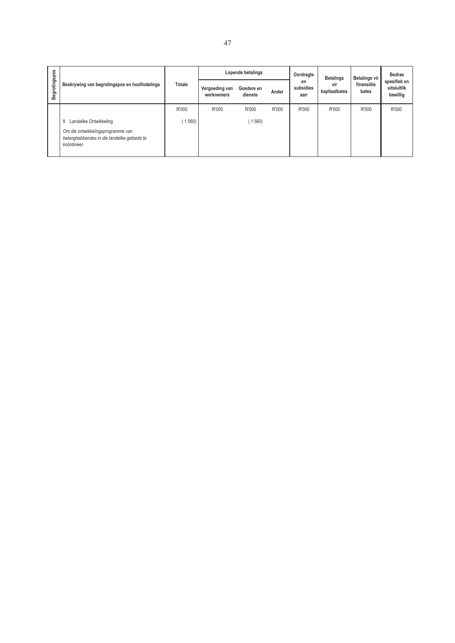|               |                                                                                                 |        |                              | Lopende betalings     |       | Oordragte              | <b>Betalings</b>     | <b>Betalings vir</b> | <b>Bedrae</b><br>spesifiek en<br>uitsluitlik<br>bewillig |
|---------------|-------------------------------------------------------------------------------------------------|--------|------------------------------|-----------------------|-------|------------------------|----------------------|----------------------|----------------------------------------------------------|
| Begrotingspos | Beskrywing van begrotingspos en hoofindelings                                                   | Totale | Vergoeding van<br>werknemers | Goedere en<br>dienste | Ander | en<br>subsidies<br>aan | vir<br>kapitaalbates | finansiële<br>bates  |                                                          |
|               |                                                                                                 | R'000  | R'000                        | R'000                 | R'000 | R'000                  | R'000                | R'000                | R'000                                                    |
|               | Landelike Ontwikkeling<br>8                                                                     | 560)   |                              | 1560                  |       |                        |                      |                      |                                                          |
|               | Om die ontwikkelingsprogramme van<br>belanghebbendes in die landelike gebiede te<br>koördineer. |        |                              |                       |       |                        |                      |                      |                                                          |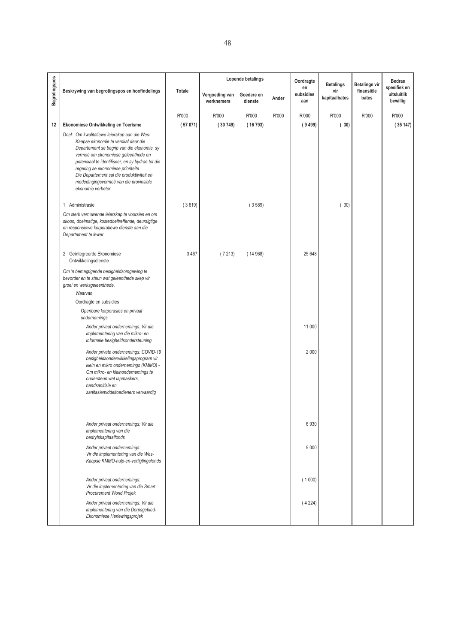|               |                                                                                                                                                                                                                                                                                                                                                                                  |         |                              | Lopende betalings     |       | Oordragte              | <b>Betalings</b>     | <b>Betalings vir</b> | <b>Bedrae</b>                           |
|---------------|----------------------------------------------------------------------------------------------------------------------------------------------------------------------------------------------------------------------------------------------------------------------------------------------------------------------------------------------------------------------------------|---------|------------------------------|-----------------------|-------|------------------------|----------------------|----------------------|-----------------------------------------|
| Begrotingspos | Beskrywing van begrotingspos en hoofindelings                                                                                                                                                                                                                                                                                                                                    | Totale  | Vergoeding van<br>werknemers | Goedere en<br>dienste | Ander | en<br>subsidies<br>aan | vir<br>kapitaalbates | finansiële<br>bates  | spesifiek en<br>uitsluitlik<br>bewillig |
|               |                                                                                                                                                                                                                                                                                                                                                                                  | R'000   | R'000                        | R'000                 | R'000 | R'000                  | R'000                | R'000                | R'000                                   |
| 12            | Ekonomiese Ontwikkeling en Toerisme                                                                                                                                                                                                                                                                                                                                              | (57071) | (30749)                      | (16793)               |       | (9499)                 | (30)                 |                      | (35147)                                 |
|               | Doel: Om kwalitatiewe leierskap aan die Wes-<br>Kaapse ekonomie te verskaf deur die<br>Departement se begrip van die ekonomie, sy<br>vermoë om ekonomiese geleenthede en<br>potensiaal te identifiseer, en sy bydrae tot die<br>regering se ekonomiese prioriteite.<br>Die Departement sal die produktiwiteit en<br>mededingingsvermoë van die provinsiale<br>ekonomie verbeter. |         |                              |                       |       |                        |                      |                      |                                         |
|               | 1 Administrasie                                                                                                                                                                                                                                                                                                                                                                  | (3619)  |                              | (3589)                |       |                        | (30)                 |                      |                                         |
|               | Om sterk vernuwende leierskap te voorsien en om<br>skoon, doelmatige, kostedoeltreffende, deursigtige<br>en responsiewe korporatiewe dienste aan die<br>Departement te lewer.                                                                                                                                                                                                    |         |                              |                       |       |                        |                      |                      |                                         |
|               | 2 Geïntegreerde Ekonomiese<br>Ontwikkelingsdienste                                                                                                                                                                                                                                                                                                                               | 3 4 6 7 | (7213)                       | (14968)               |       | 25 648                 |                      |                      |                                         |
|               | Om 'n bemagtigende besigheidsomgewing te<br>bevorder en te steun wat geleenthede skep vir<br>groei en werksgeleenthede.<br>Waarvan                                                                                                                                                                                                                                               |         |                              |                       |       |                        |                      |                      |                                         |
|               | Oordragte en subsidies                                                                                                                                                                                                                                                                                                                                                           |         |                              |                       |       |                        |                      |                      |                                         |
|               | Openbare korporasies en privaat<br>ondernemings                                                                                                                                                                                                                                                                                                                                  |         |                              |                       |       |                        |                      |                      |                                         |
|               | Ander privaat ondernemings: Vir die<br>implementering van die mikro- en<br>informele besigheidsondersteuning                                                                                                                                                                                                                                                                     |         |                              |                       |       | 11 000                 |                      |                      |                                         |
|               | Ander private ondernemings: COVID-19<br>besigheidsonderwikkelingsprogram vir<br>klein en mikro ondernemings (KMMO) -<br>Om mikro- en kleinondernemings te<br>ondersteun wat lapmaskers.<br>handsanitisie en<br>sanitasiemiddeltoedieners vervaardig                                                                                                                              |         |                              |                       |       | 2 0 0 0                |                      |                      |                                         |
|               | Ander privaat ondernemings: Vir die<br>implementering van die<br>bedryfskapitaalfonds                                                                                                                                                                                                                                                                                            |         |                              |                       |       | 6930                   |                      |                      |                                         |
|               | Ander privaat ondernemings:<br>Vir die implementering van die Wes-<br>Kaapse KMMO-hulp-en-verligtingsfonds                                                                                                                                                                                                                                                                       |         |                              |                       |       | 9 0 0 0                |                      |                      |                                         |
|               | Ander privaat ondernemings:<br>Vir die implementering van die Smart<br>Procurement World Projek                                                                                                                                                                                                                                                                                  |         |                              |                       |       | (1000)                 |                      |                      |                                         |
|               | Ander privaat ondernemings: Vir die<br>implementering van die Dorpsgebied-<br>Ekonomiese Herlewingsprojek                                                                                                                                                                                                                                                                        |         |                              |                       |       | (4224)                 |                      |                      |                                         |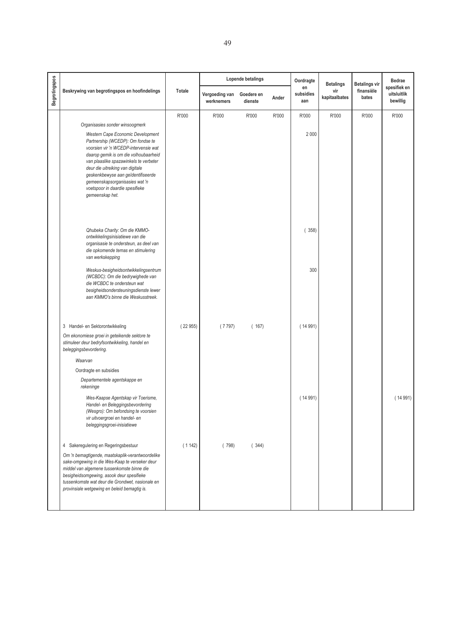|                      |                                                                                                                                                                                                                                                                                                                                                                      |         |                              | Lopende betalings     |       | Oordragte              | <b>Betalings</b>     | <b>Betalings vir</b> | Bedrae                                  |
|----------------------|----------------------------------------------------------------------------------------------------------------------------------------------------------------------------------------------------------------------------------------------------------------------------------------------------------------------------------------------------------------------|---------|------------------------------|-----------------------|-------|------------------------|----------------------|----------------------|-----------------------------------------|
| <b>Begrotingspos</b> | Beskrywing van begrotingspos en hoofindelings                                                                                                                                                                                                                                                                                                                        | Totale  | Vergoeding van<br>werknemers | Goedere en<br>dienste | Ander | en<br>subsidies<br>aan | vir<br>kapitaalbates | finansiële<br>bates  | spesifiek en<br>uitsluitlik<br>bewillig |
|                      |                                                                                                                                                                                                                                                                                                                                                                      | R'000   | R'000                        | R'000                 | R'000 | R'000                  | R'000                | R'000                | R'000                                   |
|                      | Organisasies sonder winsoogmerk                                                                                                                                                                                                                                                                                                                                      |         |                              |                       |       |                        |                      |                      |                                         |
|                      | Western Cape Economic Development<br>Partnership (WCEDP): Om fondse te<br>voorsien vir 'n WCEDP-intervensie wat<br>daarop gemik is om die volhoubaarheid<br>van plaaslike spazawinkels te verbeter<br>deur die uitreiking van digitale<br>geskenkbewyse aan geïdentifiseerde<br>gemeenskapsorganisasies wat 'n<br>voetspoor in daardie spesifieke<br>gemeenskap het. |         |                              |                       |       | 2 0 0 0                |                      |                      |                                         |
|                      | Qhubeka Charity: Om die KMMO-<br>ontwikkelingsinisiatiewe van die<br>organisasie te ondersteun, as deel van<br>die opkomende temas en stimulering<br>van werkskepping                                                                                                                                                                                                |         |                              |                       |       | (358)                  |                      |                      |                                         |
|                      | Weskus-besigheidsontwikkelingsentrum<br>(WCBDC): Om die bedrywighede van<br>die WCBDC te ondersteun wat<br>besigheidsondersteuningsdienste lewer<br>aan KMMO's binne die Weskusstreek.                                                                                                                                                                               |         |                              |                       |       | 300                    |                      |                      |                                         |
|                      | 3 Handel- en Sektorontwikkeling                                                                                                                                                                                                                                                                                                                                      | (22955) | (7797)                       | (167)                 |       | (14991)                |                      |                      |                                         |
|                      | Om ekonomiese groei in geteikende sektore te<br>stimuleer deur bedryfsontwikkeling, handel en<br>beleggingsbevordering.                                                                                                                                                                                                                                              |         |                              |                       |       |                        |                      |                      |                                         |
|                      | Waarvan                                                                                                                                                                                                                                                                                                                                                              |         |                              |                       |       |                        |                      |                      |                                         |
|                      | Oordragte en subsidies                                                                                                                                                                                                                                                                                                                                               |         |                              |                       |       |                        |                      |                      |                                         |
|                      | Departementele agentskappe en<br>rekeninge                                                                                                                                                                                                                                                                                                                           |         |                              |                       |       |                        |                      |                      |                                         |
|                      | Wes-Kaapse Agentskap vir Toerisme,<br>Handel- en Beleggingsbevordering<br>(Wesgro): Om befondsing te voorsien<br>vir uitvoergroei en handel- en<br>beleggingsgroei-inisiatiewe                                                                                                                                                                                       |         |                              |                       |       | (14991)                |                      |                      | (14991)                                 |
|                      | 4 Sakeregulering en Regeringsbestuur                                                                                                                                                                                                                                                                                                                                 | (1142)  | (798)                        | (344)                 |       |                        |                      |                      |                                         |
|                      | Om 'n bemagtigende, maatskaplik-verantwoordelike<br>sake-omgewing in die Wes-Kaap te verseker deur<br>middel van algemene tussenkomste binne die<br>besigheidsomgewing, asook deur spesifieke<br>tussenkomste wat deur die Grondwet, nasionale en<br>provinsiale wetgewing en beleid bemagtig is.                                                                    |         |                              |                       |       |                        |                      |                      |                                         |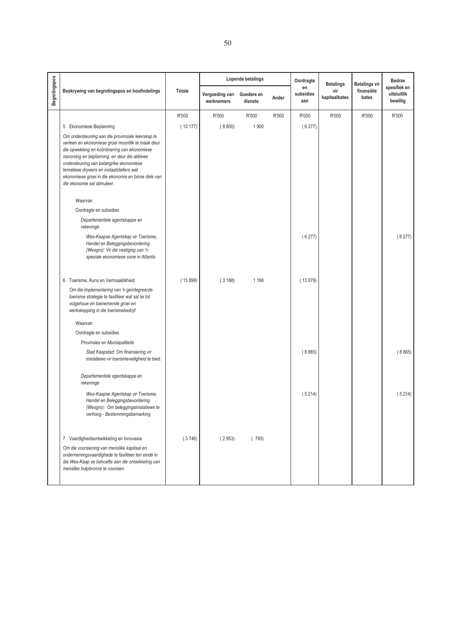|               |                                                                                                                                                                                                                                                                                                                                                                                    |         |                              | Lopende betalings     |       | Oordragte              | <b>Betalings</b>     | <b>Betalings vir</b> | Bedrae                                  |
|---------------|------------------------------------------------------------------------------------------------------------------------------------------------------------------------------------------------------------------------------------------------------------------------------------------------------------------------------------------------------------------------------------|---------|------------------------------|-----------------------|-------|------------------------|----------------------|----------------------|-----------------------------------------|
| Begrotingspos | Beskrywing van begrotingspos en hoofindelings                                                                                                                                                                                                                                                                                                                                      | Totale  | Vergoeding van<br>werknemers | Goedere en<br>dienste | Ander | en<br>subsidies<br>aan | vir<br>kapitaalbates | finansiële<br>bates  | spesifiek en<br>uitsluitlik<br>bewillig |
|               |                                                                                                                                                                                                                                                                                                                                                                                    | R'000   | R'000                        | R'000                 | R'000 | R'000                  | R'000                | R'000                | R'000                                   |
|               | 5 Ekonomiese Beplanning                                                                                                                                                                                                                                                                                                                                                            | (13177) | (8800)                       | 1 900                 |       | (6277)                 |                      |                      |                                         |
|               | Om ondersteuning aan die provinsiale leierskap te<br>verleen en ekonomiese groei moontlik te maak deur<br>die opwekking en koördinering van ekonomiese<br>navorsing en beplanning, en deur die aktiewe<br>ondersteuning van belangrike ekonomiese<br>tematiese drywers en instaatstellers wat<br>ekonomiese groei in die ekonomie en binne dele van<br>die ekonomie sal stimuleer. |         |                              |                       |       |                        |                      |                      |                                         |
|               | Waarvan                                                                                                                                                                                                                                                                                                                                                                            |         |                              |                       |       |                        |                      |                      |                                         |
|               | Oordragte en subsidies                                                                                                                                                                                                                                                                                                                                                             |         |                              |                       |       |                        |                      |                      |                                         |
|               | Departementele agentskappe en<br>rekeninge                                                                                                                                                                                                                                                                                                                                         |         |                              |                       |       |                        |                      |                      |                                         |
|               | Wes-Kaapse Agentskap vir Toerisme,<br>Handel en Beleggingsbevordering<br>(Wesgro): Vir die vestiging van 'n<br>spesiale ekonomiese sone in Atlantis                                                                                                                                                                                                                                |         |                              |                       |       | (6277)                 |                      |                      | (6277)                                  |
|               | 6 Toerisme, Kuns en Vermaaklikheid                                                                                                                                                                                                                                                                                                                                                 | (15899) | (3188)                       | 1 1 6 8               |       | (13879)                |                      |                      |                                         |
|               | Om die implementering van 'n geïntegreerde<br>toerisme strategie te fasiliteer wat sal lei tot<br>volgehoue en toenemende groei en<br>werkskepping in die toerismebedryf.                                                                                                                                                                                                          |         |                              |                       |       |                        |                      |                      |                                         |
|               | Waarvan                                                                                                                                                                                                                                                                                                                                                                            |         |                              |                       |       |                        |                      |                      |                                         |
|               | Oordragte en subsidies                                                                                                                                                                                                                                                                                                                                                             |         |                              |                       |       |                        |                      |                      |                                         |
|               | Provinsies en Munisipaliteite                                                                                                                                                                                                                                                                                                                                                      |         |                              |                       |       |                        |                      |                      |                                         |
|               | Stad Kaapstad: Om finansiering vir<br>inisiatiewe vir toerismeveiligheid te bied.                                                                                                                                                                                                                                                                                                  |         |                              |                       |       | (8665)                 |                      |                      | (8665)                                  |
|               | Departementele agentskappe en<br>rekeninge                                                                                                                                                                                                                                                                                                                                         |         |                              |                       |       |                        |                      |                      |                                         |
|               | Wes-Kaapse Agentskap vir Toerisme,<br>Handel en Beleggingsbevordering<br>(Wesgro): Om beleggingsinisiatiewe te<br>verhoog - Bestemmingsbemarking                                                                                                                                                                                                                                   |         |                              |                       |       | (5214)                 |                      |                      | (5214)                                  |
|               | 7 Vaardigheidsontwikkeling en Innovasie                                                                                                                                                                                                                                                                                                                                            | (3746)  | (2953)                       | (793)                 |       |                        |                      |                      |                                         |
|               | Om die voorsiening van menslike kapitaal en<br>ondernemingsvaardighede te fasiliteer ten einde in<br>die Wes-Kaap se behoefte aan die ontwikkeling van<br>menslike hulpbronne te voorsien.                                                                                                                                                                                         |         |                              |                       |       |                        |                      |                      |                                         |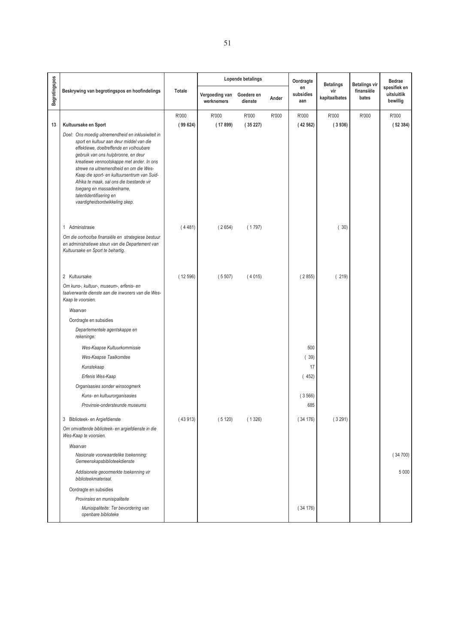|               |                                                                                                                                                                                                                                                                                                                                                                                                                                                               |         |                              | Lopende betalings     |       | Oordragte              | <b>Betalings</b>     | <b>Betalings vir</b> | <b>Bedrae</b>                           |
|---------------|---------------------------------------------------------------------------------------------------------------------------------------------------------------------------------------------------------------------------------------------------------------------------------------------------------------------------------------------------------------------------------------------------------------------------------------------------------------|---------|------------------------------|-----------------------|-------|------------------------|----------------------|----------------------|-----------------------------------------|
| Begrotingspos | Beskrywing van begrotingspos en hoofindelings                                                                                                                                                                                                                                                                                                                                                                                                                 | Totale  | Vergoeding van<br>werknemers | Goedere en<br>dienste | Ander | en<br>subsidies<br>aan | vir<br>kapitaalbates | finansiële<br>bates  | spesifiek en<br>uitsluitlik<br>bewillig |
|               |                                                                                                                                                                                                                                                                                                                                                                                                                                                               | R'000   | R'000                        | R'000                 | R'000 | R'000                  | R'000                | R'000                | R'000                                   |
| 13            | Kultuursake en Sport                                                                                                                                                                                                                                                                                                                                                                                                                                          | (99624) | (17899)                      | (35227)               |       | (42562)                | (3936)               |                      | (52384)                                 |
|               | Doel: Ons moedig uitnemendheid en inklusiwiteit in<br>sport en kultuur aan deur middel van die<br>effektiewe, doeltreffende en volhoubare<br>gebruik van ons hulpbronne, en deur<br>kreatiewe vennootskappe met ander. In ons<br>strewe na uitnemendheid en om die Wes-<br>Kaap die sport- en kultuursentrum van Suid-<br>Afrika te maak, sal ons die toestande vir<br>toegang en massadeelname,<br>talentidentifisering en<br>vaardigheidsontwikkeling skep. |         |                              |                       |       |                        |                      |                      |                                         |
|               | 1 Administrasie                                                                                                                                                                                                                                                                                                                                                                                                                                               | (4481)  | (2654)                       | (1797)                |       |                        | (30)                 |                      |                                         |
|               | Om die oorhoofse finansiële en strategiese bestuur<br>en administratiewe steun van die Departement van<br>Kultuursake en Sport te behartig.                                                                                                                                                                                                                                                                                                                   |         |                              |                       |       |                        |                      |                      |                                         |
|               | 2 Kultuursake                                                                                                                                                                                                                                                                                                                                                                                                                                                 | (12596) | (5507)                       | (4015)                |       | (2855)                 | (219)                |                      |                                         |
|               | Om kuns-, kultuur-, museum-, erfenis- en<br>taalverwante dienste aan die inwoners van die Wes-<br>Kaap te voorsien.                                                                                                                                                                                                                                                                                                                                           |         |                              |                       |       |                        |                      |                      |                                         |
|               | Waarvan                                                                                                                                                                                                                                                                                                                                                                                                                                                       |         |                              |                       |       |                        |                      |                      |                                         |
|               | Oordragte en subsidies                                                                                                                                                                                                                                                                                                                                                                                                                                        |         |                              |                       |       |                        |                      |                      |                                         |
|               | Departementele agentskappe en<br>rekeninge:                                                                                                                                                                                                                                                                                                                                                                                                                   |         |                              |                       |       |                        |                      |                      |                                         |
|               | Wes-Kaapse Kultuurkommissie                                                                                                                                                                                                                                                                                                                                                                                                                                   |         |                              |                       |       | 500                    |                      |                      |                                         |
|               | Wes-Kaapse Taalkomitee                                                                                                                                                                                                                                                                                                                                                                                                                                        |         |                              |                       |       | (39)                   |                      |                      |                                         |
|               | Kunstekaap                                                                                                                                                                                                                                                                                                                                                                                                                                                    |         |                              |                       |       | 17                     |                      |                      |                                         |
|               | Erfenis Wes-Kaap                                                                                                                                                                                                                                                                                                                                                                                                                                              |         |                              |                       |       | (452)                  |                      |                      |                                         |
|               | Organisasies sonder winsoogmerk                                                                                                                                                                                                                                                                                                                                                                                                                               |         |                              |                       |       |                        |                      |                      |                                         |
|               | Kuns- en kultuurorganisasies                                                                                                                                                                                                                                                                                                                                                                                                                                  |         |                              |                       |       | (3566)                 |                      |                      |                                         |
|               | Provinsie-ondersteunde museums                                                                                                                                                                                                                                                                                                                                                                                                                                |         |                              |                       |       | 685                    |                      |                      |                                         |
|               | 3 Biblioteek- en Argiefdienste                                                                                                                                                                                                                                                                                                                                                                                                                                | (43913) | (5120)                       | (1326)                |       | (34176)                | (3291)               |                      |                                         |
|               | Om omvattende biblioteek- en argiefdienste in die<br>Wes-Kaap te voorsien.                                                                                                                                                                                                                                                                                                                                                                                    |         |                              |                       |       |                        |                      |                      |                                         |
|               | Waarvan                                                                                                                                                                                                                                                                                                                                                                                                                                                       |         |                              |                       |       |                        |                      |                      |                                         |
|               | Nasionale voorwaardelike toekenning:<br>Gemeenskapsbiblioteekdienste                                                                                                                                                                                                                                                                                                                                                                                          |         |                              |                       |       |                        |                      |                      | (34700)                                 |
|               | Addisionele geoormerkte toekenning vir<br>biblioteekmateriaal.                                                                                                                                                                                                                                                                                                                                                                                                |         |                              |                       |       |                        |                      |                      | 5 0 0 0                                 |
|               | Oordragte en subsidies                                                                                                                                                                                                                                                                                                                                                                                                                                        |         |                              |                       |       |                        |                      |                      |                                         |
|               | Provinsies en munisipaliteite                                                                                                                                                                                                                                                                                                                                                                                                                                 |         |                              |                       |       |                        |                      |                      |                                         |
|               | Munisipaliteite: Ter bevordering van<br>openbare biblioteke                                                                                                                                                                                                                                                                                                                                                                                                   |         |                              |                       |       | (34176)                |                      |                      |                                         |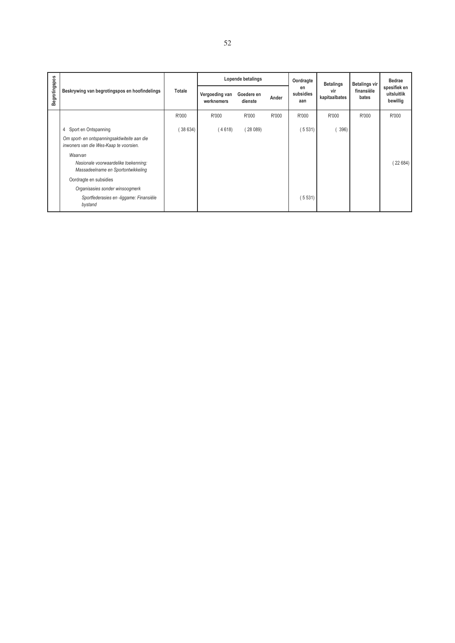|                      |                                                                                        |         |                              | Lopende betalings     |       | Oordragte              | <b>Betalings</b>     | <b>Betalings vir</b> | <b>Bedrae</b>                           |
|----------------------|----------------------------------------------------------------------------------------|---------|------------------------------|-----------------------|-------|------------------------|----------------------|----------------------|-----------------------------------------|
| <b>Begrotingspos</b> | Beskrywing van begrotingspos en hoofindelings                                          | Totale  | Vergoeding van<br>werknemers | Goedere en<br>dienste | Ander | en<br>subsidies<br>aan | vir<br>kapitaalbates | finansiële<br>bates  | spesifiek en<br>uitsluitlik<br>bewillig |
|                      |                                                                                        | R'000   | R'000                        | R'000                 | R'000 | R'000                  | R'000                | R'000                | R'000                                   |
|                      | 4 Sport en Ontspanning                                                                 | (38634) | (4618)                       | (28089)               |       | (5531)                 | 396)                 |                      |                                         |
|                      | Om sport- en ontspanningsaktiwiteite aan die<br>inwoners van die Wes-Kaap te voorsien. |         |                              |                       |       |                        |                      |                      |                                         |
|                      | Waarvan<br>Nasionale voorwaardelike toekenning:<br>Massadeelname en Sportontwikkeling  |         |                              |                       |       |                        |                      |                      | (22684)                                 |
|                      | Oordragte en subsidies                                                                 |         |                              |                       |       |                        |                      |                      |                                         |
|                      | Organisasies sonder winsoogmerk                                                        |         |                              |                       |       |                        |                      |                      |                                         |
|                      | Sportfederasies en -liggame: Finansiële<br>bystand                                     |         |                              |                       |       | (5531)                 |                      |                      |                                         |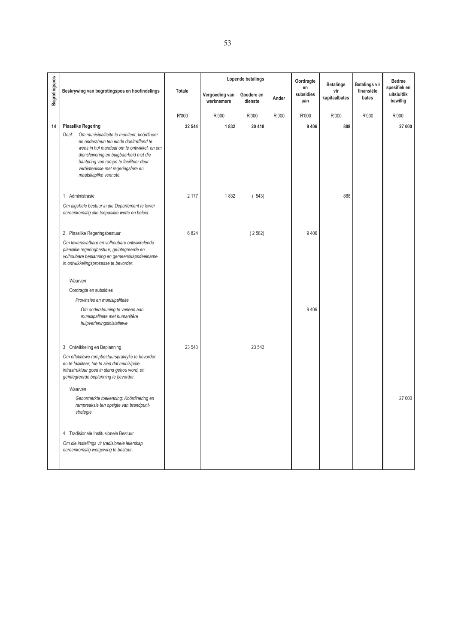|               |                                                                                                                                                                                                                                                                                                |               |                              | Lopende betalings     |       | Oordragte              | <b>Betalings</b>     | <b>Betalings vir</b> | Bedrae                                  |
|---------------|------------------------------------------------------------------------------------------------------------------------------------------------------------------------------------------------------------------------------------------------------------------------------------------------|---------------|------------------------------|-----------------------|-------|------------------------|----------------------|----------------------|-----------------------------------------|
| Begrotingspos | Beskrywing van begrotingspos en hoofindelings                                                                                                                                                                                                                                                  | <b>Totale</b> | Vergoeding van<br>werknemers | Goedere en<br>dienste | Ander | en<br>subsidies<br>aan | vir<br>kapitaalbates | finansiële<br>bates  | spesifiek en<br>uitsluitlik<br>bewillig |
|               |                                                                                                                                                                                                                                                                                                | R'000         | R'000                        | R'000                 | R'000 | R'000                  | R'000                | R'000                | R'000                                   |
| 14            | <b>Plaaslike Regering</b>                                                                                                                                                                                                                                                                      | 32 544        | 1832                         | 20 418                |       | 9 4 0 6                | 888                  |                      | 27 000                                  |
|               | Doel:<br>Om munisipaliteite te moniteer, koördineer<br>en ondersteun ten einde doeltreffend te<br>wees in hul mandaat om te ontwikkel, en om<br>dienslewering en buigbaarheid met die<br>hantering van rampe te fasiliteer deur<br>verbintenisse met regeringsfere en<br>maatskaplike vennote. |               |                              |                       |       |                        |                      |                      |                                         |
|               | 1 Administrasie                                                                                                                                                                                                                                                                                | 2 177         | 1832                         | (543)                 |       |                        | 888                  |                      |                                         |
|               | Om algehele bestuur in die Departement te lewer<br>ooreenkomstig alle toepaslike wette en beleid.                                                                                                                                                                                              |               |                              |                       |       |                        |                      |                      |                                         |
|               | 2 Plaaslike Regeringsbestuur                                                                                                                                                                                                                                                                   | 6824          |                              | (2582)                |       | 9406                   |                      |                      |                                         |
|               | Om lewensvatbare en volhoubare ontwikkelende<br>plaaslike regeringbestuur, geïntegreerde en<br>volhoubare beplanning en gemeenskapsdeelname<br>in ontwikkelingsprosesse te bevorder.                                                                                                           |               |                              |                       |       |                        |                      |                      |                                         |
|               | Waarvan                                                                                                                                                                                                                                                                                        |               |                              |                       |       |                        |                      |                      |                                         |
|               | Oordragte en subsidies                                                                                                                                                                                                                                                                         |               |                              |                       |       |                        |                      |                      |                                         |
|               | Provinsies en munisipaliteite                                                                                                                                                                                                                                                                  |               |                              |                       |       |                        |                      |                      |                                         |
|               | Om ondersteuning te verleen aan<br>munisipaliteite met humanitêre<br>hulpverleningsinisiatiewe                                                                                                                                                                                                 |               |                              |                       |       | 9 4 0 6                |                      |                      |                                         |
|               | 3 Ontwikkeling en Beplanning                                                                                                                                                                                                                                                                   | 23 543        |                              | 23 543                |       |                        |                      |                      |                                         |
|               | Om effektiewe rampbestuurspraktyke te bevorder<br>en te fasiliteer, toe te sien dat munisipale<br>infrastruktuur goed in stand gehou word, en<br>geïntegreerde beplanning te bevorder.                                                                                                         |               |                              |                       |       |                        |                      |                      |                                         |
|               | Waarvan                                                                                                                                                                                                                                                                                        |               |                              |                       |       |                        |                      |                      |                                         |
|               | Geoormerkte toekenning: Koördinering en<br>rampreaksie ten opsigte van brandpunt-<br>strategie                                                                                                                                                                                                 |               |                              |                       |       |                        |                      |                      | 27 000                                  |
|               | 4 Tradisionele Institusionele Bestuur                                                                                                                                                                                                                                                          |               |                              |                       |       |                        |                      |                      |                                         |
|               | Om die instellings vir tradisionele leierskap<br>ooreenkomstig wetgewing te bestuur.                                                                                                                                                                                                           |               |                              |                       |       |                        |                      |                      |                                         |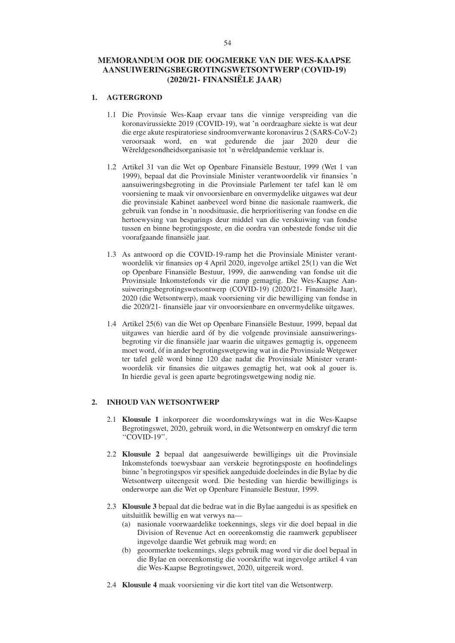### **MEMORANDUM OOR DIE OOGMERKE VAN DIE WES-KAAPSE AANSUIWERINGSBEGROTINGSWETSONTWERP (COVID-19) (2020/21- FINANSIËLE JAAR)**

## **1. AGTERGROND**

- 1.1 Die Provinsie Wes-Kaap ervaar tans die vinnige verspreiding van die koronavirussiekte 2019 (COVID-19), wat 'n oordraagbare siekte is wat deur die erge akute respiratoriese sindroomverwante koronavirus 2 (SARS-CoV-2) veroorsaak word, en wat gedurende die jaar 2020 deur die Wêreldgesondheidsorganisasie tot 'n wêreldpandemie verklaar is.
- 1.2 Artikel 31 van die Wet op Openbare Finansiële Bestuur, 1999 (Wet 1 van 1999), bepaal dat die Provinsiale Minister verantwoordelik vir finansies 'n aansuiweringsbegroting in die Provinsiale Parlement ter tafel kan lê om voorsiening te maak vir onvoorsienbare en onvermydelike uitgawes wat deur die provinsiale Kabinet aanbeveel word binne die nasionale raamwerk, die gebruik van fondse in 'n noodsituasie, die herprioritisering van fondse en die hertoewysing van besparings deur middel van die verskuiwing van fondse tussen en binne begrotingsposte, en die oordra van onbestede fondse uit die voorafgaande finansiële jaar.
- 1.3 As antwoord op die COVID-19-ramp het die Provinsiale Minister verantwoordelik vir finansies op 4 April 2020, ingevolge artikel 25(1) van die Wet op Openbare Finansiële Bestuur, 1999, die aanwending van fondse uit die Provinsiale Inkomstefonds vir die ramp gemagtig. Die Wes-Kaapse Aansuiweringsbegrotingswetsontwerp (COVID-19) (2020/21- Finansiële Jaar), 2020 (die Wetsontwerp), maak voorsiening vir die bewilliging van fondse in die 2020/21- finansiële jaar vir onvoorsienbare en onvermydelike uitgawes.
- 1.4 Artikel 25(6) van die Wet op Openbare Finansiële Bestuur, 1999, bepaal dat uitgawes van hierdie aard óf by die volgende provinsiale aansuiweringsbegroting vir die finansiële jaar waarin die uitgawes gemagtig is, opgeneem moet word, óf in ander begrotingswetgewing wat in die Provinsiale Wetgewer ter tafel gelê word binne 120 dae nadat die Provinsiale Minister verantwoordelik vir finansies die uitgawes gemagtig het, wat ook al gouer is. In hierdie geval is geen aparte begrotingswetgewing nodig nie.

#### **2. INHOUD VAN WETSONTWERP**

- 2.1 **Klousule 1** inkorporeer die woordomskrywings wat in die Wes-Kaapse Begrotingswet, 2020, gebruik word, in die Wetsontwerp en omskryf die term ''COVID-19''.
- 2.2 **Klousule 2** bepaal dat aangesuiwerde bewilligings uit die Provinsiale Inkomstefonds toewysbaar aan verskeie begrotingsposte en hoofindelings binne 'n begrotingspos vir spesifiek aangeduide doeleindes in die Bylae by die Wetsontwerp uiteengesit word. Die besteding van hierdie bewilligings is onderworpe aan die Wet op Openbare Finansiële Bestuur, 1999.
- 2.3 **Klousule 3** bepaal dat die bedrae wat in die Bylae aangedui is as spesifiek en uitsluitlik bewillig en wat verwys na—
	- (a) nasionale voorwaardelike toekennings, slegs vir die doel bepaal in die Division of Revenue Act en ooreenkomstig die raamwerk gepubliseer ingevolge daardie Wet gebruik mag word; en
	- (b) geoormerkte toekennings, slegs gebruik mag word vir die doel bepaal in die Bylae en ooreenkomstig die voorskrifte wat ingevolge artikel 4 van die Wes-Kaapse Begrotingswet, 2020, uitgereik word.
- 2.4 **Klousule 4** maak voorsiening vir die kort titel van die Wetsontwerp.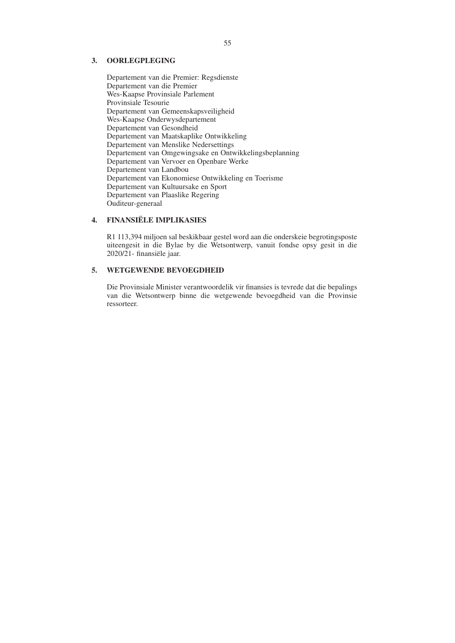#### **3. OORLEGPLEGING**

Departement van die Premier: Regsdienste Departement van die Premier Wes-Kaapse Provinsiale Parlement Provinsiale Tesourie Departement van Gemeenskapsveiligheid Wes-Kaapse Onderwysdepartement Departement van Gesondheid Departement van Maatskaplike Ontwikkeling Departement van Menslike Nedersettings Departement van Omgewingsake en Ontwikkelingsbeplanning Departement van Vervoer en Openbare Werke Departement van Landbou Departement van Ekonomiese Ontwikkeling en Toerisme Departement van Kultuursake en Sport Departement van Plaaslike Regering Ouditeur-generaal

#### **4. FINANSIËLE IMPLIKASIES**

R1 113,394 miljoen sal beskikbaar gestel word aan die onderskeie begrotingsposte uiteengesit in die Bylae by die Wetsontwerp, vanuit fondse opsy gesit in die 2020/21- finansiële jaar.

#### **5. WETGEWENDE BEVOEGDHEID**

Die Provinsiale Minister verantwoordelik vir finansies is tevrede dat die bepalings van die Wetsontwerp binne die wetgewende bevoegdheid van die Provinsie ressorteer.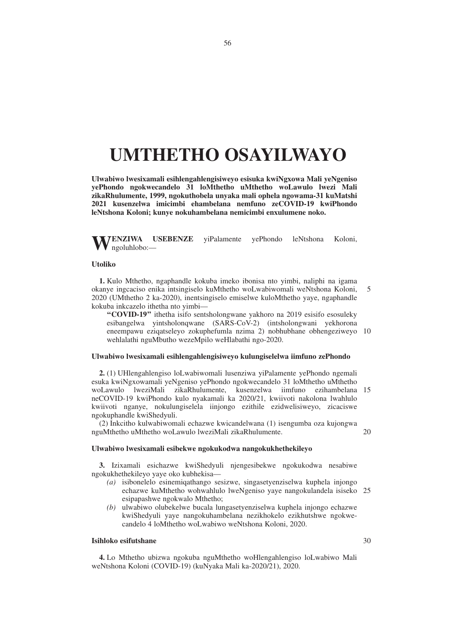# **UMTHETHO OSAYILWAYO**

**Ulwabiwo lwesixamali esihlengahlengisiweyo esisuka kwiNgxowa Mali yeNgeniso yePhondo ngokwecandelo 31 loMthetho uMthetho woLawulo lwezi Mali zikaRhulumente, 1999, ngokuthobela unyaka mali ophela ngowama-31 kuMatshi 2021 kusenzelwa imicimbi ehambelana nemfuno zeCOVID-19 kwiPhondo leNtshona Koloni; kunye nokuhambelana nemicimbi enxulumene noko.**

**WENZIWA USEBENZE** yiPalamente yePhondo leNtshona Koloni, ngoluhlobo:—

#### **Utoliko**

**1.** Kulo Mthetho, ngaphandle kokuba imeko ibonisa nto yimbi, naliphi na igama okanye ingcaciso enika intsingiselo kuMthetho woLwabiwomali weNtshona Koloni, 2020 (UMthetho 2 ka-2020), inentsingiselo emiselwe kuloMthetho yaye, ngaphandle kokuba inkcazelo ithetha nto yimbi— 5

**''COVID-19''** ithetha isifo sentsholongwane yakhoro na 2019 esisifo esosuleky esibangelwa yintsholonqwane (SARS-CoV-2) (intsholongwani yekhorona eneempawu eziqatseleyo zokuphefumla nzima 2) nobhubhane obhengeziweyo 10 wehlalathi nguMbutho wezeMpilo weHlabathi ngo-2020.

#### **Ulwabiwo lwesixamali esihlengahlengisiweyo kulungiselelwa iimfuno zePhondo**

**2.** (1) UHlengahlengiso loLwabiwomali lusenziwa yiPalamente yePhondo ngemali esuka kwiNgxowamali yeNgeniso yePhondo ngokwecandelo 31 loMthetho uMthetho woLawulo lweziMali zikaRhulumente, kusenzelwa iimfuno ezihambelana 15 neCOVID-19 kwiPhondo kulo nyakamali ka 2020/21, kwiivoti nakolona lwahlulo kwiivoti nganye, nokulungiselela iinjongo ezithile ezidwelisiweyo, zicaciswe ngokuphandle kwiShedyuli.

(2) Inkcitho kulwabiwomali echazwe kwicandelwana (1) isengumba oza kujongwa nguMthetho uMthetho woLawulo lweziMali zikaRhulumente. 20

#### **Ulwabiwo lwesixamali esibekwe ngokukodwa nangokukhethekileyo**

**3.** Izixamali esichazwe kwiShedyuli njengesibekwe ngokukodwa nesabiwe ngokukhethekileyo yaye oko kubhekisa—

- *(a)* isibonelelo esinemiqathango sesizwe, singasetyenziselwa kuphela injongo echazwe kuMthetho wohwahlulo lweNgeniso yaye nangokulandela isiseko 25 esipapashwe ngokwalo Mthetho;
- *(b)* ulwabiwo olubekelwe bucala lungasetyenziselwa kuphela injongo echazwe kwiShedyuli yaye nangokuhambelana nezikhokelo ezikhutshwe ngokwecandelo 4 loMthetho woLwabiwo weNtshona Koloni, 2020.

#### **Isihloko esifutshane**

**4.** Lo Mthetho ubizwa ngokuba nguMthetho woHlengahlengiso loLwabiwo Mali weNtshona Koloni (COVID-19) (kuNyaka Mali ka-2020/21), 2020.

30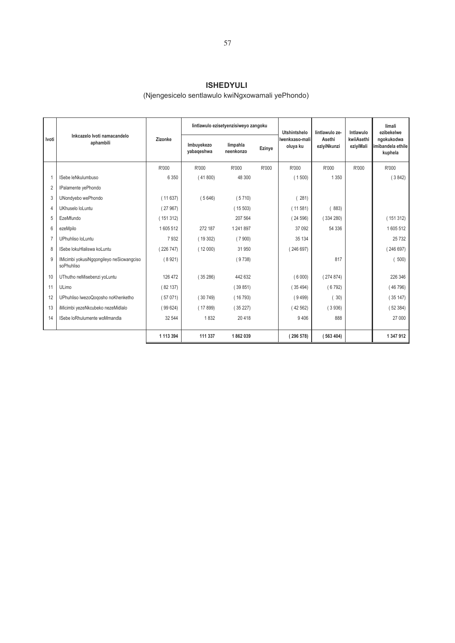# **ISHEDYULI**

## (Njengesicelo sentlawulo kwiNgxowamali yePhondo)

|                |                                                        |           |                          | lintlawulo ezisetyenzisiweyo zangoku |        | Utshintshelo               | lintlawulo ze-        | Intlawulo               | limali<br>ezibekelwe                       |
|----------------|--------------------------------------------------------|-----------|--------------------------|--------------------------------------|--------|----------------------------|-----------------------|-------------------------|--------------------------------------------|
| Ivoti          | Inkcazelo Ivoti namacandelo<br>aphambili               | Zizonke   | Imbuyekezo<br>yabaqeshwa | limpahla<br>neenkonzo                | Ezinye | Iwenkxaso-mali<br>oluya ku | Asethi<br>eziyiNkunzi | kwiiAsethi<br>eziyiMali | ngokukodwa<br>imibandela ethile<br>kuphela |
|                |                                                        | R'000     | R'000                    | R'000                                | R'000  | R'000                      | R'000                 | R'000                   | R'000                                      |
| $\overline{1}$ | ISebe leNkulumbuso                                     | 6 3 5 0   | (41800)                  | 48 300                               |        | (1500)                     | 1 3 5 0               |                         | (3842)                                     |
| $\overline{2}$ | IPalamente yePhondo                                    |           |                          |                                      |        |                            |                       |                         |                                            |
| 3              | UNondyebo wePhondo                                     | (11637)   | (5646)                   | (5710)                               |        | 281)                       |                       |                         |                                            |
| $\overline{4}$ | UKhuselo loLuntu                                       | (27967)   |                          | (15503)                              |        | (11581)                    | 883)                  |                         |                                            |
| 5              | EzeMfundo                                              | (151312)  |                          | 207 564                              |        | (24596)                    | (334280)              |                         | (151312)                                   |
| 6              | ezeMpilo                                               | 1605512   | 272 187                  | 1 241 897                            |        | 37 092                     | 54 336                |                         | 1605512                                    |
| $\overline{7}$ | UPhuhliso loLuntu                                      | 7932      | (19302)                  | (7900)                               |        | 35 134                     |                       |                         | 25732                                      |
| 8              | ISebe lokuHlaliswa koLuntu                             | (226747)  | (12000)                  | 31 950                               |        | 246 697)                   |                       |                         | (246697)                                   |
| 9              | IMicimbi yokusiNgqongileyo neSicwangciso<br>soPhuhliso | (8921)    |                          | (9738)                               |        |                            | 817                   |                         | 500)                                       |
| 10             | UThutho neMisebenzi yoLuntu                            | 126 472   | (35286)                  | 442 632                              |        | (6000)                     | (274874)              |                         | 226 346                                    |
| 11             | ULimo                                                  | (82137)   |                          | (39851)                              |        | (35494)                    | (6792)                |                         | (46796)                                    |
| 12             | UPhuhliso lwezoQogosho noKhenketho                     | (57071)   | (30749)                  | (16793)                              |        | (9499)                     | 30)                   |                         | (35147)                                    |
| 13             | iMicimbi yezeNkcubeko nezeMidlalo                      | (99624)   | (17899)                  | (35227)                              |        | (42562)                    | (3936)                |                         | (52384)                                    |
| 14             | ISebe loRhulumente woMmandla                           | 32 544    | 1832                     | 20 4 18                              |        | 9406                       | 888                   |                         | 27 000                                     |
|                |                                                        | 1 113 394 | 111 337                  | 1862039                              |        | (296578)                   | (563404)              |                         | 1 347 912                                  |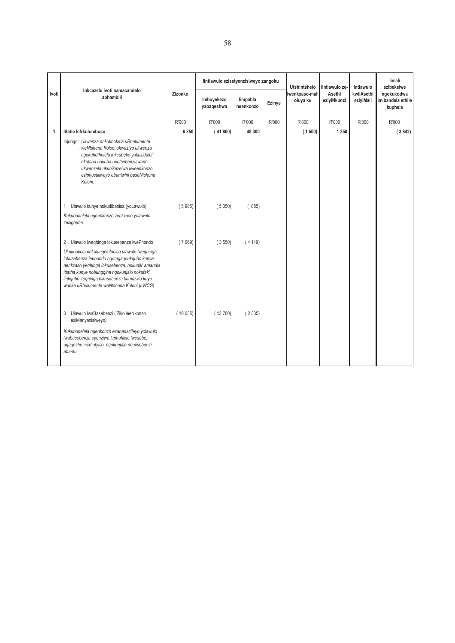|       | Inkcazelo Ivoti namacandelo                                                                                                                                                                                                                                                               |         | lintlawulo ezisetyenzisiweyo zangoku |                       |        |                            | lintlawulo ze-        | Intlawulo               | limali<br>ezibekelwe                       |
|-------|-------------------------------------------------------------------------------------------------------------------------------------------------------------------------------------------------------------------------------------------------------------------------------------------|---------|--------------------------------------|-----------------------|--------|----------------------------|-----------------------|-------------------------|--------------------------------------------|
| Ivoti | aphambili                                                                                                                                                                                                                                                                                 | Zizonke | Imbuyekezo<br>yabaqeshwa             | limpahla<br>neenkonzo | Ezinye | Iwenkxaso-mali<br>oluya ku | Asethi<br>eziyiNkunzi | kwiiAsethi<br>eziyiMali | ngokukodwa<br>imibandela ethile<br>kuphela |
|       |                                                                                                                                                                                                                                                                                           | R'000   | R'000                                | R'000                 | R'000  | R'000                      | R'000                 | R'000                   | R'000                                      |
| 1     | <b>ISebe leNkulumbuso</b>                                                                                                                                                                                                                                                                 | 6 3 5 0 | (41800)                              | 48 300                |        | (1500)                     | 1 3 5 0               |                         | (3842)                                     |
|       | Injongo: Ukwenza nokukhokela uRhulumente<br>weNtshona Koloni okwaziyo ukwenza<br>ngokubethelela inkcubeko yokuzidalel'<br>okutsha nokuba nentsebenziswano<br>ukwenzela ukunikezelwa kweenkonzo<br>eziphuculiweyo ebantwini baseNtshona<br>Koloni.                                         |         |                                      |                       |        |                            |                       |                         |                                            |
|       | 1 Ulawulo kunye nokudibanisa (yoLawulo)<br>Kukubonelela ngeenkonzo zenkxaso yolawulo<br>zesiggeba.                                                                                                                                                                                        | (5905)  | (5050)                               | (855)                 |        |                            |                       |                         |                                            |
|       | 2 Ulawulo lweqhinga lokusebenza lwePhondo<br>Ukukhokela nokulungelelanisa ulawulo lweqhinga<br>lokusebenza lephondo ngomgagonkqubo kunye<br>nenkxaso yeqhinga lokusebenza, nokunik' amandla<br>idatha kunye nobungqina ngokunjalo nokufak'<br>iinkqubo zeqhinga lokusebenza kumaziko kuye | (7669)  | (3550)                               | (4119)                |        |                            |                       |                         |                                            |
|       | wonke uRhulumente weNtshona Koloni (i-WCG).<br>3<br>Ulawulo lwaBasebenzi (iZiko leeNkonzo<br>eziManyanisiweyo)<br>Kukubonelela ngenkonzo exananazileyo yolawulo<br>Iwabasebenzi, eyenziwa luphuhliso lwesebe,<br>ugegesho noxhotyiso, ngokunjalo nemisebenzi<br>abantu.                   | (16035) | (13700)                              | (2335)                |        |                            |                       |                         |                                            |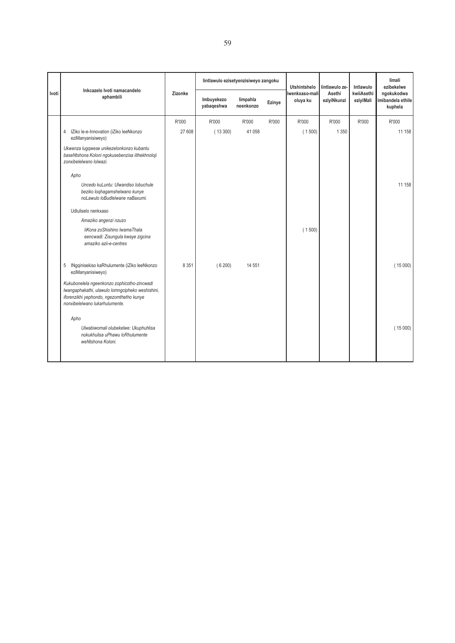| Inkcazelo Ivoti namacandelo                                                                                                                                                   |         | lintlawulo ezisetyenzisiweyo zangoku |                       |        | <b>Utshintshelo</b> |                       | Intlawulo               | limali<br>ezibekelwe                       |
|-------------------------------------------------------------------------------------------------------------------------------------------------------------------------------|---------|--------------------------------------|-----------------------|--------|---------------------|-----------------------|-------------------------|--------------------------------------------|
| aphambili                                                                                                                                                                     | Zizonke | Imbuyekezo<br>yabaqeshwa             | limpahla<br>neenkonzo | Ezinye | oluya ku            | Asethi<br>eziyiNkunzi | kwiiAsethi<br>eziyiMali | ngokukodwa<br>imibandela ethile<br>kuphela |
|                                                                                                                                                                               | R'000   | R'000                                | R'000                 | R'000  | R'000               | R'000                 | R'000                   | R'000                                      |
| IZiko le-e-Innovation (iZiko leeNkonzo<br>$\overline{4}$<br>eziManyanisiweyo)                                                                                                 | 27 608  | (13300)                              | 41 0 58               |        | (1500)              | 1 3 5 0               |                         | 11 158                                     |
| Ukwenza lugqwese unikezelonkonzo kubantu<br>baseNtshona Koloni ngokusebenzisa iithekhnoloji<br>zonxibelelwano lolwazi.                                                        |         |                                      |                       |        |                     |                       |                         |                                            |
| Apho                                                                                                                                                                          |         |                                      |                       |        |                     |                       |                         |                                            |
| Uncedo kuLuntu: Ulwandiso lobuchule<br>beziko loghagamshelwano kunye<br>noLawulo loBudlelwane naBaxumi.                                                                       |         |                                      |                       |        |                     |                       |                         | 11 158                                     |
| Udluliselo nenkxaso                                                                                                                                                           |         |                                      |                       |        |                     |                       |                         |                                            |
| Amaziko angenzi nzuzo                                                                                                                                                         |         |                                      |                       |        |                     |                       |                         |                                            |
| liKona zoShishino IwamaThala<br>eencwadi: Zisungula kwaye zigcina<br>amaziko azii-e-centres                                                                                   |         |                                      |                       |        | (1500)              |                       |                         |                                            |
| 5<br>INgqinisekiso kaRhulumente (iZiko leeNkonzo<br>eziManyanisiweyo)                                                                                                         | 8 3 5 1 | (6200)                               | 14 5 51               |        |                     |                       |                         | (15000)                                    |
| Kukubonelela ngeenkonzo zophicotho-zincwadi<br>Iwangaphakathi, ulawulo lomngcipheko weshishini,<br>iforenzikhi yephondo, ngezomthetho kunye<br>nonxibelelwano lukarhulumente. |         |                                      |                       |        |                     |                       |                         |                                            |
| Apho                                                                                                                                                                          |         |                                      |                       |        |                     |                       |                         |                                            |
| Ulwabiwomali olubekelwe: Ukuphuhlisa<br>nokukhulisa uPhawu loRhulumente<br>weNtshona Koloni.                                                                                  |         |                                      |                       |        |                     |                       |                         | (15000)                                    |
|                                                                                                                                                                               |         |                                      |                       |        |                     | Iwenkxaso-mali        | lintlawulo ze-          |                                            |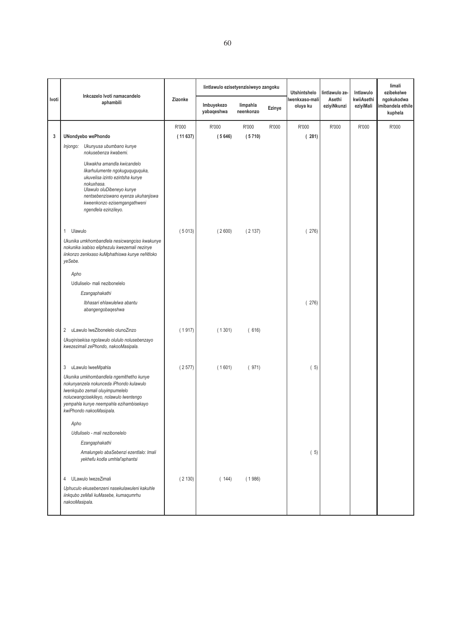|       |                                                                                                                                                                                                                                                                                                                                                                                                                                                                                                                                                  |         | lintlawulo ezisetyenzisiweyo zangoku |                       |        | <b>Utshintshelo</b>        | lintlawulo ze-        | Intlawulo               | limali<br>ezibekelwe                       |
|-------|--------------------------------------------------------------------------------------------------------------------------------------------------------------------------------------------------------------------------------------------------------------------------------------------------------------------------------------------------------------------------------------------------------------------------------------------------------------------------------------------------------------------------------------------------|---------|--------------------------------------|-----------------------|--------|----------------------------|-----------------------|-------------------------|--------------------------------------------|
| Ivoti | Inkcazelo Ivoti namacandelo<br>aphambili                                                                                                                                                                                                                                                                                                                                                                                                                                                                                                         | Zizonke | Imbuyekezo<br>yabaqeshwa             | limpahla<br>neenkonzo | Ezinye | Iwenkxaso-mali<br>oluya ku | Asethi<br>eziyiNkunzi | kwiiAsethi<br>eziyiMali | ngokukodwa<br>imibandela ethile<br>kuphela |
|       |                                                                                                                                                                                                                                                                                                                                                                                                                                                                                                                                                  | R'000   | R'000                                | R'000                 | R'000  | R'000                      | R'000                 | R'000                   | R'000                                      |
| 3     | <b>UNondyebo wePhondo</b>                                                                                                                                                                                                                                                                                                                                                                                                                                                                                                                        | (11637) | (5646)                               | (5710)                |        | (281)                      |                       |                         |                                            |
|       | Injongo: Ukunyusa ubumbano kunye<br>nokusebenza kwabemi.<br>Ukwakha amandla kwicandelo<br>likarhulumente ngokuguquguquka,<br>ukuvelisa izinto ezintsha kunye<br>nokuxhasa.<br>Ulawulo oluDibeneyo kunye<br>nentsebenziswano eyenza ukuhanjiswa<br>kweenkonzo ezisemgangathweni<br>ngendlela ezinzileyo.<br>Ulawulo<br>1<br>Ukunika umkhombandlela nesicwangciso kwakunye<br>nokunika ixabiso eliphezulu kwezemali nezinye<br>iinkonzo zenkxaso kuMphathiswa kunye neNtloko<br>yeSebe.<br>Apho<br>Udluliselo- mali nezibonelelo<br>Ezangaphakathi | (5013)  | (2600)                               | (2137)                |        | 276)                       |                       |                         |                                            |
|       | Ibhasari ehlawulelwa abantu<br>abangengobaqeshwa<br>uLawulo lweZibonelelo olunoZinzo<br>2<br>Ukuqinisekisa ngolawulo olululo nolusebenzayo<br>kwezezimali zePhondo, nakooMasipala.                                                                                                                                                                                                                                                                                                                                                               | (1917)  | (1301)                               | (616)                 |        | (276)                      |                       |                         |                                            |
|       | 3<br>uLawulo lweeMpahla<br>Ukunika umkhombandlela ngemithetho kunye<br>nokunyanzela nokunceda iPhondo kulawulo<br>Iwenkqubo zemali oluyimpumelelo<br>nolucwangcisekileyo, nolawulo lwentengo<br>yempahla kunye neempahla ezihambisekayo<br>kwiPhondo nakooMasipala.<br>Apho                                                                                                                                                                                                                                                                      | (2577)  | (1601)                               | (971)                 |        | (5)                        |                       |                         |                                            |
|       | Udluliselo - mali nezibonelelo<br>Ezangaphakathi<br>Amalungelo abaSebenzi ezentlalo: Imali<br>yekhefu kodla umhlal'aphantsi<br>ULawulo lwezeZimali<br>4<br>Uphuculo ekusebenzeni nasekulawuleni kakuhle<br>iinkqubo zeMali kuMasebe, kumaqumrhu<br>nakooMasipala.                                                                                                                                                                                                                                                                                | (2130)  | (144)                                | (1986)                |        | (5)                        |                       |                         |                                            |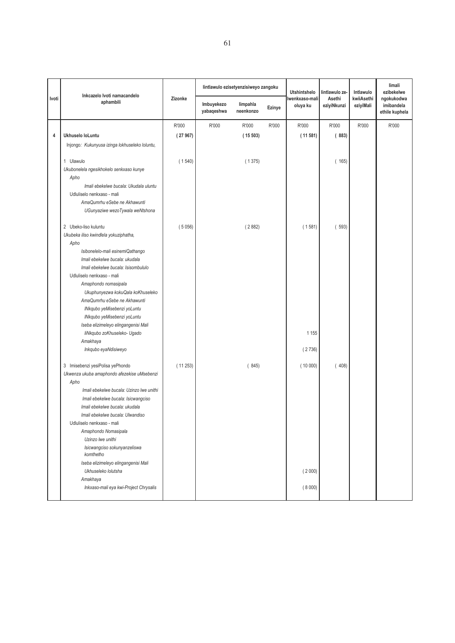|       | Inkcazelo Ivoti namacandelo                                                                                                                                                                                                                                                    |         |                          | lintlawulo ezisetyenzisiweyo zangoku |        | <b>Utshintshelo</b>        | lintlawulo ze-        | Intlawulo               | limali<br>ezibekelwe                       |
|-------|--------------------------------------------------------------------------------------------------------------------------------------------------------------------------------------------------------------------------------------------------------------------------------|---------|--------------------------|--------------------------------------|--------|----------------------------|-----------------------|-------------------------|--------------------------------------------|
| Ivoti | aphambili                                                                                                                                                                                                                                                                      | Zizonke | Imbuyekezo<br>yabaqeshwa | limpahla<br>neenkonzo                | Ezinye | Iwenkxaso-mali<br>oluya ku | Asethi<br>eziyiNkunzi | kwiiAsethi<br>eziyiMali | ngokukodwa<br>imibandela<br>ethile kuphela |
|       |                                                                                                                                                                                                                                                                                | R'000   | R'000                    | R'000                                | R'000  | R'000                      | R'000                 | R'000                   | R'000                                      |
| 4     | Ukhuselo loLuntu                                                                                                                                                                                                                                                               | (27967) |                          | (15503)                              |        | (11581)                    | (883)                 |                         |                                            |
|       | Injongo: Kukunyusa izinga lokhuseleko loluntu,                                                                                                                                                                                                                                 |         |                          |                                      |        |                            |                       |                         |                                            |
|       | 1 Ulawulo<br>Ukubonelela ngesikhokelo senkxaso kunye<br>Apho<br>Imali ebekelwe bucala: Ukudala uluntu<br>Udluliselo nenkxaso - mali<br>AmaQumrhu eSebe ne Akhawunti                                                                                                            | (1540)  |                          | (1375)                               |        |                            | (165)                 |                         |                                            |
|       | UGunyaziwe wezoTywala weNtshona                                                                                                                                                                                                                                                |         |                          |                                      |        |                            |                       |                         |                                            |
|       | 2 Ubeko-liso kuluntu<br>Ukubeka iliso kwindlela yokuziphatha,<br>Apho<br>Isibonelelo-mali esinemiQathango<br>Imali ebekelwe bucala: ukudala<br>Imali ebekelwe bucala: Isisombululo<br>Udluliselo nenkxaso - mali                                                               | (5056)  |                          | (2882)                               |        | (1581)                     | (593)                 |                         |                                            |
|       | Amaphondo nomasipala<br>Ukuphunyezwa kokuQala koKhuseleko<br>AmaQumrhu eSebe ne Akhawunti<br>INkqubo yeMisebenzi yoLuntu<br>INkqubo yeMisebenzi yoLuntu<br>Iseba elizimeleyo elingangenisi Mali<br>liNkqubo zoKhuseleko- Ugado<br>Amakhaya                                     |         |                          |                                      |        | 1 1 5 5                    |                       |                         |                                            |
|       | Inkqubo eyaNdisiweyo                                                                                                                                                                                                                                                           |         |                          |                                      |        | (2736)                     |                       |                         |                                            |
|       | 3 Imisebenzi yesiPolisa yePhondo<br>Ukwenza ukuba amaphondo afezekise uMsebenzi<br>Apho<br>Imali ebekelwe bucala: Uzinzo lwe unithi<br>Imali ebekelwe bucala: Isicwangciso<br>Imali ebekelwe bucala: ukudala<br>Imali ebekelwe bucala: Ulwandiso<br>Udluliselo nenkxaso - mali | (11253) |                          | (845)                                |        | (10000)                    | (408)                 |                         |                                            |
|       | Amaphondo Nomasipala<br>Uzinzo lwe unithi<br>Isicwangciso sokunyanzeliswa<br>komthetho                                                                                                                                                                                         |         |                          |                                      |        |                            |                       |                         |                                            |
|       | Iseba elizimeleyo elingangenisi Mali<br>Ukhuseleko lolutsha<br>Amakhaya                                                                                                                                                                                                        |         |                          |                                      |        | (2000)                     |                       |                         |                                            |
|       | Inkxaso-mali eya kwi-Project Chrysalis                                                                                                                                                                                                                                         |         |                          |                                      |        | (8000)                     |                       |                         |                                            |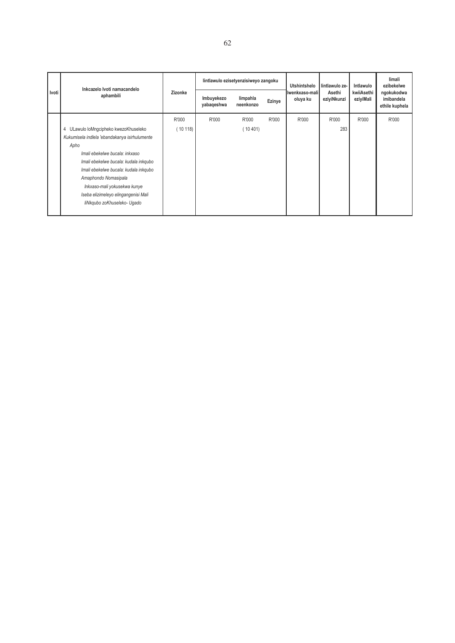|       | Inkcazelo Ivoti namacandelo                   | lintlawulo ezisetyenzisiweyo zangoku |                          |                       | Utshintshelo | lintlawulo ze-             | Intlawulo             | limali<br>ezibekelwe    |                                            |
|-------|-----------------------------------------------|--------------------------------------|--------------------------|-----------------------|--------------|----------------------------|-----------------------|-------------------------|--------------------------------------------|
| Ivoti | aphambili                                     | Zizonke                              | Imbuyekezo<br>yabaqeshwa | limpahla<br>neenkonzo | Ezinye       | Iwenkxaso-mali<br>oluya ku | Asethi<br>eziyiNkunzi | kwiiAsethi<br>eziyiMali | ngokukodwa<br>imibandela<br>ethile kuphela |
|       |                                               | R'000                                | R'000                    | R'000                 | R'000        | R'000                      | R'000                 | R'000                   | R'000                                      |
|       | 4 ULawulo loMngcipheko kwezoKhuseleko         | (10118)                              |                          | (10401)               |              |                            | 283                   |                         |                                            |
|       | Kukumisela indlela 'ebandakanya isirhulumente |                                      |                          |                       |              |                            |                       |                         |                                            |
|       | Apho                                          |                                      |                          |                       |              |                            |                       |                         |                                            |
|       | Imali ebekelwe bucala: inkxaso                |                                      |                          |                       |              |                            |                       |                         |                                            |
|       | Imali ebekelwe bucala: kudala inkqubo         |                                      |                          |                       |              |                            |                       |                         |                                            |
|       | Imali ebekelwe bucala: kudala inkqubo         |                                      |                          |                       |              |                            |                       |                         |                                            |
|       | Amaphondo Nomasipala                          |                                      |                          |                       |              |                            |                       |                         |                                            |
|       | Inkxaso-mali yokusekwa kunye                  |                                      |                          |                       |              |                            |                       |                         |                                            |
|       | Iseba elizimeleyo elingangenisi Mali          |                                      |                          |                       |              |                            |                       |                         |                                            |
|       | liNkgubo zoKhuseleko- Ugado                   |                                      |                          |                       |              |                            |                       |                         |                                            |
|       |                                               |                                      |                          |                       |              |                            |                       |                         |                                            |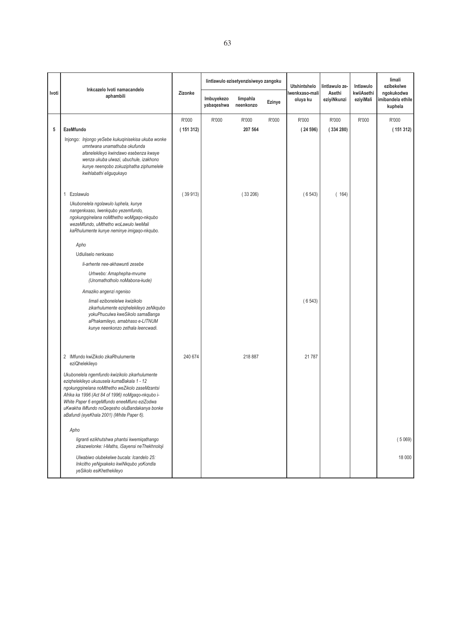|       | Inkcazelo Ivoti namacandelo                                                                                                                                                                                                                                                                                                                      |          |                          | lintlawulo ezisetyenzisiweyo zangoku |        | <b>Utshintshelo</b>        | lintlawulo ze-        | Intlawulo               | limali<br>ezibekelwe                      |
|-------|--------------------------------------------------------------------------------------------------------------------------------------------------------------------------------------------------------------------------------------------------------------------------------------------------------------------------------------------------|----------|--------------------------|--------------------------------------|--------|----------------------------|-----------------------|-------------------------|-------------------------------------------|
| Ivoti | aphambili                                                                                                                                                                                                                                                                                                                                        | Zizonke  | Imbuyekezo<br>yabaqeshwa | limpahla<br>neenkonzo                | Ezinye | Iwenkxaso-mali<br>oluya ku | Asethi<br>eziyiNkunzi | kwiiAsethi<br>eziyiMali | ngokukodwa<br>mibandela ethile<br>kuphela |
|       |                                                                                                                                                                                                                                                                                                                                                  | R'000    | R'000                    | R'000                                | R'000  | R'000                      | R'000                 | R'000                   | R'000                                     |
| 5     | EzeMfundo                                                                                                                                                                                                                                                                                                                                        | (151312) |                          | 207 564                              |        | (24596)                    | (334280)              |                         | (151312)                                  |
|       | Injongo: Injongo yeSebe kukuqinisekisa ukuba wonke<br>umntwana unamathuba okufunda<br>afanelekileyo kwindawo esebenza kwaye<br>wenza ukuba ulwazi, ubuchule, izakhono<br>kunye neenqobo zokuziphatha ziphumelele<br>kwihlabathi eliguqukayo                                                                                                      |          |                          |                                      |        |                            |                       |                         |                                           |
|       | 1 Ezolawulo                                                                                                                                                                                                                                                                                                                                      | (39913)  |                          | (33206)                              |        | (6543)                     | (164)                 |                         |                                           |
|       | Ukubonelela ngolawulo luphela, kunye<br>nangenkxaso, lwenkqubo yezemfundo,<br>ngokungqinelana noMthetho woMgaqo-nkqubo<br>wezeMfundo, uMthetho woLawulo lweMali<br>kaRhulumente kunye neminye imigaqo-nkqubo.                                                                                                                                    |          |                          |                                      |        |                            |                       |                         |                                           |
|       | Apho                                                                                                                                                                                                                                                                                                                                             |          |                          |                                      |        |                            |                       |                         |                                           |
|       | Udluliselo nenkxaso                                                                                                                                                                                                                                                                                                                              |          |                          |                                      |        |                            |                       |                         |                                           |
|       | li-arhente nee-akhawunti zesebe                                                                                                                                                                                                                                                                                                                  |          |                          |                                      |        |                            |                       |                         |                                           |
|       | Urhwebo: Amaphepha-mvume<br>(Unomathotholo noMabona-kude)                                                                                                                                                                                                                                                                                        |          |                          |                                      |        |                            |                       |                         |                                           |
|       | Amaziko angenzi ngeniso                                                                                                                                                                                                                                                                                                                          |          |                          |                                      |        |                            |                       |                         |                                           |
|       | limali ezibonelelwe kwizikolo<br>zikarhulumente eziqhelekileyo zeNkqubo<br>yokuPhuculwa kweSikolo samaBanga<br>aPhakamileyo, amabhaso e-LITNUM<br>kunye neenkonzo zethala leencwadi.                                                                                                                                                             |          |                          |                                      |        | (6543)                     |                       |                         |                                           |
|       | 2 IMfundo kwiZikolo zikaRhulumente<br>eziQhelekileyo                                                                                                                                                                                                                                                                                             | 240 674  |                          | 218 887                              |        | 21 787                     |                       |                         |                                           |
|       | Ukubonelela ngemfundo kwizikolo zikarhulumente<br>ezighelekileyo ukususela kumaBakala 1 - 12<br>ngokungqinelana noMthetho weZikolo zaseMzantsi<br>Afrika ka 1996 (Act 84 of 1996) noMgaqo-nkqubo i-<br>White Paper 6 engeMfundo eneeMfuno eziZodwa<br>uKwakha iMfundo noQeqesho oluBandakanya bonke<br>aBafundi (eyeKhala 2001) (White Paper 6). |          |                          |                                      |        |                            |                       |                         |                                           |
|       | Apho                                                                                                                                                                                                                                                                                                                                             |          |                          |                                      |        |                            |                       |                         |                                           |
|       | ligranti ezikhutshwa phantsi kwemiqathango<br>zikazwelonke: I-Maths, iSayensi neThekhnoloji                                                                                                                                                                                                                                                      |          |                          |                                      |        |                            |                       |                         | (5069)                                    |
|       | Ulwabiwo olubekelwe bucala: Icandelo 25:<br>Inkcitho yeNgxakeko kwiNkqubo yoKondla<br>yeSikolo esiKhethekileyo                                                                                                                                                                                                                                   |          |                          |                                      |        |                            |                       |                         | 18 000                                    |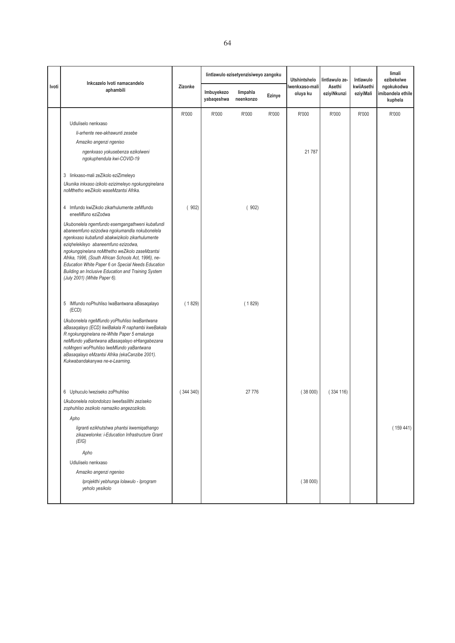|                                                                                                                                                                                                                                                                                                                                                                                                                                                    |                                                                     | lintlawulo ezisetyenzisiweyo zangoku |                       |        | <b>Utshintshelo</b>        |                       | Intlawulo               | limali<br>ezibekelwe                      |
|----------------------------------------------------------------------------------------------------------------------------------------------------------------------------------------------------------------------------------------------------------------------------------------------------------------------------------------------------------------------------------------------------------------------------------------------------|---------------------------------------------------------------------|--------------------------------------|-----------------------|--------|----------------------------|-----------------------|-------------------------|-------------------------------------------|
| aphambili                                                                                                                                                                                                                                                                                                                                                                                                                                          | Zizonke                                                             | Imbuyekezo<br>yabaqeshwa             | limpahla<br>neenkonzo | Ezinye | Iwenkxaso-mali<br>oluya ku | Asethi<br>eziyiNkunzi | kwiiAsethi<br>eziyiMali | ngokukodwa<br>mibandela ethile<br>kuphela |
|                                                                                                                                                                                                                                                                                                                                                                                                                                                    | R'000                                                               | R'000                                | R'000                 | R'000  | R'000                      | R'000                 | R'000                   | R'000                                     |
| Udluliselo nenkxaso                                                                                                                                                                                                                                                                                                                                                                                                                                |                                                                     |                                      |                       |        |                            |                       |                         |                                           |
| li-arhente nee-akhawunti zesebe                                                                                                                                                                                                                                                                                                                                                                                                                    |                                                                     |                                      |                       |        |                            |                       |                         |                                           |
| Amaziko angenzi ngeniso                                                                                                                                                                                                                                                                                                                                                                                                                            |                                                                     |                                      |                       |        |                            |                       |                         |                                           |
| ngenkxaso yokusebenza ezikolweni<br>ngokuphendula kwi-COVID-19                                                                                                                                                                                                                                                                                                                                                                                     |                                                                     |                                      |                       |        | 21 787                     |                       |                         |                                           |
|                                                                                                                                                                                                                                                                                                                                                                                                                                                    |                                                                     |                                      |                       |        |                            |                       |                         |                                           |
| Ukunika inkxaso izikolo ezizimeleyo ngokungqinelana<br>noMthetho weZikolo waseMzantsi Afrika.                                                                                                                                                                                                                                                                                                                                                      |                                                                     |                                      |                       |        |                            |                       |                         |                                           |
| 4 Imfundo kwiZikolo zikarhulumente zeMfundo<br>eneeMfuno eziZodwa                                                                                                                                                                                                                                                                                                                                                                                  | (902)                                                               |                                      | (902)                 |        |                            |                       |                         |                                           |
| Ukubonelela ngemfundo esemgangathweni kubafundi<br>abaneemfuno ezizodwa ngokumandla nokubonelela<br>ngenkxaso kubafundi abakwizikolo zikarhulumente<br>eziqhelekileyo abaneemfuno ezizodwa,<br>ngokungqinelana noMthetho weZikolo zaseMzantsi<br>Afrika, 1996, (South African Schools Act, 1996), ne-<br>Education White Paper 6 on Special Needs Education<br>Building an Inclusive Education and Training System<br>(July 2001) (White Paper 6). |                                                                     |                                      |                       |        |                            |                       |                         |                                           |
| 5 IMfundo noPhuhliso lwaBantwana aBasaqalayo<br>(ECD)                                                                                                                                                                                                                                                                                                                                                                                              | (1829)                                                              |                                      | (1829)                |        |                            |                       |                         |                                           |
| Ukubonelela ngeMfundo yoPhuhliso lwaBantwana<br>aBasaqalayo (ECD) kwiBakala R naphambi kweBakala<br>R ngokungqinelana ne-White Paper 5 emalunga<br>neMfundo yaBantwana aBasaqalayo eHlangabezana<br>noMngeni woPhuhliso lweMfundo yaBantwana<br>aBasaqalayo eMzantsi Afrika (ekaCanzibe 2001).<br>Kukwabandakanywa ne-e-Learning.                                                                                                                  |                                                                     |                                      |                       |        |                            |                       |                         |                                           |
| 6 Uphuculo lweziseko zoPhuhliso                                                                                                                                                                                                                                                                                                                                                                                                                    | (344340)                                                            |                                      | 27 776                |        | (38000)                    | (334 116)             |                         |                                           |
| Ukubonelela nolondolozo lweefasilithi zeziseko<br>zophuhliso zezikolo namaziko angezozikolo.                                                                                                                                                                                                                                                                                                                                                       |                                                                     |                                      |                       |        |                            |                       |                         |                                           |
| Apho                                                                                                                                                                                                                                                                                                                                                                                                                                               |                                                                     |                                      |                       |        |                            |                       |                         |                                           |
| ligranti ezikhutshwa phantsi kwemiqathango<br>zikazwelonke: i-Education Infrastructure Grant<br>(EIG)                                                                                                                                                                                                                                                                                                                                              |                                                                     |                                      |                       |        |                            |                       |                         | (159441)                                  |
| Apho                                                                                                                                                                                                                                                                                                                                                                                                                                               |                                                                     |                                      |                       |        |                            |                       |                         |                                           |
| Udluliselo nenkxaso                                                                                                                                                                                                                                                                                                                                                                                                                                |                                                                     |                                      |                       |        |                            |                       |                         |                                           |
| Amaziko angenzi ngeniso                                                                                                                                                                                                                                                                                                                                                                                                                            |                                                                     |                                      |                       |        |                            |                       |                         |                                           |
| Iprojekthi yebhunga lolawulo - Iprogram<br>yeholo yesikolo                                                                                                                                                                                                                                                                                                                                                                                         |                                                                     |                                      |                       |        | (38000)                    |                       |                         |                                           |
|                                                                                                                                                                                                                                                                                                                                                                                                                                                    | Inkcazelo Ivoti namacandelo<br>3 linkxaso-mali zeZikolo eziZimeleyo |                                      |                       |        |                            |                       | lintlawulo ze-          |                                           |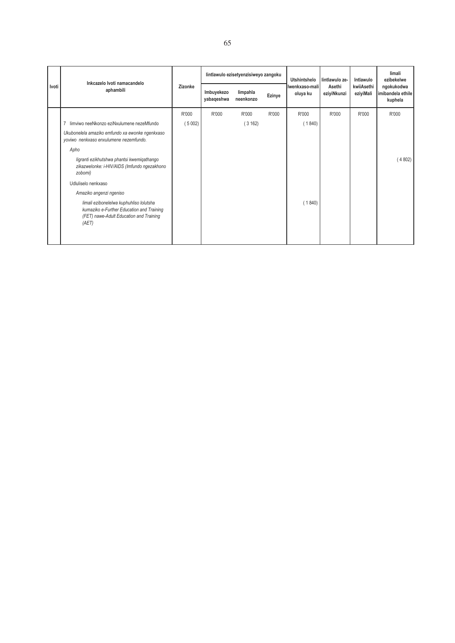|       | Inkcazelo Ivoti namacandelo<br>aphambili                                                                                                 | Zizonke | lintlawulo ezisetyenzisiweyo zangoku |                       |        | <b>Utshintshelo</b>         | lintlawulo ze-        | Intlawulo               | limali<br>ezibekelwe                       |
|-------|------------------------------------------------------------------------------------------------------------------------------------------|---------|--------------------------------------|-----------------------|--------|-----------------------------|-----------------------|-------------------------|--------------------------------------------|
| Ivoti |                                                                                                                                          |         | Imbuyekezo<br>yabaqeshwa             | limpahla<br>neenkonzo | Ezinye | Iwenkxaso-malil<br>oluya ku | Asethi<br>eziyiNkunzi | kwiiAsethi<br>eziyiMali | ngokukodwa<br>imibandela ethile<br>kuphela |
|       |                                                                                                                                          | R'000   | R'000                                | R'000                 | R'000  | R'000                       | R'000                 | R'000                   | R'000                                      |
|       | limviwo neeNkonzo eziNxulumene nezeMfundo                                                                                                | (5002)  |                                      | (3162)                |        | (1840)                      |                       |                         |                                            |
|       | Ukubonelela amaziko emfundo xa ewonke ngenkxaso<br>yoviwo nenkxaso enxulumene nezemfundo.                                                |         |                                      |                       |        |                             |                       |                         |                                            |
|       | Apho                                                                                                                                     |         |                                      |                       |        |                             |                       |                         |                                            |
|       | ligranti ezikhutshwa phantsi kwemiqathango<br>zikazwelonke: i-HIV/AIDS (Imfundo ngezakhono<br>zobomi)                                    |         |                                      |                       |        |                             |                       |                         | (4802)                                     |
|       | Udluliselo nenkxaso                                                                                                                      |         |                                      |                       |        |                             |                       |                         |                                            |
|       | Amaziko angenzi ngeniso                                                                                                                  |         |                                      |                       |        |                             |                       |                         |                                            |
|       | limali ezibonelelwa kuphuhliso lolutsha<br>kumaziko e-Further Education and Training<br>(FET) nawe-Adult Education and Training<br>(AET) |         |                                      |                       |        | (1840)                      |                       |                         |                                            |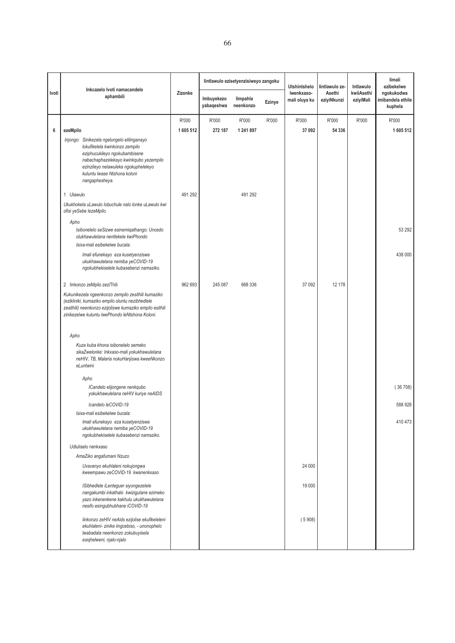|       |                                                                                                                                                                                                                                                    |         |                          | lintlawulo ezisetyenzisiweyo zangoku |        | Utshintshelo                | lintlawulo ze-        | Intlawulo               | limali<br>ezibekelwe                       |
|-------|----------------------------------------------------------------------------------------------------------------------------------------------------------------------------------------------------------------------------------------------------|---------|--------------------------|--------------------------------------|--------|-----------------------------|-----------------------|-------------------------|--------------------------------------------|
| Ivoti | Inkcazelo Ivoti namacandelo<br>aphambili                                                                                                                                                                                                           | Zizonke | Imbuyekezo<br>yabaqeshwa | limpahla<br>neenkonzo                | Ezinye | Iwenkxaso-<br>mali oluya ku | Asethi<br>eziyiNkunzi | kwiiAsethi<br>eziyiMali | ngokukodwa<br>imibandela ethile<br>kuphela |
|       |                                                                                                                                                                                                                                                    | R'000   | R'000                    | R'000                                | R'000  | R'000                       | R'000                 | R'000                   | R'000                                      |
| 6     | ezeMpilo                                                                                                                                                                                                                                           | 1605512 | 272 187                  | 1 241 897                            |        | 37 092                      | 54 336                |                         | 1 605 512                                  |
|       | Injongo: Sinikezela ngelungelo elilinganayo<br>lokufikelela kwinkonzo zempilo<br>eziphucukileyo ngokubambisene<br>nabachaphazelekayo kwinkqubo yezempilo<br>ezinzileyo nelawuleka ngokupheleleyo<br>kuluntu lwase Ntshona koloni<br>nangaphesheya. |         |                          |                                      |        |                             |                       |                         |                                            |
|       | 1 Ulawulo                                                                                                                                                                                                                                          | 491 292 |                          | 491 292                              |        |                             |                       |                         |                                            |
|       | Ukukhokela uLawulo lobuchule nalo lonke uLawulo kwi<br>ofisi yeSebe lezeMpilo.                                                                                                                                                                     |         |                          |                                      |        |                             |                       |                         |                                            |
|       | Apho<br>Isibonelelo seSizwe esinemiqathango: Uncedo<br>olukhawulelana nentlekele kwiPhondo                                                                                                                                                         |         |                          |                                      |        |                             |                       |                         | 53 292                                     |
|       | Isixa-mali esibekelwe bucala:                                                                                                                                                                                                                      |         |                          |                                      |        |                             |                       |                         |                                            |
|       | Imali efunekayo eza kusetyenziswa<br>ukukhawulelana nemiba yeCOVID-19<br>ngokubhekiselele kubasebenzi namaziko.                                                                                                                                    |         |                          |                                      |        |                             |                       |                         | 438 000                                    |
|       | 2 linkonzo zeMpilo zeziThili                                                                                                                                                                                                                       | 962 693 | 245 087                  | 668 336                              |        | 37 092                      | 12 178                |                         |                                            |
|       | Kukunikezela ngeenkonzo zempilo zesithili kumaziko<br>(ezikliniki, kumaziko empilo oluntu nezibhedlele<br>zesithili) neenkonzo ezijoliswe kumaziko empilo esithili<br>zinikezelwe kuluntu lwePhondo leNtshona Koloni.                              |         |                          |                                      |        |                             |                       |                         |                                            |
|       | Apho                                                                                                                                                                                                                                               |         |                          |                                      |        |                             |                       |                         |                                            |
|       | Kuza kuba khona isibonelelo semeko<br>sikaZwelonke: Inkxaso-mali yokukhawulelana<br>neHIV, TB, Malaria nokuHanjiswa kweeNkonzo<br>eLuntwini                                                                                                        |         |                          |                                      |        |                             |                       |                         |                                            |
|       | Apho                                                                                                                                                                                                                                               |         |                          |                                      |        |                             |                       |                         |                                            |
|       | ICandelo elijongene nenkqubo<br>yokukhawulelana neHIV kunye neAIDS                                                                                                                                                                                 |         |                          |                                      |        |                             |                       |                         | (36708)                                    |
|       | Icandelo leCOVID-19<br>Isixa-mali esibekelwe bucala:                                                                                                                                                                                               |         |                          |                                      |        |                             |                       |                         | 588 928                                    |
|       | Imali efunekayo eza kusetyenziswa<br>ukukhawulelana nemiba yeCOVID-19<br>ngokubhekiselele kubasebenzi namaziko.                                                                                                                                    |         |                          |                                      |        |                             |                       |                         | 410 473                                    |
|       | Udluliselo nenkxaso                                                                                                                                                                                                                                |         |                          |                                      |        |                             |                       |                         |                                            |
|       | AmaZiko angafumani Nzuzo                                                                                                                                                                                                                           |         |                          |                                      |        |                             |                       |                         |                                            |
|       | Uvavanyo ekuhlaleni nokujongwa<br>kweempawu zeCOVID-19 kwanenkxaso                                                                                                                                                                                 |         |                          |                                      |        | 24 000                      |                       |                         |                                            |
|       | ISibhedlele iLenteguer siyongezelele<br>nangakumbi inkathalo kwizigulane ezimeko<br>yazo inkenenkene kakhulu ukukhawulelana<br>nesifo esingubhubhane iCOVID-19                                                                                     |         |                          |                                      |        | 19 000                      |                       |                         |                                            |
|       | linkonzo zeHIV neAids ezijolise ekufikeleleni<br>ekuhlaleni- zinike iingcebiso, - unonophelo<br>lwabadala neenkonzo zokubuyisela<br>esighelweni, njalo-njalo                                                                                       |         |                          |                                      |        | (5908)                      |                       |                         |                                            |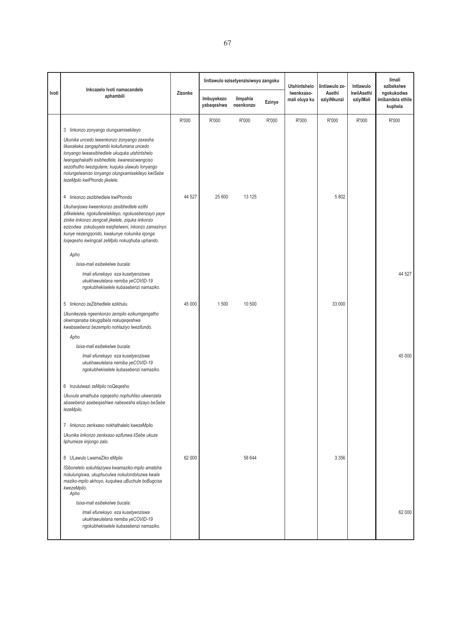|       |                                                                                                                                                                                                                                                                                                                                  |         |                          | lintlawulo ezisetyenzisiweyo zangoku |        | <b>Utshintshelo</b>         | lintlawulo ze-        | Intlawulo               | limali<br>ezibekelwe                       |
|-------|----------------------------------------------------------------------------------------------------------------------------------------------------------------------------------------------------------------------------------------------------------------------------------------------------------------------------------|---------|--------------------------|--------------------------------------|--------|-----------------------------|-----------------------|-------------------------|--------------------------------------------|
| Ivoti | Inkcazelo Ivoti namacandelo<br>aphambili                                                                                                                                                                                                                                                                                         | Zizonke | Imbuyekezo<br>yabaqeshwa | limpahla<br>neenkonzo                | Ezinye | Iwenkxaso-<br>mali oluya ku | Asethi<br>eziyiNkunzi | kwiiAsethi<br>eziyiMali | ngokukodwa<br>imibandela ethile<br>kuphela |
|       |                                                                                                                                                                                                                                                                                                                                  | R'000   | R'000                    | R'000                                | R'000  | R'000                       | R'000                 | R'000                   | R'000                                      |
|       | 3 linkonzo zonyango olungxamisekileyo                                                                                                                                                                                                                                                                                            |         |                          |                                      |        |                             |                       |                         |                                            |
|       | Ukunika uncedo lweenkonzo zonyango zexesha<br>likaxakeka zangaphambi kokufumana uncedo<br>lonyango lwasesibhedlele ukuquka utshintshelo<br>Iwangaphakathi esibhedlele, kwanesicwangciso<br>sezothutho lwezigulane; kuquka ulawulo lonyango<br>nolungelwaniso lonyango olungxamisekileyo kwiSebe<br>lezeMpilo kwiPhondo jikelele. |         |                          |                                      |        |                             |                       |                         |                                            |
|       | 4 linkonzo zezibhedlele kwiPhondo                                                                                                                                                                                                                                                                                                | 44 527  | 25 600                   | 13 1 25                              |        |                             | 5 8 0 2               |                         |                                            |
|       | Ukuhanjiswa kweenkonzo zesibhedlele ezithi<br>zifikeleleke, ngokufanelekileyo, ngokusebenzayo yaye<br>zinike iinkonzo zengcali jikelele, ziquka iinkonzo<br>ezizodwa zokubuyela esiqhelweni, inkonzo zamazinyo<br>kunye nezengqondo, kwakunye nokunika iqonga<br>loqeqesho kwiingcali zeMpilo nokuqhuba uphando.                 |         |                          |                                      |        |                             |                       |                         |                                            |
|       | Apho                                                                                                                                                                                                                                                                                                                             |         |                          |                                      |        |                             |                       |                         |                                            |
|       | Isixa-mali esibekelwe bucala:                                                                                                                                                                                                                                                                                                    |         |                          |                                      |        |                             |                       |                         |                                            |
|       | Imali efunekayo eza kusetyenziswa<br>ukukhawulelana nemiba yeCOVID-19<br>ngokubhekiselele kubasebenzi namaziko.                                                                                                                                                                                                                  |         |                          |                                      |        |                             |                       |                         | 44 527                                     |
|       | 5 linkonzo zeZibhedlele ezikhulu                                                                                                                                                                                                                                                                                                 | 45 000  | 1500                     | 10 500                               |        |                             | 33 000                |                         |                                            |
|       | Ukunikezela ngeenkonzo zempilo ezikumgangatho<br>okwinqanaba lokugqibela nokuqeqeshwa<br>kwabasebenzi bezempilo nohlaziyo lwezifundo.                                                                                                                                                                                            |         |                          |                                      |        |                             |                       |                         |                                            |
|       | Apho                                                                                                                                                                                                                                                                                                                             |         |                          |                                      |        |                             |                       |                         |                                            |
|       | Isixa-mali esibekelwe bucala:                                                                                                                                                                                                                                                                                                    |         |                          |                                      |        |                             |                       |                         |                                            |
|       | Imali efunekayo eza kusetyenziswa<br>ukukhawulelana nemiba yeCOVID-19<br>ngokubhekiselele kubasebenzi namaziko.                                                                                                                                                                                                                  |         |                          |                                      |        |                             |                       |                         | 45 000                                     |
|       | 6 Inzululwazi zeMpilo noQeqesho                                                                                                                                                                                                                                                                                                  |         |                          |                                      |        |                             |                       |                         |                                            |
|       | Ukuvula amathuba oqeqesho nophuhliso ukwenzela<br>abasebenzi asebegashiwe nabexesha elizayo beSebe<br>lezeMpilo.                                                                                                                                                                                                                 |         |                          |                                      |        |                             |                       |                         |                                            |
|       | 7 linkonzo zenkxaso nokhathalelo kwezeMpilo                                                                                                                                                                                                                                                                                      |         |                          |                                      |        |                             |                       |                         |                                            |
|       | Ukunika iinkonzo zenkxaso ezifunwa liSebe ukuze<br>liphumeze iinjongo zalo.                                                                                                                                                                                                                                                      |         |                          |                                      |        |                             |                       |                         |                                            |
|       | 8 ULawulo LwamaZiko eMpilo                                                                                                                                                                                                                                                                                                       | 62 000  |                          | 58 644                               |        |                             | 3 3 5 6               |                         |                                            |
|       | ISibonelelo sokuhlaziywa kwamaziko-mpilo amatsha<br>nokulungiswa, ukuphuculwa nokulondolozwa kwala<br>maziko-mpilo akhoyo, kuqukwa uBuchule boBugcisa<br>kwezeMpilo.<br>Apho                                                                                                                                                     |         |                          |                                      |        |                             |                       |                         |                                            |
|       | Isixa-mali esibekelwe bucala:                                                                                                                                                                                                                                                                                                    |         |                          |                                      |        |                             |                       |                         |                                            |
|       | Imali efunekayo eza kusetyenziswa<br>ukukhawulelana nemiba yeCOVID-19<br>ngokubhekiselele kubasebenzi namaziko.                                                                                                                                                                                                                  |         |                          |                                      |        |                             |                       |                         | 62 000                                     |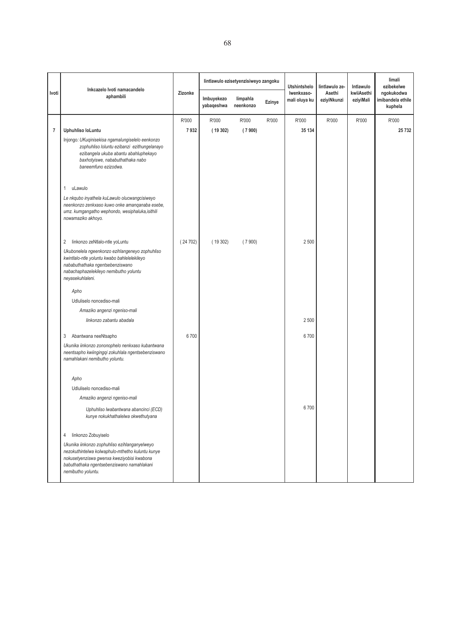|                |                                                                                                                                                                                                                     |         |                          | lintlawulo ezisetyenzisiweyo zangoku |        |                             | Utshintshelo<br>lintlawulo ze- | Intlawulo               | limali<br>ezibekelwe                       |
|----------------|---------------------------------------------------------------------------------------------------------------------------------------------------------------------------------------------------------------------|---------|--------------------------|--------------------------------------|--------|-----------------------------|--------------------------------|-------------------------|--------------------------------------------|
| Ivoti          | Inkcazelo Ivoti namacandelo<br>aphambili                                                                                                                                                                            | Zizonke | Imbuyekezo<br>yabaqeshwa | limpahla<br>neenkonzo                | Ezinye | Iwenkxaso-<br>mali oluya ku | Asethi<br>eziyiNkunzi          | kwiiAsethi<br>eziyiMali | ngokukodwa<br>imibandela ethile<br>kuphela |
|                |                                                                                                                                                                                                                     | R'000   | R'000                    | R'000                                | R'000  | R'000                       | R'000                          | R'000                   | R'000                                      |
| $\overline{7}$ | Uphuhliso loLuntu                                                                                                                                                                                                   | 7932    | (19302)                  | (7900)                               |        | 35 134                      |                                |                         | 25 732                                     |
|                | Injongo: UKuqinisekisa ngamalungiselelo eenkonzo<br>zophuhliso loluntu ezibanzi ezithungelanayo<br>ezibangela ukuba abantu abahluphekayo<br>baxhotyiswe, nababuthathaka nabo<br>baneemfuno ezizodwa.                |         |                          |                                      |        |                             |                                |                         |                                            |
|                | uLawulo<br>$\mathbf{1}$                                                                                                                                                                                             |         |                          |                                      |        |                             |                                |                         |                                            |
|                | Le nkqubo inyathela kuLawulo olucwangcisiweyo<br>neenkonzo zenkxaso kuwo onke amanqanaba esebe,<br>umz. kumgangatho wephondo, wesiphaluka, isithili<br>nowamaziko akhoyo.                                           |         |                          |                                      |        |                             |                                |                         |                                            |
|                | 2 linkonzo zeNtlalo-ntle yoLuntu                                                                                                                                                                                    | (24702) | (19302)                  | (7900)                               |        | 2 500                       |                                |                         |                                            |
|                | Ukubonelela ngeenkonzo ezihlangeneyo zophuhliso<br>kwintlalo-ntle yoluntu kwabo bahlelelekileyo<br>nababuthathaka ngentsebenziswano<br>nabachaphazelekileyo nemibutho yoluntu<br>neyasekuhlaleni.                   |         |                          |                                      |        |                             |                                |                         |                                            |
|                | Apho                                                                                                                                                                                                                |         |                          |                                      |        |                             |                                |                         |                                            |
|                | Udluliselo noncediso-mali                                                                                                                                                                                           |         |                          |                                      |        |                             |                                |                         |                                            |
|                | Amaziko angenzi ngeniso-mali                                                                                                                                                                                        |         |                          |                                      |        |                             |                                |                         |                                            |
|                | linkonzo zabantu abadala                                                                                                                                                                                            |         |                          |                                      |        | 2 500                       |                                |                         |                                            |
|                | Abantwana neeNtsapho<br>3                                                                                                                                                                                           | 6700    |                          |                                      |        | 6700                        |                                |                         |                                            |
|                | Ukunika iinkonzo zononophelo nenkxaso kubantwana<br>neentsapho kwiingingqi zokuhlala ngentsebenziswano<br>namahlakani nemibutho yoluntu.                                                                            |         |                          |                                      |        |                             |                                |                         |                                            |
|                | Apho                                                                                                                                                                                                                |         |                          |                                      |        |                             |                                |                         |                                            |
|                | Udluliselo noncediso-mali                                                                                                                                                                                           |         |                          |                                      |        |                             |                                |                         |                                            |
|                | Amaziko angenzi ngeniso-mali                                                                                                                                                                                        |         |                          |                                      |        |                             |                                |                         |                                            |
|                | Uphuhliso lwabantwana abancinci (ECD)<br>kunye nokukhathalelwa okwethutyana                                                                                                                                         |         |                          |                                      |        | 6700                        |                                |                         |                                            |
|                | 4<br>linkonzo Zobuyiselo                                                                                                                                                                                            |         |                          |                                      |        |                             |                                |                         |                                            |
|                | Ukunika iinkonzo zophuhliso ezihlanganyelweyo<br>nezokuthintelwa kolwaphulo-mthetho kuluntu kunye<br>nokusetyenziswa gwenxa kweziyobisi kwabona<br>babuthathaka ngentsebenziswano namahlakani<br>nemibutho yoluntu. |         |                          |                                      |        |                             |                                |                         |                                            |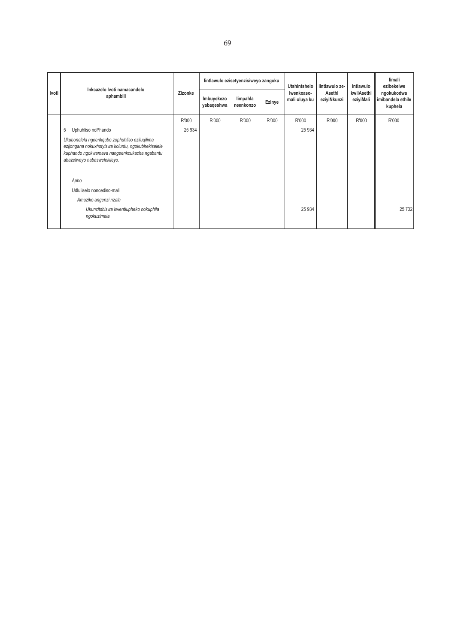|       | Inkcazelo Ivoti namacandelo<br>aphambili                                                                                                                                           | Zizonke |                          | lintlawulo ezisetyenzisiweyo zangoku |        | Utshintshelo<br>Iwenkxaso-<br>mali oluya ku | lintlawulo ze-        | Intlawulo               | limali<br>ezibekelwe<br>ngokukodwa<br>imibandela ethile<br>kuphela |
|-------|------------------------------------------------------------------------------------------------------------------------------------------------------------------------------------|---------|--------------------------|--------------------------------------|--------|---------------------------------------------|-----------------------|-------------------------|--------------------------------------------------------------------|
| Ivoti |                                                                                                                                                                                    |         | Imbuyekezo<br>yabaqeshwa | limpahla<br>neenkonzo                | Ezinye |                                             | Asethi<br>eziyiNkunzi | kwiiAsethi<br>eziyiMali |                                                                    |
|       |                                                                                                                                                                                    | R'000   | R'000                    | R'000                                | R'000  | R'000                                       | R'000                 | R'000                   | R'000                                                              |
|       | 5<br>Uphuhliso noPhando                                                                                                                                                            | 25 9 34 |                          |                                      |        | 25 9 34                                     |                       |                         |                                                                    |
|       | Ukubonelela ngeenkqubo zophuhliso eziluqilima<br>ezijongana nokuxhotyiswa koluntu, ngokubhekiselele<br>kuphando ngokwamava nangeenkcukacha ngabantu<br>abazelweyo nabaswelekileyo. |         |                          |                                      |        |                                             |                       |                         |                                                                    |
|       | Apho                                                                                                                                                                               |         |                          |                                      |        |                                             |                       |                         |                                                                    |
|       | Udluliselo noncediso-mali                                                                                                                                                          |         |                          |                                      |        |                                             |                       |                         |                                                                    |
|       | Amaziko angenzi nzala                                                                                                                                                              |         |                          |                                      |        |                                             |                       |                         |                                                                    |
|       | Ukuncitshiswa kwentlupheko nokuphila<br>ngokuzimela                                                                                                                                |         |                          |                                      |        | 25 9 34                                     |                       |                         | 25 7 32                                                            |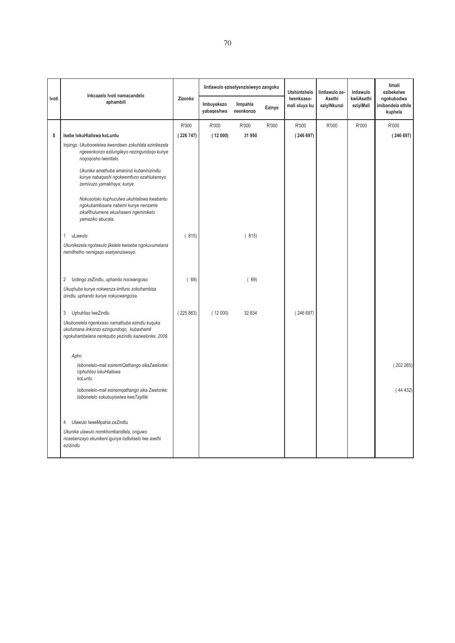|       | Inkcazelo Ivoti namacandelo                                                                                                                        |          |                          | lintlawulo ezisetyenzisiweyo zangoku |        | <b>Utshintshelo</b>         | lintlawulo ze-        | Intlawulo               | limali<br>ezibekelwe                       |
|-------|----------------------------------------------------------------------------------------------------------------------------------------------------|----------|--------------------------|--------------------------------------|--------|-----------------------------|-----------------------|-------------------------|--------------------------------------------|
| Ivoti | aphambili                                                                                                                                          | Zizonke  | Imbuyekezo<br>yabaqeshwa | limpahla<br>neenkonzo                | Ezinye | Iwenkxaso-<br>mali oluya ku | Asethi<br>eziyiNkunzi | kwiiAsethi<br>eziyiMali | ngokukodwa<br>imibandela ethile<br>kuphela |
|       |                                                                                                                                                    | R'000    | R'000                    | R'000                                | R'000  | R'000                       | R'000                 | R'000                   | R'000                                      |
| 8     | Isebe lokuHlaliswa koLuntu                                                                                                                         | (226747) | (12000)                  | 31 950                               |        | (246697)                    |                       |                         | (246697)                                   |
|       | Injongo: Ukubonelelwa kwendawo zokuhlala ezinikezela<br>ngeeenkonzo ezilungileyo nezingundoqo kunye<br>nogogosho lwentlalo.                        |          |                          |                                      |        |                             |                       |                         |                                            |
|       | Ukunika amathuba amaninzi kubaninizindlu<br>kunye nabaqashi ngokwemfuno ezahlukeneyo<br>zemivuzo yamakhaya; kunye.                                 |          |                          |                                      |        |                             |                       |                         |                                            |
|       | Nokusoloko kuphuculwa ukuhlaliswa kwabantu<br>ngokubambisana nabemi kunye nenzame<br>zikaRhulumene ekuxhaseni ngeminikelo<br>yamaziko abucala.     |          |                          |                                      |        |                             |                       |                         |                                            |
|       | uLawulo<br>1                                                                                                                                       | (815)    |                          | (815)                                |        |                             |                       |                         |                                            |
|       | Ukunikezela ngolawulo jikelele kwisebe ngokuvumelana<br>nemithetho nemigaqo esetyenziswayo.                                                        |          |                          |                                      |        |                             |                       |                         |                                            |
|       | Izidingo zeZindlu, uphando nocwangciso<br>2                                                                                                        | (69)     |                          | (69)                                 |        |                             |                       |                         |                                            |
|       | Ukuqhuba kunye nokwenza iimfuno zokuhambisa<br>izindlu, uphando kunye nokucwangcisa.                                                               |          |                          |                                      |        |                             |                       |                         |                                            |
|       | 3<br>Uphuhliso lweZindlu                                                                                                                           | (225863) | (12000)                  | 32 834                               |        | (246697)                    |                       |                         |                                            |
|       | Ukubonelela ngenkxaso namathuba ezindlu kuquka<br>ukufumana iinkonzo ezingundoqo, kubaxhamli<br>ngokuhambelana nenkqubo yezindlu kazwelonke, 2009. |          |                          |                                      |        |                             |                       |                         |                                            |
|       | Apho                                                                                                                                               |          |                          |                                      |        |                             |                       |                         |                                            |
|       | Isibonelelo-mali esinemiQathango sikaZwelonke:<br>Uphuhliso lokuHlaliswa<br>koLuntu                                                                |          |                          |                                      |        |                             |                       |                         | (202265)                                   |
|       | Isibonelelo-mali esinemqathango sika Zwelonke:<br>Isibonelelo sokubuyiselwa kweTayitile                                                            |          |                          |                                      |        |                             |                       |                         | (44432)                                    |
|       | Ulawulo lweeMpahla zeZindlu<br>4                                                                                                                   |          |                          |                                      |        |                             |                       |                         |                                            |
|       | Ukunika ulawulo nomkhombandlela, onguwo<br>nosebenzayo ekunikeni igunya lodluliselo lwe asethi<br>ezizindlu                                        |          |                          |                                      |        |                             |                       |                         |                                            |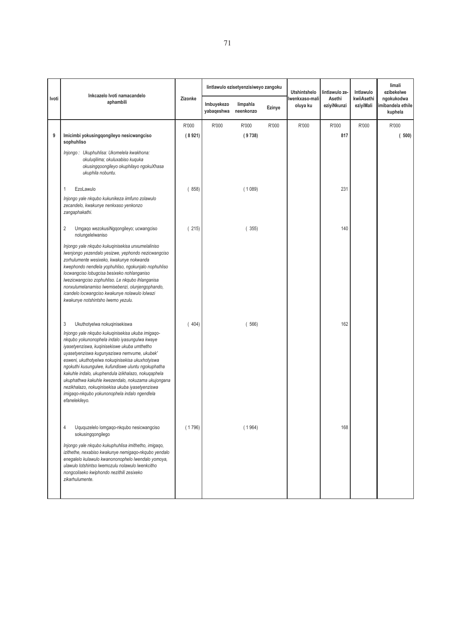|       |                                                                                                                                                                                                                                                                                                                                                                                                                                                                                                                                                                                       |                 |                          | lintlawulo ezisetyenzisiweyo zangoku |        | <b>Utshintshelo</b>        | lintlawulo ze-        | Intlawulo               | limali<br>ezibekelwe                      |
|-------|---------------------------------------------------------------------------------------------------------------------------------------------------------------------------------------------------------------------------------------------------------------------------------------------------------------------------------------------------------------------------------------------------------------------------------------------------------------------------------------------------------------------------------------------------------------------------------------|-----------------|--------------------------|--------------------------------------|--------|----------------------------|-----------------------|-------------------------|-------------------------------------------|
| Ivoti | Inkcazelo Ivoti namacandelo<br>aphambili                                                                                                                                                                                                                                                                                                                                                                                                                                                                                                                                              | Zizonke         | Imbuyekezo<br>yabaqeshwa | limpahla<br>neenkonzo                | Ezinye | lwenkxaso-mali<br>oluya ku | Asethi<br>eziyiNkunzi | kwiiAsethi<br>eziyiMali | ngokukodwa<br>mibandela ethile<br>kuphela |
| 9     | Imicimbi yokusingqongileyo nesicwangciso<br>sophuhliso<br>Injongo: Ukuphuhlisa: Ukomelela kwakhona:<br>okuluqilima; okuluxabiso kuquka<br>okusingqoongileyo okuphilayo ngokuXhasa<br>ukuphila nobuntu.                                                                                                                                                                                                                                                                                                                                                                                | R'000<br>(8921) | R'000                    | R'000<br>(9738)                      | R'000  | R'000                      | R'000<br>817          | R'000                   | R'000<br>500)                             |
|       | EzoLawulo<br>1<br>Injongo yale nkqubo kukunikeza iimfuno zolawulo<br>zecandelo, kwakunye nenkxaso yenkonzo<br>zangaphakathi.                                                                                                                                                                                                                                                                                                                                                                                                                                                          | 858)            |                          | (1089)                               |        |                            | 231                   |                         |                                           |
|       | 2<br>Umgaqo wezokusiNgqongileyo; ucwangciso<br>nolungelelwaniso<br>Injongo yale nkqubo kukuqinisekisa unxumelaliniso<br>Iwenjongo yezendalo yesizwe, yephondo nezicwangciso<br>zorhulumente wesixeko, kwakunye nokwanda<br>kwephondo nendlela yophuhliso, ngokunjalo nophuhliso<br>locwangciso lobugcisa besixeko nohlanganiso<br>Iwezicwangciso zophuhliso. Le nkgubo ihlanganisa<br>nonxulumelanamiso lwemisebenzi, olunjengophando,<br>icandelo locwangciso kwakunye nolawulo lolwazi<br>kwakunye notshintsho lwemo yezulu.                                                        | (215)           |                          | (355)                                |        |                            | 140                   |                         |                                           |
|       | 3<br>Ukuthotyelwa nokuqinisekiswa<br>Injongo yale nkqubo kukuqinisekisa ukuba imigaqo-<br>nkqubo yokunonophela indalo iyasungulwa kwaye<br>iyasetyenziswa, kuqinisekiswe ukuba umthetho<br>uyasetyenziswa kugunyaziswa nemvume, ukubek'<br>esweni, ukuthotyelwa nokuqinisekisa ukuxhotyiswa<br>ngokuthi kusungulwe, kufundiswe uluntu ngokuphatha<br>kakuhle indalo, ukuphendula izikhalazo, nokuqaphela<br>ukuphathwa kakuhle kwezendalo, nokuzama ukujongana<br>nezikhalazo, nokuqinisekisa ukuba iyasetyenziswa<br>imigago-nkgubo yokunonophela indalo ngendlela<br>efanelekileyo. | 404)            |                          | (566)                                |        |                            | 162                   |                         |                                           |
|       | Uququzelelo lomgaqo-nkqubo nesicwangciso<br>4<br>sokusingqongilego<br>Injongo yale nkqubo kukuphuhlisa imithetho, imigago,<br>izithethe, nexabiso kwakunye nemigaqo-nkqubo yendalo<br>enegalelo kulawulo kwanononophelo lwendalo yomoya,<br>ulawulo lotshintso lwemozulu nolawulo lwenkcitho<br>nongcoliseko kwiphondo nezithili zesixeko<br>zikarhulumente.                                                                                                                                                                                                                          | (1796)          |                          | (1964)                               |        |                            | 168                   |                         |                                           |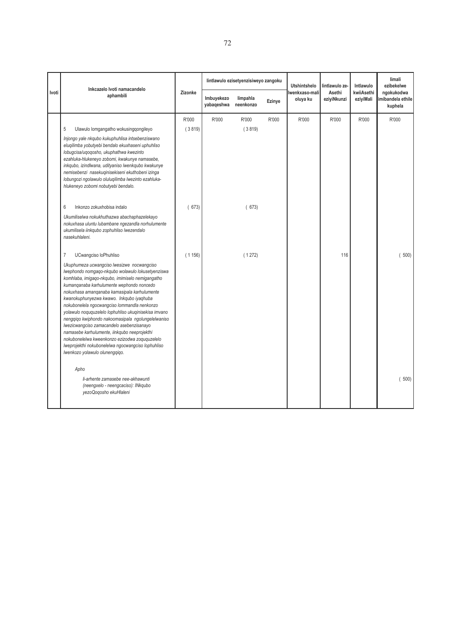|       | Inkcazelo Ivoti namacandelo                                                                                                                                                                                                                                                                                                                                                                                                                                                                                                                                                                                                                                                                                                                   |         |                          | lintlawulo ezisetyenzisiweyo zangoku |        | <b>Utshintshelo</b>        | lintlawulo ze-        | Intlawulo               | limali<br>ezibekelwe                      |
|-------|-----------------------------------------------------------------------------------------------------------------------------------------------------------------------------------------------------------------------------------------------------------------------------------------------------------------------------------------------------------------------------------------------------------------------------------------------------------------------------------------------------------------------------------------------------------------------------------------------------------------------------------------------------------------------------------------------------------------------------------------------|---------|--------------------------|--------------------------------------|--------|----------------------------|-----------------------|-------------------------|-------------------------------------------|
| Ivoti | aphambili                                                                                                                                                                                                                                                                                                                                                                                                                                                                                                                                                                                                                                                                                                                                     | Zizonke | Imbuyekezo<br>yabaqeshwa | limpahla<br>neenkonzo                | Ezinye | Iwenkxaso-mali<br>oluya ku | Asethi<br>eziyiNkunzi | kwiiAsethi<br>eziyiMali | ngokukodwa<br>mibandela ethile<br>kuphela |
|       |                                                                                                                                                                                                                                                                                                                                                                                                                                                                                                                                                                                                                                                                                                                                               | R'000   | R'000                    | R'000                                | R'000  | R'000                      | R'000                 | R'000                   | R'000                                     |
|       | 5<br>Ulawulo lomgangatho wokusingqongileyo<br>Injongo yale nkqubo kukuphuhlisa intsebenziswano<br>eluqilimba yobutyebi bendalo ekuxhaseni uphuhliso<br>lobugcisa/uqoqosho, ukuphathwa kwezinto<br>ezahluka-hlukeneyo zobomi, kwakunye namasebe,<br>inkqubo, izindlwana, udityaniso lwenkqubo kwakunye<br>nemisebenzi nasekuginisekiseni ekuthobeni izinga<br>lobungozi ngolawulo oluluqilimba lwezinto ezahluka-<br>hlukeneyo zobomi nobutyebi bendalo.                                                                                                                                                                                                                                                                                       | (3819)  |                          | (3819)                               |        |                            |                       |                         |                                           |
|       | 6<br>Inkonzo zokuxhobisa indalo<br>Ukumiliselwa nokukhuthazwa abachaphazelekayo<br>nokuxhasa uluntu lubambane ngezandla norhulumente<br>ukumilisela iinkqubo zophuhliso lwezendalo<br>nasekuhlaleni.                                                                                                                                                                                                                                                                                                                                                                                                                                                                                                                                          | (673)   |                          | (673)                                |        |                            |                       |                         |                                           |
|       | $\overline{7}$<br>UCwangciso loPhuhliso<br>Ukuphumeza ucwangciso lwesizwe nocwangciso<br>Iwephondo nomgaqo-nkqubo wolawulo lokusetyenziswa<br>komhlaba, imigago-nkqubo, imimiselo nemigangatho<br>kumanganaba karhulumente wephondo noncedo<br>nokuxhasa amanganaba kamasipala karhulumente<br>kwanokuphunyezwa kwawo. Inkqubo iyaqhuba<br>nokubonelela ngocwangciso lommandla nenkonzo<br>yolawulo noququzelelo lophuhliso ukuqinisekisa imvano<br>nengqiqo kwiphondo nakoomasipala ngolungelelwaniso<br>Iwezicwangciso zamacandelo asebenzisanayo<br>namasebe karhulumente, iinkqubo neeprojekthi<br>nokubonelelwa kweenkonzo ezizodwa zoguguzelelo<br>Iweprojekthi nokubonelelwa ngocwangciso lophuhliso<br>Iwenkozo yolawulo olunengqiqo. | (1156)  |                          | (1272)                               |        |                            | 116                   |                         | 500)                                      |
|       | Apho<br>li-arhente zamasebe nee-akhawunti<br>(neengxelo - neengcaciso): INkqubo<br>yezoQoqosho ekuHlaleni                                                                                                                                                                                                                                                                                                                                                                                                                                                                                                                                                                                                                                     |         |                          |                                      |        |                            |                       |                         | 500)                                      |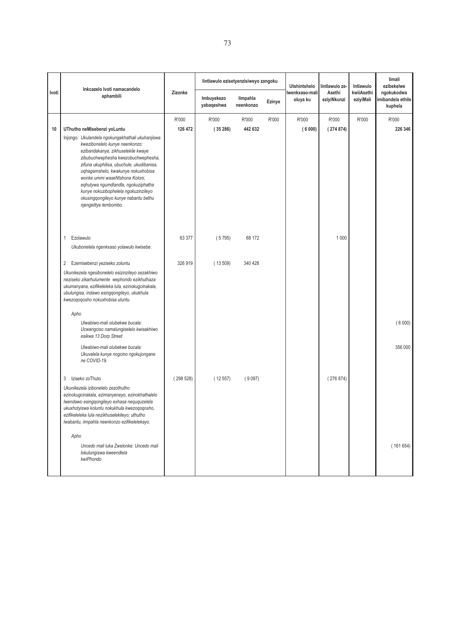|       |                                                                                                                                                                                                                                                                                                                                                                                                    |                  | lintlawulo ezisetyenzisiweyo zangoku |                       |        | <b>Utshintshelo</b>        | lintlawulo ze-        | Intlawulo               | limali<br>ezibekelwe                      |
|-------|----------------------------------------------------------------------------------------------------------------------------------------------------------------------------------------------------------------------------------------------------------------------------------------------------------------------------------------------------------------------------------------------------|------------------|--------------------------------------|-----------------------|--------|----------------------------|-----------------------|-------------------------|-------------------------------------------|
| Ivoti | Inkcazelo Ivoti namacandelo<br>aphambili                                                                                                                                                                                                                                                                                                                                                           | Zizonke          | Imbuyekezo<br>yabaqeshwa             | limpahla<br>neenkonzo | Ezinye | lwenkxaso-mali<br>oluya ku | Asethi<br>eziyiNkunzi | kwiiAsethi<br>eziyiMali | ngokukodwa<br>mibandela ethile<br>kuphela |
| 10    | UThutho neMisebenzi yoLuntu<br>Injongo: Ukulandela ngokungakhathali ukuhanjiswa<br>kwezibonelelo kunye neenkonzo:<br>ezibandakanya, zikhuselekile kwaye<br>zibubuchwephesha kwezobuchwephesha,<br>zifuna ukuphilisa, ubuchule, ukudibanisa,<br>uqhagamshelo, kwakunye nokuxhobisa<br>wonke ummi waseNtshona Koloni,<br>eqhutywa ngumdlandla, ngokuziphatha<br>kunye nokuzibophelela ngokuzinzileyo | R'000<br>126 472 | R'000<br>(35286)                     | R'000<br>442 632      | R'000  | R'000<br>(6000)            | R'000<br>(274874)     | R'000                   | R'000<br>226 346                          |
|       | okusingqongileyo kunye nabantu bethu<br>njengelitye lembombo.<br>$\mathbf{1}$<br>Ezolawulo<br>Ukubonelela ngenkxaso yolawulo kwisebe.                                                                                                                                                                                                                                                              | 63 377           | (5795)                               | 68 172                |        |                            | 1 0 0 0               |                         |                                           |
|       | 2<br>Ezemisebenzi yeziseko zoluntu<br>Ukunikezela ngesibonelelo esizinzileyo sezakhiwo<br>neziseko zikarhulumente wephondo ezikhuthaza<br>ukumanyana, ezifikeleleka lula, ezinokugcinakala,<br>ubulungisa, indawo esingqongileyo, ukukhula<br>kwezoqoqosho nokuxhobisa uluntu.                                                                                                                     | 326 919          | (13509)                              | 340 428               |        |                            |                       |                         |                                           |
|       | Apho<br>Ulwabiwo-mali olubekwe bucala:<br>Ucwangciso namalungiselelo kwisakhiwo<br>esikwa 13 Dorp Street                                                                                                                                                                                                                                                                                           |                  |                                      |                       |        |                            |                       |                         | (6000)                                    |
|       | Ulwabiwo-mali olubekwe bucala:<br>Ukuvalela kunye nogcino ngokujongane<br>ne COVID-19.                                                                                                                                                                                                                                                                                                             |                  |                                      |                       |        |                            |                       |                         | 356 000                                   |
|       | Iziseko zoThuto<br>3<br>Ukunikezela izibonelelo zezothutho<br>ezinokugcinakala, ezimanyeneyo, ezinokhathalelo<br>Iwendawo esingqongileyo exhasa neququzelela<br>ukuxhotyiswa koluntu nokukhula kwezoqoqosho,<br>ezifikeleleka lula nezikhuselekileyo; uthutho<br>Iwabantu, iimpahla neenkonzo ezifikelelekayo.                                                                                     | (298528)         | (12557)                              | (9097)                |        |                            | (276874)              |                         |                                           |
|       | Apho<br>Uncedo mali luka Zwelonke: Uncedo mali<br>lokulungiswa kweendlela<br>kwiPhondo                                                                                                                                                                                                                                                                                                             |                  |                                      |                       |        |                            |                       |                         | (161654)                                  |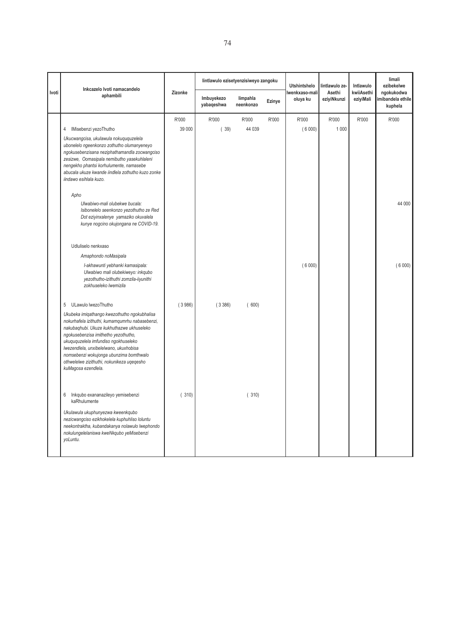|       | Inkcazelo Ivoti namacandelo                                                                                                                                                                                                                                                                                                                                                            |         | lintlawulo ezisetyenzisiweyo zangoku |                       |        | <b>Utshintshelo</b>        | lintlawulo ze-        | Intlawulo               | limali<br>ezibekelwe                      |
|-------|----------------------------------------------------------------------------------------------------------------------------------------------------------------------------------------------------------------------------------------------------------------------------------------------------------------------------------------------------------------------------------------|---------|--------------------------------------|-----------------------|--------|----------------------------|-----------------------|-------------------------|-------------------------------------------|
| Ivoti | aphambili                                                                                                                                                                                                                                                                                                                                                                              | Zizonke | Imbuyekezo<br>yabaqeshwa             | limpahla<br>neenkonzo | Ezinye | lwenkxaso-mali<br>oluya ku | Asethi<br>eziyiNkunzi | kwiiAsethi<br>eziyiMali | ngokukodwa<br>mibandela ethile<br>kuphela |
|       |                                                                                                                                                                                                                                                                                                                                                                                        | R'000   | R'000                                | R'000                 | R'000  | R'000                      | R'000                 | R'000                   | R'000                                     |
|       | 4 IMisebenzi yezoThutho                                                                                                                                                                                                                                                                                                                                                                | 39 000  | (39)                                 | 44 039                |        | (6000)                     | 1 0 0 0               |                         |                                           |
|       | Ukucwangcisa, ukulawula nokuququzelela<br>ubonelelo ngeenkonzo zothutho olumanyeneyo<br>ngokusebenzisana neziphathamandla zocwangciso<br>zesizwe, Oomasipala nemibutho yasekuhlaleni<br>nengekho phantsi korhulumente, namasebe<br>abucala ukuze kwande iindlela zothutho kuzo zonke<br>iindawo esihlala kuzo.                                                                         |         |                                      |                       |        |                            |                       |                         |                                           |
|       | Apho                                                                                                                                                                                                                                                                                                                                                                                   |         |                                      |                       |        |                            |                       |                         |                                           |
|       | Ulwabiwo-mali olubekwe bucala:<br>Isibonelelo seenkonzo yezothutho ze Red<br>Dot eziyinxalenye yamaziko okuvalela<br>kunye nogcino okujongana ne COVID-19.                                                                                                                                                                                                                             |         |                                      |                       |        |                            |                       |                         | 44 000                                    |
|       | Udluliselo nenkxaso                                                                                                                                                                                                                                                                                                                                                                    |         |                                      |                       |        |                            |                       |                         |                                           |
|       | Amaphondo noMasipala                                                                                                                                                                                                                                                                                                                                                                   |         |                                      |                       |        |                            |                       |                         |                                           |
|       | I-akhawunti yebhanki kamasipala:<br>Ulwabiwo mali olubekiweyo: inkqubo<br>yezothutho-izithuthi zomzila-iiyunithi<br>zokhuseleko lwemizila                                                                                                                                                                                                                                              |         |                                      |                       |        | (6000)                     |                       |                         | (6000)                                    |
|       | 5 ULawulo lwezoThutho                                                                                                                                                                                                                                                                                                                                                                  | (3986)  | (3386)                               | (600)                 |        |                            |                       |                         |                                           |
|       | Ukubeka imigathango kwezothutho ngokubhalisa<br>nokurhafela izithuthi, kumamqumrhu nabasebenzi,<br>nakubaqhubi. Ukuze kukhuthazwe ukhuseleko<br>ngokusebenzisa imithetho yezothutho,<br>ukuququzelela imfundiso ngokhuseleko<br>Iwezendlela, unxibelelwano, ukuxhobisa<br>nomsebenzi wokujonga ubunzima bomthwalo<br>othwelelwe zizithuthi, nokunikeza uqeqesho<br>kuMagosa ezendlela. |         |                                      |                       |        |                            |                       |                         |                                           |
|       | Inkqubo exananazileyo yemisebenzi<br>6<br>kaRhulumente                                                                                                                                                                                                                                                                                                                                 | (310)   |                                      | (310)                 |        |                            |                       |                         |                                           |
|       | Ukulawula ukuphunyezwa kweenkqubo<br>nezicwangciso ezikhokelela kuphuhliso loluntu<br>neekontraktha, kubandakanya nolawulo lwephondo<br>nokulungelelaniswa kweNkqubo yeMisebenzi<br>voLuntu.                                                                                                                                                                                           |         |                                      |                       |        |                            |                       |                         |                                           |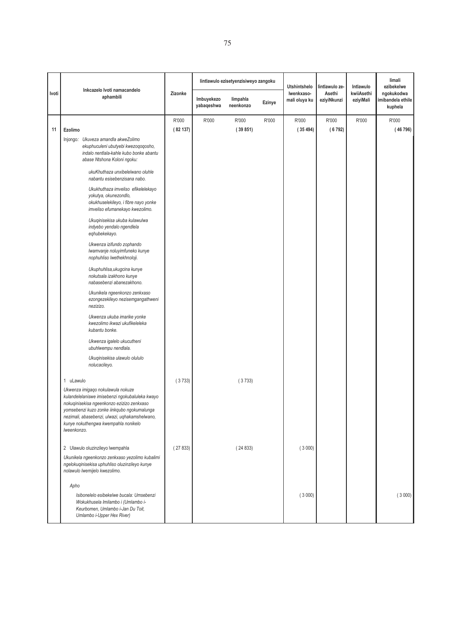|       |                                                                                                                                                                                                                                                                                                                                                                                                                                                                                                                                                                                                                                                                                                                                                                                                                                                                                                                                  |         |                          | lintlawulo ezisetyenzisiweyo zangoku |        | <b>Utshintshelo</b>         | lintlawulo ze-        | Intlawulo               | limali<br>ezibekelwe                       |
|-------|----------------------------------------------------------------------------------------------------------------------------------------------------------------------------------------------------------------------------------------------------------------------------------------------------------------------------------------------------------------------------------------------------------------------------------------------------------------------------------------------------------------------------------------------------------------------------------------------------------------------------------------------------------------------------------------------------------------------------------------------------------------------------------------------------------------------------------------------------------------------------------------------------------------------------------|---------|--------------------------|--------------------------------------|--------|-----------------------------|-----------------------|-------------------------|--------------------------------------------|
| Ivoti | Inkcazelo Ivoti namacandelo<br>aphambili                                                                                                                                                                                                                                                                                                                                                                                                                                                                                                                                                                                                                                                                                                                                                                                                                                                                                         | Zizonke | Imbuyekezo<br>yabaqeshwa | limpahla<br>neenkonzo                | Ezinye | Iwenkxaso-<br>mali oluya ku | Asethi<br>eziyiNkunzi | kwiiAsethi<br>eziyiMali | ngokukodwa<br>imibandela ethile<br>kuphela |
|       |                                                                                                                                                                                                                                                                                                                                                                                                                                                                                                                                                                                                                                                                                                                                                                                                                                                                                                                                  | R'000   | R'000                    | R'000                                | R'000  | R'000                       | R'000                 | R'000                   | R'000                                      |
| 11    | Ezolimo                                                                                                                                                                                                                                                                                                                                                                                                                                                                                                                                                                                                                                                                                                                                                                                                                                                                                                                          | (82137) |                          | (39851)                              |        | (35494)                     | (6792)                |                         | (46796)                                    |
|       | Injongo: Ukuveza amandla akweZolimo<br>ekuphuculeni ubutyebi kwezoqoqosho,<br>indalo nentlala-kahle kubo bonke abantu<br>abase Ntshona Koloni ngoku:<br>ukuKhuthaza unxibelelwano oluhle<br>nabantu esisebenzisana nabo.<br>Ukukhuthaza imveliso efikelelekayo<br>yokutya, okunezondlo,<br>okukhuselekileyo, i fibre nayo yonke<br>imveliso efumanekayo kwezolimo.<br>Ukuqinisekisa ukuba kulawulwa<br>indyebo yendalo ngendlela<br>eghubekekayo.<br>Ukwenza izifundo zophando<br>Iwamvanje noluyimfuneko kunye<br>nophuhliso lwethekhnoloji.<br>Ukuphuhlisa, ukugcina kunye<br>nokutsala izakhono kunye<br>nabasebenzi abanezakhono.<br>Ukunikela ngeenkonzo zenkxaso<br>ezongezekileyo nezisemgangathweni<br>nezizizo.<br>Ukwenza ukuba imarike yonke<br>kwezolimo ikwazi ukufikeleleka<br>kubantu bonke.<br>Ukwenza igalelo ukucutheni<br>ubuhlwempu nendlala.<br>Ukuqinisekisa ulawulo olululo<br>nolucacileyo.<br>1 uLawulo | (3733)  |                          | (3733)                               |        |                             |                       |                         |                                            |
|       | Ukwenza imigaqo nokulawula nokuze<br>kulandelelaniswe imisebenzi ngokubaluleka kwayo<br>nokuqinisekisa ngeenkonzo ezizizo zenkxaso<br>yomsebenzi kuzo zonke iinkqubo ngokumalunga<br>nezimali, abasebenzi, ulwazi, uqhakamshelwano,<br>kunye nokuthengwa kwempahla nonikelo<br>Iweenkonzo.                                                                                                                                                                                                                                                                                                                                                                                                                                                                                                                                                                                                                                       |         |                          |                                      |        |                             |                       |                         |                                            |
|       | 2 Ulawulo oluzinzileyo lwempahla                                                                                                                                                                                                                                                                                                                                                                                                                                                                                                                                                                                                                                                                                                                                                                                                                                                                                                 | (27833) |                          | (24833)                              |        | (3000)                      |                       |                         |                                            |
|       | Ukunikela ngeenkonzo zenkxaso yezolimo kubalimi<br>ngelokuqinisekisa uphuhliso oluzinzileyo kunye<br>nolawulo lwemijelo kwezolimo.                                                                                                                                                                                                                                                                                                                                                                                                                                                                                                                                                                                                                                                                                                                                                                                               |         |                          |                                      |        |                             |                       |                         |                                            |
|       | Apho                                                                                                                                                                                                                                                                                                                                                                                                                                                                                                                                                                                                                                                                                                                                                                                                                                                                                                                             |         |                          |                                      |        |                             |                       |                         |                                            |
|       | Isibonelelo esibekelwe bucala: Umsebenzi<br>Wokukhusela Imilambo i (Umlambo i-<br>Keurbomen, Umlambo i-Jan Du Toit,<br>Umlambo i-Upper Hex River)                                                                                                                                                                                                                                                                                                                                                                                                                                                                                                                                                                                                                                                                                                                                                                                |         |                          |                                      |        | (3000)                      |                       |                         | (3000)                                     |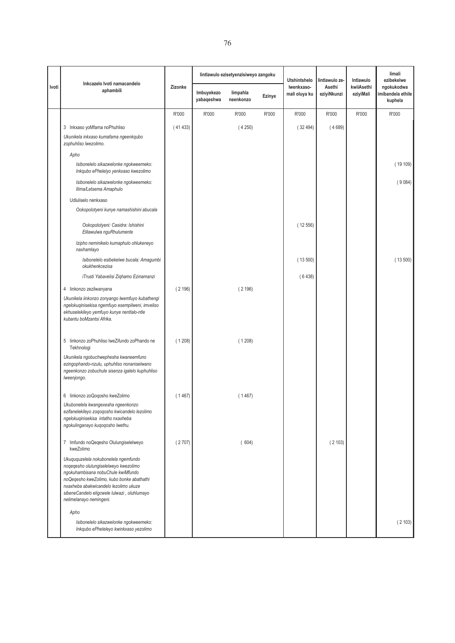|       |                                                                                                                                                                                                                                                                                     |         |                          | lintlawulo ezisetyenzisiweyo zangoku |        | <b>Utshintshelo</b>         | lintlawulo ze-        | Intlawulo               | limali<br>ezibekelwe                       |
|-------|-------------------------------------------------------------------------------------------------------------------------------------------------------------------------------------------------------------------------------------------------------------------------------------|---------|--------------------------|--------------------------------------|--------|-----------------------------|-----------------------|-------------------------|--------------------------------------------|
| Ivoti | Inkcazelo Ivoti namacandelo<br>aphambili                                                                                                                                                                                                                                            | Zizonke | Imbuyekezo<br>yabaqeshwa | limpahla<br>neenkonzo                | Ezinye | Iwenkxaso-<br>mali oluya ku | Asethi<br>eziyiNkunzi | kwiiAsethi<br>eziyiMali | ngokukodwa<br>imibandela ethile<br>kuphela |
|       |                                                                                                                                                                                                                                                                                     | R'000   | R'000                    | R'000                                | R'000  | R'000                       | R'000                 | R'000                   | R'000                                      |
|       | 3 Inkxaso yoMfama noPhuhliso                                                                                                                                                                                                                                                        | (41433) |                          | (4250)                               |        | (32494)                     | (4689)                |                         |                                            |
|       | Ukunikela inkxaso kumafama ngeenkqubo<br>zophuhliso lwezolimo.                                                                                                                                                                                                                      |         |                          |                                      |        |                             |                       |                         |                                            |
|       | Apho                                                                                                                                                                                                                                                                                |         |                          |                                      |        |                             |                       |                         |                                            |
|       | Isibonelelo sikazwelonke ngokweemeko:<br>Inkqubo ePhelelyo yenkxaso kwezolimo                                                                                                                                                                                                       |         |                          |                                      |        |                             |                       |                         | (19109)                                    |
|       | Isibonelelo sikazwelonke ngokweemeko:<br>Ilima/Letsema Amaphulo                                                                                                                                                                                                                     |         |                          |                                      |        |                             |                       |                         | (9084)                                     |
|       | Udluliselo nenkxaso                                                                                                                                                                                                                                                                 |         |                          |                                      |        |                             |                       |                         |                                            |
|       | Ookopolotyeni kunye namashishini abucala                                                                                                                                                                                                                                            |         |                          |                                      |        |                             |                       |                         |                                            |
|       | Ookopolotyeni: Casidra: Ishishini<br>Elilawulwa nguRhulumente                                                                                                                                                                                                                       |         |                          |                                      |        | (12556)                     |                       |                         |                                            |
|       | Izipho neminikelo kumaphulo ohlukeneyo<br>naxhamlayo                                                                                                                                                                                                                                |         |                          |                                      |        |                             |                       |                         |                                            |
|       | Isibonelelo esibekelwe bucala: Amagumbi<br>okukhenkcezisa                                                                                                                                                                                                                           |         |                          |                                      |        | (13500)                     |                       |                         | (13500)                                    |
|       | iTrusti Yabavelisi Ziqhamo Ezinamanzi                                                                                                                                                                                                                                               |         |                          |                                      |        | (6438)                      |                       |                         |                                            |
|       | 4 linkonzo zezilwanyana                                                                                                                                                                                                                                                             | (2196)  |                          | (2196)                               |        |                             |                       |                         |                                            |
|       | Ukunikela iinkonzo zonyango lwemfuyo kubathengi<br>ngelokuqinisekisa ngemfuyo esempilweni, imveliso<br>ekhuselekileyo yemfuyo kunye nentlalo-ntle<br>kubantu boMzantsi Afrika.                                                                                                      |         |                          |                                      |        |                             |                       |                         |                                            |
|       | 5 linkonzo zoPhuhliso lweZifundo zoPhando ne<br>Tekhnologi                                                                                                                                                                                                                          | (1208)  |                          | (1208)                               |        |                             |                       |                         |                                            |
|       | Ukunikela ngobuchwephesha kwaneemfuno<br>ezingophando-nzulu, uphuhliso nonaniselwano<br>ngeenkonzo zobuchule sisenza igalelo kuphuhliso<br>Iweenjongo.                                                                                                                              |         |                          |                                      |        |                             |                       |                         |                                            |
|       | 6 linkonzo zoQoqosho kweZolimo                                                                                                                                                                                                                                                      | (1467)  |                          | (1467)                               |        |                             |                       |                         |                                            |
|       | Ukubonelela kwangexesha ngeenkonzo<br>ezifanelekileyo zoqoqosho kwicandelo lezolimo<br>ngelokuqinisekisa intatho nxaxheba<br>ngokulinganayo kuqoqosho lwethu.                                                                                                                       |         |                          |                                      |        |                             |                       |                         |                                            |
|       | 7 Imfundo noQeqesho Olulungiselelweyo<br>kweZolimo                                                                                                                                                                                                                                  | (2707)  |                          | (604)                                |        |                             | (2103)                |                         |                                            |
|       | Ukuququzelela nokubonelela ngemfundo<br>noqeqesho olulungiselelweyo kwezolimo<br>ngokuhambisana nobuChule kwiMfundo<br>noQeqesho kweZolimo, kubo bonke abathathi<br>nxaxheba abakwicandelo lezolimo ukuze<br>sibeneCandelo eligcwele lulwazi, oluhlumayo<br>nelimelanayo nemingeni. |         |                          |                                      |        |                             |                       |                         |                                            |
|       | Apho                                                                                                                                                                                                                                                                                |         |                          |                                      |        |                             |                       |                         |                                            |
|       | Isibonelelo sikazwelonke ngokweemeko:<br>Inkqubo ePheleleyo kwinkxaso yezolimo                                                                                                                                                                                                      |         |                          |                                      |        |                             |                       |                         | (2103)                                     |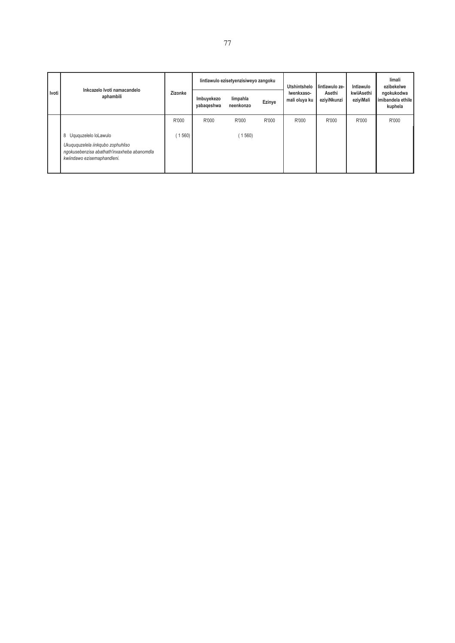|       | Inkcazelo Ivoti namacandelo                                                                                                               |         | lintlawulo ezisetyenzisiweyo zangoku |                       |        | Utshintshelo                | lintlawulo ze-        | Intlawulo               | limali<br>ezibekelwe                       |
|-------|-------------------------------------------------------------------------------------------------------------------------------------------|---------|--------------------------------------|-----------------------|--------|-----------------------------|-----------------------|-------------------------|--------------------------------------------|
| Ivoti | aphambili                                                                                                                                 | Zizonke | Imbuyekezo<br>yabaqeshwa             | limpahla<br>neenkonzo | Ezinye | Iwenkxaso-<br>mali oluya ku | Asethi<br>eziyiNkunzi | kwiiAsethi<br>eziyiMali | ngokukodwa<br>imibandela ethile<br>kuphela |
|       |                                                                                                                                           | R'000   | R'000                                | R'000                 | R'000  | R'000                       | R'000                 | R'000                   | R'000                                      |
|       | 8 Uguquzelelo loLawulo<br>Ukuququzelela iinkqubo zophuhliso<br>ngokusebenzisa abathath'inxaxheba abanomdla<br>kwiindawo ezisemaphandleni. | 1560    |                                      | (1560)                |        |                             |                       |                         |                                            |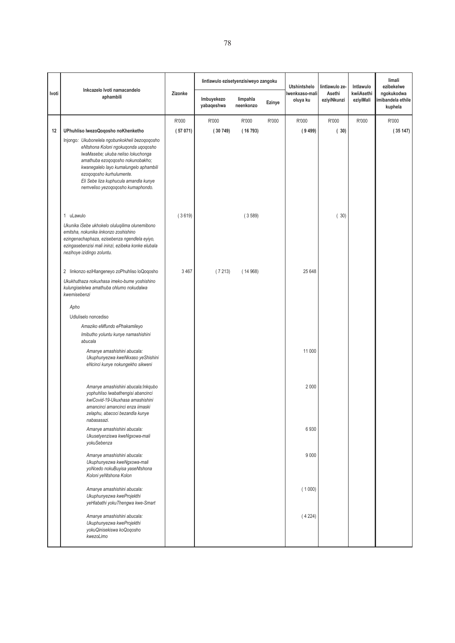|       |                                                                                                                                                                                                                                                                                                                     |         | lintlawulo ezisetyenzisiweyo zangoku |                       |        | <b>Utshintshelo</b>        | lintlawulo ze-        | Intlawulo               | limali<br>ezibekelwe                       |
|-------|---------------------------------------------------------------------------------------------------------------------------------------------------------------------------------------------------------------------------------------------------------------------------------------------------------------------|---------|--------------------------------------|-----------------------|--------|----------------------------|-----------------------|-------------------------|--------------------------------------------|
| Ivoti | Inkcazelo Ivoti namacandelo<br>aphambili                                                                                                                                                                                                                                                                            | Zizonke | Imbuyekezo<br>yabaqeshwa             | limpahla<br>neenkonzo | Ezinye | Iwenkxaso-mali<br>oluya ku | Asethi<br>eziyiNkunzi | kwiiAsethi<br>eziyiMali | ngokukodwa<br>imibandela ethile<br>kuphela |
|       |                                                                                                                                                                                                                                                                                                                     | R'000   | R'000                                | R'000                 | R'000  | R'000                      | R'000                 | R'000                   | R'000                                      |
| 12    | UPhuhliso lwezoQoqosho noKhenketho                                                                                                                                                                                                                                                                                  | (57071) | (30749)                              | (16793)               |        | (9499)                     | (30)                  |                         | (35147)                                    |
|       | Injongo: Ukubonelela ngobunkokheli bezoqoqosho<br>eNtshona Koloni ngokuqonda uqoqosho<br>IwaMasebe; ukuba neliso lokuchonga<br>amathuba ezoqoqosho nokunobakho;<br>kwanegalelo layo kumalungelo aphambili<br>ezoqoqosho kurhulumente.<br>Eli Sebe liza kuphucula amandla kunye<br>nemveliso yezoqoqosho kumaphondo. |         |                                      |                       |        |                            |                       |                         |                                            |
|       | 1 uLawulo                                                                                                                                                                                                                                                                                                           | (3619)  |                                      | (3589)                |        |                            | (30)                  |                         |                                            |
|       | Ukunika iSebe ukhokelo oluluqilima olunemibono<br>emitsha, nokunika iinkonzo zoshishino<br>ezingenachaphaza, ezisebenza ngendlela eyiyo,<br>ezingasebenzisi mali ininzi, ezibeka konke elubala<br>nezihoye izidingo zoluntu.                                                                                        |         |                                      |                       |        |                            |                       |                         |                                            |
|       | 2 linkonzo eziHlangeneyo zoPhuhliso loQoqosho                                                                                                                                                                                                                                                                       | 3 4 6 7 | (7213)                               | (14968)               |        | 25 648                     |                       |                         |                                            |
|       | Ukukhuthaza nokuxhasa imeko-bume yoshishino<br>kulungiselelwa amathuba ohlumo nokudalwa<br>kwemisebenzi                                                                                                                                                                                                             |         |                                      |                       |        |                            |                       |                         |                                            |
|       | Apho                                                                                                                                                                                                                                                                                                                |         |                                      |                       |        |                            |                       |                         |                                            |
|       | Udluliselo noncediso                                                                                                                                                                                                                                                                                                |         |                                      |                       |        |                            |                       |                         |                                            |
|       | Amaziko eMfundo ePhakamileyo                                                                                                                                                                                                                                                                                        |         |                                      |                       |        |                            |                       |                         |                                            |
|       | Imibutho yoluntu kunye namashishini<br>abucala                                                                                                                                                                                                                                                                      |         |                                      |                       |        |                            |                       |                         |                                            |
|       | Amanye amashishini abucala:<br>Ukuphunyezwa kweNkxaso yeShishini<br>eNcinci kunye nokungekho sikweni                                                                                                                                                                                                                |         |                                      |                       |        | 11 000                     |                       |                         |                                            |
|       | Amanye amashishini abucala:Inkqubo<br>yophuhliso lwabathengisi abancinci<br>kwiCovid-19-Ukuxhasa amashishini<br>amancinci amancinci enza iimaski<br>zelaphu, abacoci bezandla kunye                                                                                                                                 |         |                                      |                       |        | 2 0 0 0                    |                       |                         |                                            |
|       | nabasasazi.<br>Amanye amashishini abucala:<br>Ukusetyenziswa kweNgxowa-mali<br>yokuSebenza                                                                                                                                                                                                                          |         |                                      |                       |        | 6930                       |                       |                         |                                            |
|       | Amanye amashishini abucala:<br>Ukuphunyezwa kweNgxowa-mali<br>yoNcedo nokuBuyisa yaseNtshona<br>Koloni yeNtshona Kolon                                                                                                                                                                                              |         |                                      |                       |        | 9 0 0 0                    |                       |                         |                                            |
|       | Amanye amashishini abucala:<br>Ukuphunyezwa kweProjekthi<br>yeHlabathi yokuThengwa kwe-Smart                                                                                                                                                                                                                        |         |                                      |                       |        | (1000)                     |                       |                         |                                            |
|       | Amanye amashishini abucala:<br>Ukuphunyezwa kweProjekthi<br>yokuQinisekiswa koQoqosho<br>kwezoLimo                                                                                                                                                                                                                  |         |                                      |                       |        | (4224)                     |                       |                         |                                            |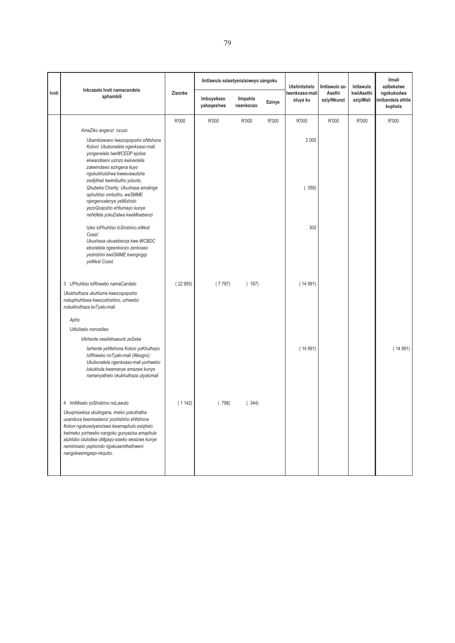|       | Inkcazelo Ivoti namacandelo                                                                                                                                                                                                                                                                               |         | lintlawulo ezisetyenzisiweyo zangoku |                       |        | <b>Utshintshelo</b>        | lintlawulo ze-        | Intlawulo               | limali<br>ezibekelwe                      |
|-------|-----------------------------------------------------------------------------------------------------------------------------------------------------------------------------------------------------------------------------------------------------------------------------------------------------------|---------|--------------------------------------|-----------------------|--------|----------------------------|-----------------------|-------------------------|-------------------------------------------|
| Ivoti | aphambili                                                                                                                                                                                                                                                                                                 | Zizonke | Imbuyekezo<br>yabaqeshwa             | limpahla<br>neenkonzo | Ezinye | Iwenkxaso-mali<br>oluya ku | Asethi<br>eziyiNkunzi | kwiiAsethi<br>eziyiMali | ngokukodwa<br>mibandela ethile<br>kuphela |
|       |                                                                                                                                                                                                                                                                                                           | R'000   | R'000                                | R'000                 | R'000  | R'000                      | R'000                 | R'000                   | R'000                                     |
|       | AmaZiko angenzi nzuzo                                                                                                                                                                                                                                                                                     |         |                                      |                       |        |                            |                       |                         |                                           |
|       | Ubambiswano Iwezoqoqosho eNtshona<br>Koloni: Ukubonelela ngenkxaso-mali<br>yongenelelo lweWCEDP ejolise<br>ekwandiseni uzinzo kwiivenkile<br>zakwindawo ezingena kuyo<br>ngokukhutshwa kweevawutsha<br>zedijithali kwimibutho yoluntu                                                                     |         |                                      |                       |        | 2 0 0 0                    |                       |                         |                                           |
|       | Qhubeka Charity: Ukuxhasa amalinge<br>ophuhliso ombutho, weSMME<br>njengenxalenye yeMixholo<br>yezoQoqosho eHlumayo kunye<br>neNdlela yokuDalwa kweMisebenzi                                                                                                                                              |         |                                      |                       |        | (358)                      |                       |                         |                                           |
|       | Iziko loPhuhliso loShishino eWest<br>Coast:<br>Ukuxhasa ukusebenza kwe-WCBDC<br>ebonelela ngeenkonzo zenkxaso<br>yeshishini kwiiSMME kwingingqi<br>veWest Coast.                                                                                                                                          |         |                                      |                       |        | 300                        |                       |                         |                                           |
|       | 3 UPhuhliso loRhwebo namaCandelo                                                                                                                                                                                                                                                                          | (22955) | (7797)                               | (167)                 |        | (14991)                    |                       |                         |                                           |
|       | Ukukhuthaza ukuhluma kwezoqoqosho<br>nokuphuhliswa kwezoshishino, urhwebo<br>nokukhuthaza koTyalo-mali.                                                                                                                                                                                                   |         |                                      |                       |        |                            |                       |                         |                                           |
|       | Apho                                                                                                                                                                                                                                                                                                      |         |                                      |                       |        |                            |                       |                         |                                           |
|       | Udluliselo noncediso                                                                                                                                                                                                                                                                                      |         |                                      |                       |        |                            |                       |                         |                                           |
|       | liArhente neeAkhawunti zeSebe<br>larhente yeNtshona Koloni yoKhuthazo<br>loRhwebo noTyalo-mali (Wesgro):<br>Ukubonelela ngenkxaso-mali yorhwebo<br>lokukhula kwamanye amazwe kunye<br>namanyathelo okukhuthaza utyalomali                                                                                 |         |                                      |                       |        | (14991)                    |                       |                         | (14991)                                   |
|       | 4 ImiMiselo yoShishino noLawulo                                                                                                                                                                                                                                                                           | (1142)  | (798)                                | (344)                 |        |                            |                       |                         |                                           |
|       | Ukuqinisekisa ukulingana, imeko yokuthatha<br>uxanduva lwemisebenzi yoshishino eNtshona<br>Koloni ngokusetyenziswa kwamaphulo esiqhelo<br>kwimeko yorhwebo nangoku gunyazisa amaphulo<br>aluhlobo olulodwa oMgaqo-siseko wesizwe kunye<br>nemimiselo yephondo ngokusemthethweni<br>nangokwemigaqo-nkqubo. |         |                                      |                       |        |                            |                       |                         |                                           |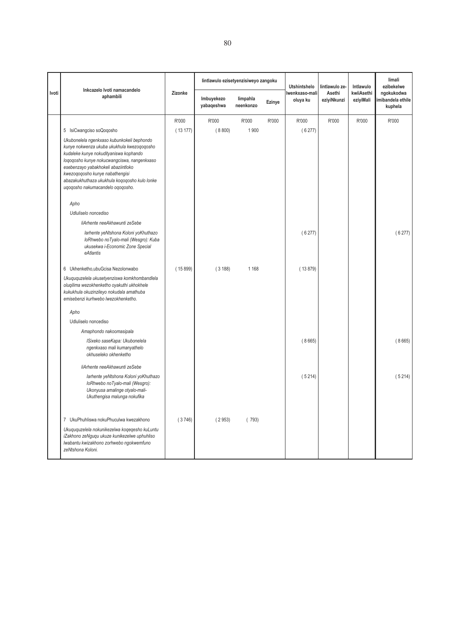|       | Inkcazelo Ivoti namacandelo                                                                                                                                                                                                                                                                                                                      |         | lintlawulo ezisetyenzisiweyo zangoku |                       |        | <b>Utshintshelo</b>        | lintlawulo ze-        | Intlawulo               | limali<br>ezibekelwe                       |
|-------|--------------------------------------------------------------------------------------------------------------------------------------------------------------------------------------------------------------------------------------------------------------------------------------------------------------------------------------------------|---------|--------------------------------------|-----------------------|--------|----------------------------|-----------------------|-------------------------|--------------------------------------------|
| Ivoti | aphambili                                                                                                                                                                                                                                                                                                                                        | Zizonke | Imbuyekezo<br>yabaqeshwa             | limpahla<br>neenkonzo | Ezinye | lwenkxaso-mali<br>oluya ku | Asethi<br>eziyiNkunzi | kwiiAsethi<br>eziyiMali | ngokukodwa<br>imibandela ethile<br>kuphela |
|       |                                                                                                                                                                                                                                                                                                                                                  | R'000   | R'000                                | R'000                 | R'000  | R'000                      | R'000                 | R'000                   | R'000                                      |
|       | 5 IsiCwangciso soQoqosho                                                                                                                                                                                                                                                                                                                         | (13177) | (8800)                               | 1 900                 |        | (6277)                     |                       |                         |                                            |
|       | Ukubonelela ngenkxaso kubunkokeli bephondo<br>kunye nokwenza ukuba ukukhula kwezoqoqosho<br>kudaleke kunye nokudityaniswa kophando<br>loqoqosho kunye nokucwangciswa, nangenkxaso<br>esebenzayo yabakhokeli abaziintloko<br>kwezoqoqosho kunye nabathengisi<br>abazakukhuthaza ukukhula kogogosho kulo lonke<br>ugogosho nakumacandelo ogogosho. |         |                                      |                       |        |                            |                       |                         |                                            |
|       | Apho                                                                                                                                                                                                                                                                                                                                             |         |                                      |                       |        |                            |                       |                         |                                            |
|       | Udluliselo noncediso                                                                                                                                                                                                                                                                                                                             |         |                                      |                       |        |                            |                       |                         |                                            |
|       | liArhente neeAkhawunti zeSebe                                                                                                                                                                                                                                                                                                                    |         |                                      |                       |        |                            |                       |                         |                                            |
|       | larhente yeNtshona Koloni yoKhuthazo<br>loRhwebo noTyalo-mali (Wesgro): Kuba<br>ukusekwa i-Economic Zone Special<br>eAtlantis                                                                                                                                                                                                                    |         |                                      |                       |        | (6277)                     |                       |                         | (6277)                                     |
|       | 6 Ukhenketho, ubu Gcisa Nezolonwabo                                                                                                                                                                                                                                                                                                              | (15899) | (3188)                               | 1 1 6 8               |        | (13879)                    |                       |                         |                                            |
|       | Ukuququzelela ukusetyenziswa komkhombandlela<br>oluqilima wezokhenketho oyakuthi ukhokhele<br>kukukhula okuzinzileyo nokudala amathuba<br>emisebenzi kurhwebo lwezokhenketho.                                                                                                                                                                    |         |                                      |                       |        |                            |                       |                         |                                            |
|       | Apho                                                                                                                                                                                                                                                                                                                                             |         |                                      |                       |        |                            |                       |                         |                                            |
|       | Udluliselo noncediso                                                                                                                                                                                                                                                                                                                             |         |                                      |                       |        |                            |                       |                         |                                            |
|       | Amaphondo nakoomasipala                                                                                                                                                                                                                                                                                                                          |         |                                      |                       |        |                            |                       |                         |                                            |
|       | ISixeko saseKapa: Ukubonelela<br>ngenkxaso mali kumanyathelo<br>okhuseleko okhenketho                                                                                                                                                                                                                                                            |         |                                      |                       |        | (8665)                     |                       |                         | (8665)                                     |
|       | liArhente neeAkhawunti zeSebe                                                                                                                                                                                                                                                                                                                    |         |                                      |                       |        |                            |                       |                         |                                            |
|       | larhente yeNtshona Koloni yoKhuthazo<br>loRhwebo noTyalo-mali (Wesgro):<br>Ukonyusa amalinge otyalo-mali-<br>Ukuthengisa malunga nokufika                                                                                                                                                                                                        |         |                                      |                       |        | (5214)                     |                       |                         | (5214)                                     |
|       | 7 UkuPhuhliswa nokuPhuculwa kwezakhono                                                                                                                                                                                                                                                                                                           | (3746)  | (2953)                               | (793)                 |        |                            |                       |                         |                                            |
|       | Ukuququzelela nokunikezelwa koqeqesho kuLuntu<br>iZakhono zeNguqu ukuze kunikezelwe uphuhliso<br>lwabantu kwizakhono zorhwebo ngokwemfuno<br>zeNtshona Koloni.                                                                                                                                                                                   |         |                                      |                       |        |                            |                       |                         |                                            |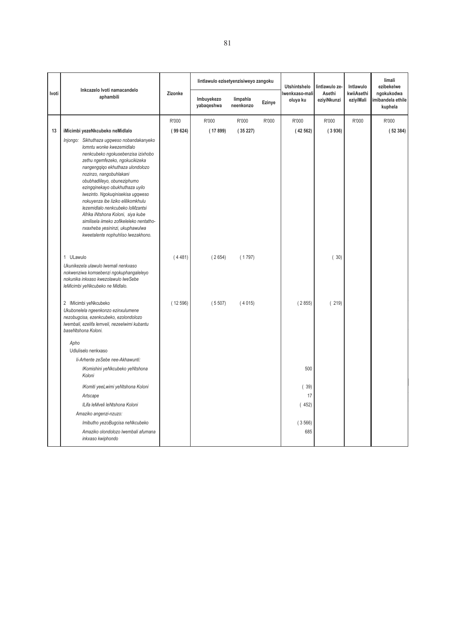|       | Inkcazelo Ivoti namacandelo                                                                                                                                                                                                                                                                                                                                                                                                                                                                                                                                |         | lintlawulo ezisetyenzisiweyo zangoku |                       |        | <b>Utshintshelo</b>        | lintlawulo ze-        | Intlawulo               | limali<br>ezibekelwe                       |
|-------|------------------------------------------------------------------------------------------------------------------------------------------------------------------------------------------------------------------------------------------------------------------------------------------------------------------------------------------------------------------------------------------------------------------------------------------------------------------------------------------------------------------------------------------------------------|---------|--------------------------------------|-----------------------|--------|----------------------------|-----------------------|-------------------------|--------------------------------------------|
| Ivoti | aphambili                                                                                                                                                                                                                                                                                                                                                                                                                                                                                                                                                  | Zizonke | Imbuyekezo<br>yabaqeshwa             | limpahla<br>neenkonzo | Ezinye | lwenkxaso-mali<br>oluya ku | Asethi<br>eziyiNkunzi | kwiiAsethi<br>eziyiMali | ngokukodwa<br>imibandela ethile<br>kuphela |
|       |                                                                                                                                                                                                                                                                                                                                                                                                                                                                                                                                                            | R'000   | R'000                                | R'000                 | R'000  | R'000                      | R'000                 | R'000                   | R'000                                      |
| 13    | iMicimbi yezeNkcubeko neMidlalo                                                                                                                                                                                                                                                                                                                                                                                                                                                                                                                            | (99624) | (17899)                              | (35227)               |        | (42562)                    | (3936)                |                         | (52384)                                    |
|       | Injongo: Sikhuthaza ugqweso nobandakanyeko<br>lomntu wonke kwezemidlalo<br>nenkcubeko ngokusebenzisa izixhobo<br>zethu ngemfezeko, ngokucikizeka<br>nangengqiqo ekhuthaza ulondolozo<br>nozinzo, nangobuhlakani<br>obubhadlileyo, obuneziphumo<br>ezingqinekayo obukhuthaza uyilo<br>Iwezinto. Ngokuqinisekisa ugqweso<br>nokuyenza ibe liziko elilikomkhulu<br>lezemidlalo nenkcubeko loMzantsi<br>Afrika iNtshona Koloni, siya kube<br>similisela iimeko zofikeleleko nentatho-<br>nxaxheba yesininzi, ukuphawulwa<br>kweetalente nophuhliso lwezakhono. |         |                                      |                       |        |                            |                       |                         |                                            |
|       | 1 ULawulo<br>Ukunikezela ulawulo lwemali nenkxaso<br>nokwenziwa komsebenzi ngokuphangaleleyo<br>nokunika inkxaso kwezolawulo lweSebe<br>leMicimbi yeNkcubeko ne Midlalo.                                                                                                                                                                                                                                                                                                                                                                                   | (4481)  | (2654)                               | (1797)                |        |                            | (30)                  |                         |                                            |
|       | 2 IMicimbi yeNkcubeko<br>Ukubonelela ngeenkonzo ezinxulumene<br>nezobugcisa, ezenkcubeko, ezolondolozo<br>Iwembali, ezelifa lemveli, nezeelwimi kubantu<br>baseNtshona Koloni.                                                                                                                                                                                                                                                                                                                                                                             | (12596) | (5507)                               | (4015)                |        | (2855)                     | (219)                 |                         |                                            |
|       | Apho<br>Udluliselo nenkxaso                                                                                                                                                                                                                                                                                                                                                                                                                                                                                                                                |         |                                      |                       |        |                            |                       |                         |                                            |
|       | li-Arhente zeSebe nee-Akhawunti:                                                                                                                                                                                                                                                                                                                                                                                                                                                                                                                           |         |                                      |                       |        |                            |                       |                         |                                            |
|       | IKomishini yeNkcubeko yeNtshona<br>Koloni                                                                                                                                                                                                                                                                                                                                                                                                                                                                                                                  |         |                                      |                       |        | 500                        |                       |                         |                                            |
|       | IKomiti yeeLwimi yeNtshona Koloni                                                                                                                                                                                                                                                                                                                                                                                                                                                                                                                          |         |                                      |                       |        | 39)                        |                       |                         |                                            |
|       | Artscape                                                                                                                                                                                                                                                                                                                                                                                                                                                                                                                                                   |         |                                      |                       |        | 17                         |                       |                         |                                            |
|       | ILifa leMveli leNtshona Koloni                                                                                                                                                                                                                                                                                                                                                                                                                                                                                                                             |         |                                      |                       |        | (452)                      |                       |                         |                                            |
|       | Amaziko angenzi-nzuzo:                                                                                                                                                                                                                                                                                                                                                                                                                                                                                                                                     |         |                                      |                       |        |                            |                       |                         |                                            |
|       | Imibutho yezoBugcisa neNkcubeko                                                                                                                                                                                                                                                                                                                                                                                                                                                                                                                            |         |                                      |                       |        | (3566)                     |                       |                         |                                            |
|       | Amaziko olondolozo lwembali afumana<br>inkxaso kwiphondo                                                                                                                                                                                                                                                                                                                                                                                                                                                                                                   |         |                                      |                       |        | 685                        |                       |                         |                                            |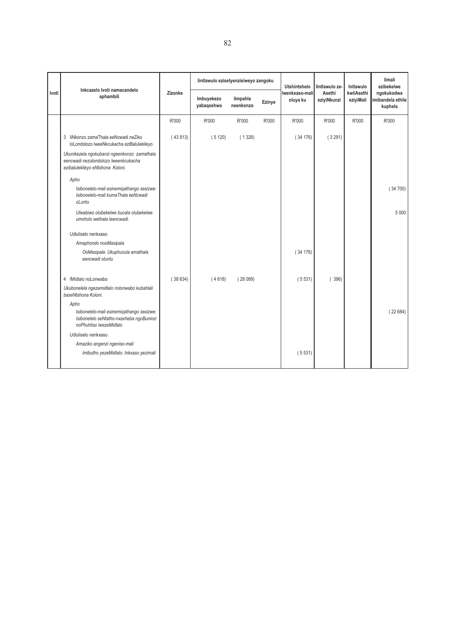|       | Inkcazelo Ivoti namacandelo                                                                                             |         | lintlawulo ezisetyenzisiweyo zangoku |                       |        | <b>Utshintshelo</b>        | lintlawulo ze-        | Intlawulo               | limali<br>ezibekelwe<br>ngokukodwa<br>imibandela ethile<br>kuphela |
|-------|-------------------------------------------------------------------------------------------------------------------------|---------|--------------------------------------|-----------------------|--------|----------------------------|-----------------------|-------------------------|--------------------------------------------------------------------|
| Ivoti | aphambili                                                                                                               | Zizonke | Imbuyekezo<br>yabaqeshwa             | limpahla<br>neenkonzo | Ezinye | Iwenkxaso-mali<br>oluya ku | Asethi<br>eziyiNkunzi | kwiiAsethi<br>eziyiMali |                                                                    |
|       |                                                                                                                         | R'000   | R'000                                | R'000                 | R'000  | R'000                      | R'000                 | R'000                   | R'000                                                              |
|       | 3 liNkonzo zamaThala eeNcwadi neZiko<br>loLondolozo lweeNkcukacha eziBalulekileyo                                       | (43913) | (5120)                               | (1326)                |        | (34176)                    | (3291)                |                         |                                                                    |
|       | Ukunikezela ngokubanzi ngeenkonzo zamathala<br>eencwadi nezolondolozo lweenkcukacha<br>ezibalulekileyo eNtshona Koloni. |         |                                      |                       |        |                            |                       |                         |                                                                    |
|       | Apho                                                                                                                    |         |                                      |                       |        |                            |                       |                         |                                                                    |
|       | Isibonelelo-mali esinemigathango sesizwe:<br>Isibonelelo-mali kumaThala eeNcwadi<br>oLuntu                              |         |                                      |                       |        |                            |                       |                         | (34700)                                                            |
|       | Ulwabiwo olubekelwe bucala olubekelwe<br>umxholo wethala leencwadi.                                                     |         |                                      |                       |        |                            |                       |                         | 5 0 0 0                                                            |
|       | Udluliselo nenkxaso                                                                                                     |         |                                      |                       |        |                            |                       |                         |                                                                    |
|       | Amaphondo nooMasipala                                                                                                   |         |                                      |                       |        |                            |                       |                         |                                                                    |
|       | OoMasipala: Ukuphucula amathala<br>eencwadi oluntu                                                                      |         |                                      |                       |        | (34176)                    |                       |                         |                                                                    |
|       | 4 IMidlalo noLonwabo                                                                                                    | (38634) | (4618)                               | (28089)               |        | (5531)                     | (396)                 |                         |                                                                    |
|       | Ukubonelela ngezemidlalo nolonwabo kubahlali<br>baseNtshona Koloni.                                                     |         |                                      |                       |        |                            |                       |                         |                                                                    |
|       | Apho                                                                                                                    |         |                                      |                       |        |                            |                       |                         |                                                                    |
|       | Isibonelelo-mali esinemigathango sesizwe:<br>Isibonelelo seNtatho-nxaxheba ngoBuninzi<br>noPhuhliso IwezeMidlalo        |         |                                      |                       |        |                            |                       |                         | (22684)                                                            |
|       | Udluliselo nenkxaso                                                                                                     |         |                                      |                       |        |                            |                       |                         |                                                                    |
|       | Amaziko angenzi ngeniso-mali                                                                                            |         |                                      |                       |        |                            |                       |                         |                                                                    |
|       | Imibutho yezeMidlalo: Inkxaso yezimali                                                                                  |         |                                      |                       |        | (5531)                     |                       |                         |                                                                    |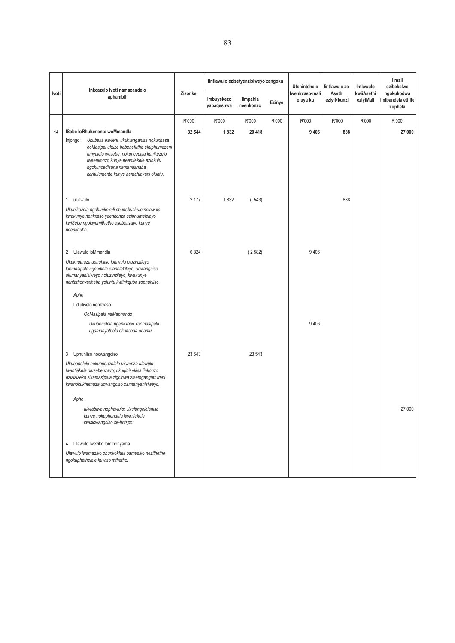|       |                                                                                                                                                                                                                                                             |         |                          | lintlawulo ezisetyenzisiweyo zangoku |        | <b>Utshintshelo</b>        | lintlawulo ze-        | Intlawulo               | limali<br>ezibekelwe                       |
|-------|-------------------------------------------------------------------------------------------------------------------------------------------------------------------------------------------------------------------------------------------------------------|---------|--------------------------|--------------------------------------|--------|----------------------------|-----------------------|-------------------------|--------------------------------------------|
| Ivoti | Inkcazelo Ivoti namacandelo<br>aphambili                                                                                                                                                                                                                    | Zizonke | Imbuyekezo<br>yabaqeshwa | limpahla<br>neenkonzo                | Ezinye | Iwenkxaso-mali<br>oluya ku | Asethi<br>eziyiNkunzi | kwiiAsethi<br>eziyiMali | ngokukodwa<br>imibandela ethile<br>kuphela |
|       |                                                                                                                                                                                                                                                             | R'000   | R'000                    | R'000                                | R'000  | R'000                      | R'000                 | R'000                   | R'000                                      |
| 14    | ISebe loRhulumente woMmandla                                                                                                                                                                                                                                | 32 544  | 1832                     | 20 418                               |        | 9 4 0 6                    | 888                   |                         | 27 000                                     |
|       | Ukubeka esweni, ukuhlanganisa nokuxhasa<br>Injongo:<br>ooMasipal ukuze babenefuthe ekuphumezeni<br>umyalelo wesebe, nokuncedisa kunikezelo<br>Iweenkonzo kunye neentlekele ezinkulu<br>ngokuncedisana namanqanaba<br>karhulumente kunye namahlakani oluntu. |         |                          |                                      |        |                            |                       |                         |                                            |
|       | uLawulo<br>1                                                                                                                                                                                                                                                | 2 177   | 1832                     | (543)                                |        |                            | 888                   |                         |                                            |
|       | Ukunikezela ngobunkokeli obunobuchule nolawulo<br>kwakunye nenkxaso yeenkonzo eziphumelelayo<br>kwiSebe ngokwemithetho esebenzayo kunye<br>neenkqubo.                                                                                                       |         |                          |                                      |        |                            |                       |                         |                                            |
|       | Ulawulo loMmandla<br>2                                                                                                                                                                                                                                      | 6 8 24  |                          | (2582)                               |        | 9 4 0 6                    |                       |                         |                                            |
|       | Ukukhuthaza uphuhliso lolawulo oluzinzileyo<br>loomasipala ngendlela efanelekileyo, ucwangciso<br>olumanyanisiweyo noluzinzileyo, kwakunye<br>nentathonxaxheba yoluntu kwiinkqubo zophuhliso.                                                               |         |                          |                                      |        |                            |                       |                         |                                            |
|       | Apho                                                                                                                                                                                                                                                        |         |                          |                                      |        |                            |                       |                         |                                            |
|       | Udluliselo nenkxaso                                                                                                                                                                                                                                         |         |                          |                                      |        |                            |                       |                         |                                            |
|       | OoMasipala naMaphondo                                                                                                                                                                                                                                       |         |                          |                                      |        |                            |                       |                         |                                            |
|       | Ukubonelela ngenkxaso koomasipala<br>ngamanyathelo okunceda abantu                                                                                                                                                                                          |         |                          |                                      |        | 9 4 0 6                    |                       |                         |                                            |
|       | 3<br>Uphuhliso nocwangciso                                                                                                                                                                                                                                  | 23 543  |                          | 23 543                               |        |                            |                       |                         |                                            |
|       | Ukubonelela nokuququzelela ukwenza ulawulo<br>Iwentlekele olusebenzayo; ukuqinisekisa iinkonzo<br>ezisisiseko zikamasipala zigcinwa zisemgangathweni<br>kwanokukhuthaza ucwangciso olumanyanisiweyo.<br>Apho                                                |         |                          |                                      |        |                            |                       |                         |                                            |
|       | ukwabiwa nophawulo: Ukulungelelanisa<br>kunye nokuphendula kwintlekele<br>kwisicwangciso se-hotspot                                                                                                                                                         |         |                          |                                      |        |                            |                       |                         | 27 000                                     |
|       | Ulawulo lweziko lomthonyama<br>4                                                                                                                                                                                                                            |         |                          |                                      |        |                            |                       |                         |                                            |
|       | Ulawulo lwamaziko obunkokheli bamasiko nezithethe<br>ngokuphathelele kuwiso mthetho.                                                                                                                                                                        |         |                          |                                      |        |                            |                       |                         |                                            |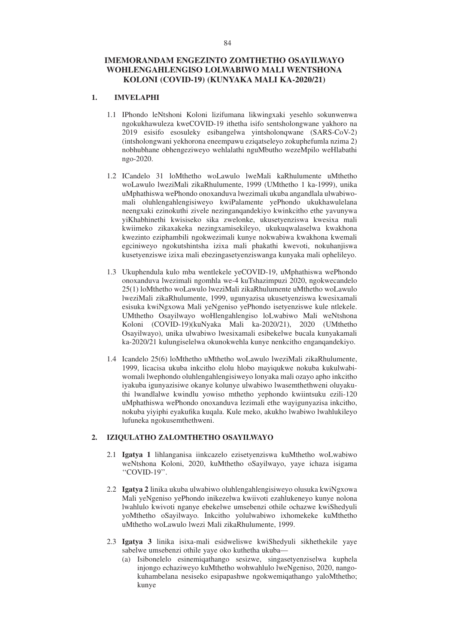## **IMEMORANDAM ENGEZINTO ZOMTHETHO OSAYILWAYO WOHLENGAHLENGISO LOLWABIWO MALI WENTSHONA KOLONI (COVID-19) (KUNYAKA MALI KA-2020/21)**

# **1. IMVELAPHI**

- 1.1 IPhondo leNtshoni Koloni lizifumana likwingxaki yesehlo sokunwenwa ngokukhawuleza kweCOVID-19 ithetha isifo sentsholongwane yakhoro na 2019 esisifo esosuleky esibangelwa yintsholonqwane (SARS-CoV-2) (intsholongwani yekhorona eneempawu eziqatseleyo zokuphefumla nzima 2) nobhubhane obhengeziweyo wehlalathi nguMbutho wezeMpilo weHlabathi ngo-2020.
- 1.2 ICandelo 31 loMthetho woLawulo lweMali kaRhulumente uMthetho woLawulo lweziMali zikaRhulumente, 1999 (UMthetho 1 ka-1999), unika uMphathiswa wePhondo onoxanduva lwezimali ukuba angandlala ulwabiwomali oluhlengahlengisiweyo kwiPalamente yePhondo ukukhawulelana neengxaki ezinokuthi zivele nezinganqandekiyo kwinkcitho ethe yavunywa yiKhabhinethi kwisiseko sika zwelonke, ukusetyenziswa kwesixa mali kwiimeko zikaxakeka nezingxamisekileyo, ukukuqwalaselwa kwakhona kwezinto eziphambili ngokwezimali kunye nokwabiwa kwakhona kwemali egciniweyo ngokutshintsha izixa mali phakathi kwevoti, nokuhanjiswa kusetyenziswe izixa mali ebezingasetyenziswanga kunyaka mali ophelileyo.
- 1.3 Ukuphendula kulo mba wentlekele yeCOVID-19, uMphathiswa wePhondo onoxanduva lwezimali ngomhla we-4 kuTshazimpuzi 2020, ngokwecandelo 25(1) loMthetho woLawulo lweziMali zikaRhulumente uMthetho woLawulo lweziMali zikaRhulumente, 1999, ugunyazisa ukusetyenziswa kwesixamali esisuka kwiNgxowa Mali yeNgeniso yePhondo isetyenziswe kule ntlekele. UMthetho Osayilwayo woHlengahlengiso loLwabiwo Mali weNtshona Koloni (COVID-19)(kuNyaka Mali ka-2020/21), 2020 (UMthetho Osayilwayo), unika ulwabiwo lwesixamali esibekelwe bucala kunyakamali ka-2020/21 kulungiselelwa okunokwehla kunye nenkcitho enganqandekiyo.
- 1.4 Icandelo 25(6) loMthetho uMthetho woLawulo lweziMali zikaRhulumente, 1999, licacisa ukuba inkcitho elolu hlobo mayiqukwe nokuba kukulwabiwomali lwephondo oluhlengahlengisiweyo lonyaka mali ozayo apho inkcitho iyakuba igunyazisiwe okanye kolunye ulwabiwo lwasemthethweni oluyakuthi lwandlalwe kwindlu yowiso mthetho yephondo kwiintsuku ezili-120 uMphathiswa wePhondo onoxanduva lezimali ethe wayigunyazisa inkcitho, nokuba yiyiphi eyakufika kuqala. Kule meko, akukho lwabiwo lwahlukileyo lufuneka ngokusemthethweni.

### **2. IZIQULATHO ZALOMTHETHO OSAYILWAYO**

- 2.1 **Igatya 1** lihlanganisa iinkcazelo ezisetyenziswa kuMthetho woLwabiwo weNtshona Koloni, 2020, kuMthetho oSayilwayo, yaye ichaza isigama ''COVID-19''.
- 2.2 **Igatya 2** linika ukuba ulwabiwo oluhlengahlengisiweyo olusuka kwiNgxowa Mali yeNgeniso yePhondo inikezelwa kwiivoti ezahlukeneyo kunye nolona lwahlulo kwivoti nganye ebekelwe umsebenzi othile ochazwe kwiShedyuli yoMthetho oSayilwayo. Inkcitho yolulwabiwo ixhomekeke kuMthetho uMthetho woLawulo lwezi Mali zikaRhulumente, 1999.
- 2.3 **Igatya 3** linika isixa-mali esidweliswe kwiShedyuli sikhethekile yaye sabelwe umsebenzi othile yaye oko kuthetha ukuba—
	- (a) Isibonelelo esinemiqathango sesizwe, singasetyenziselwa kuphela injongo echaziweyo kuMthetho wohwahlulo lweNgeniso, 2020, nangokuhambelana nesiseko esipapashwe ngokwemiqathango yaloMthetho; kunye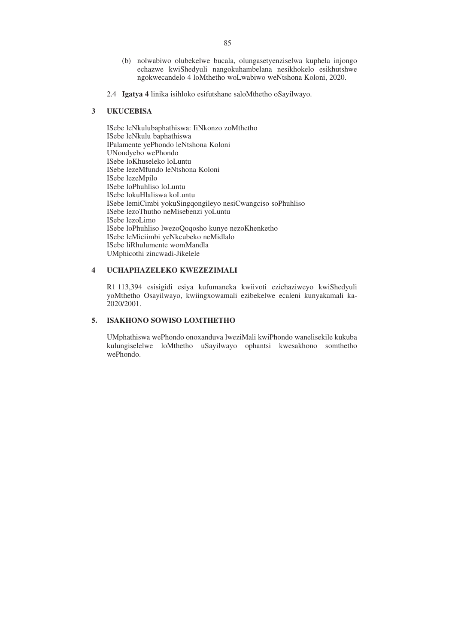- (b) nolwabiwo olubekelwe bucala, olungasetyenziselwa kuphela injongo echazwe kwiShedyuli nangokuhambelana nesikhokelo esikhutshwe ngokwecandelo 4 loMthetho woLwabiwo weNtshona Koloni, 2020.
- 2.4 **Igatya 4** linika isihloko esifutshane saloMthetho oSayilwayo.

#### **3 UKUCEBISA**

ISebe leNkulubaphathiswa: IiNkonzo zoMthetho ISebe leNkulu baphathiswa IPalamente yePhondo leNtshona Koloni UNondyebo wePhondo ISebe loKhuseleko loLuntu ISebe lezeMfundo leNtshona Koloni ISebe lezeMpilo ISebe loPhuhliso loLuntu ISebe lokuHlaliswa koLuntu ISebe lemiCimbi yokuSingqongileyo nesiCwangciso soPhuhliso ISebe lezoThutho neMisebenzi yoLuntu ISebe lezoLimo ISebe loPhuhliso lwezoQoqosho kunye nezoKhenketho ISebe leMiciimbi yeNkcubeko neMidlalo ISebe liRhulumente womMandla UMphicothi zincwadi-Jikelele

#### **4 UCHAPHAZELEKO KWEZEZIMALI**

R1 113,394 esisigidi esiya kufumaneka kwiivoti ezichaziweyo kwiShedyuli yoMthetho Osayilwayo, kwiingxowamali ezibekelwe ecaleni kunyakamali ka-2020/2001.

### **5. ISAKHONO SOWISO LOMTHETHO**

UMphathiswa wePhondo onoxanduva lweziMali kwiPhondo wanelisekile kukuba kulungiselelwe loMthetho uSayilwayo ophantsi kwesakhono somthetho wePhondo.